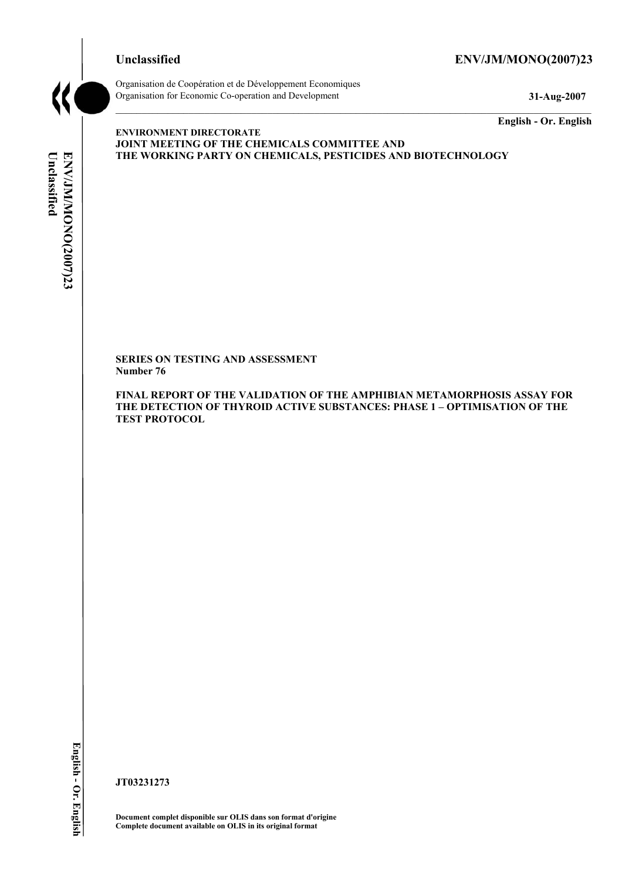# **Unclassified ENV/JM/MONO(2007)23**



Organisation de Coopération et de Développement Economiques Organisation for Economic Co-operation and Development **31-Aug-2007** 

**English - Or. English** 

# Unclassified **Unclassified**  ENV/JM/MONO(2007)23 **ENV/JM/MONO(2007)23 English - Or. English**

**ENVIRONMENT DIRECTORATE JOINT MEETING OF THE CHEMICALS COMMITTEE AND THE WORKING PARTY ON CHEMICALS, PESTICIDES AND BIOTECHNOLOGY** 

**SERIES ON TESTING AND ASSESSMENT Number 76** 

**FINAL REPORT OF THE VALIDATION OF THE AMPHIBIAN METAMORPHOSIS ASSAY FOR THE DETECTION OF THYROID ACTIVE SUBSTANCES: PHASE 1 – OPTIMISATION OF THE TEST PROTOCOL** 

**JT03231273** 

**Document complet disponible sur OLIS dans son format d'origine Complete document available on OLIS in its original format**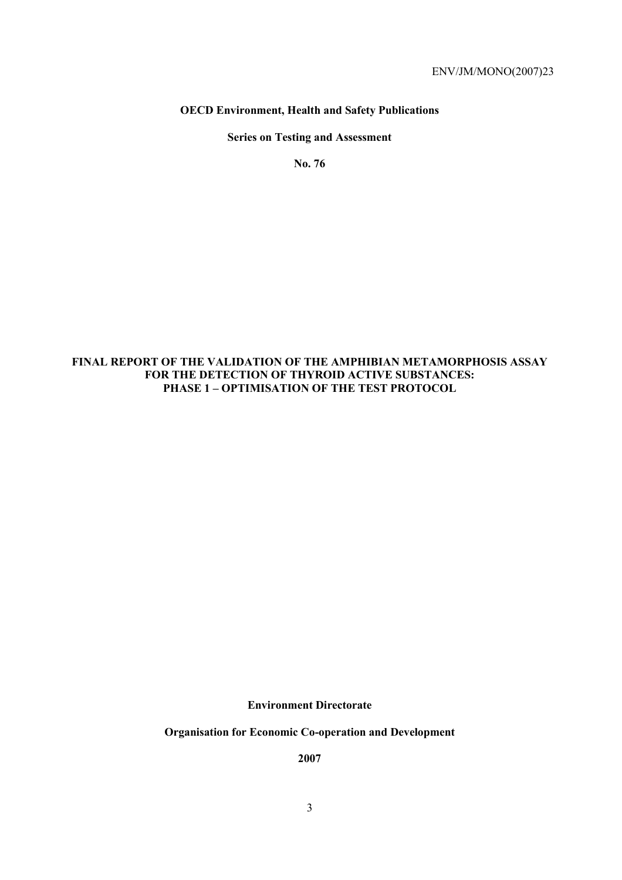# **OECD Environment, Health and Safety Publications**

# **Series on Testing and Assessment**

**No. 76** 

# **FINAL REPORT OF THE VALIDATION OF THE AMPHIBIAN METAMORPHOSIS ASSAY FOR THE DETECTION OF THYROID ACTIVE SUBSTANCES: PHASE 1 – OPTIMISATION OF THE TEST PROTOCOL**

**Environment Directorate** 

**Organisation for Economic Co-operation and Development** 

**2007**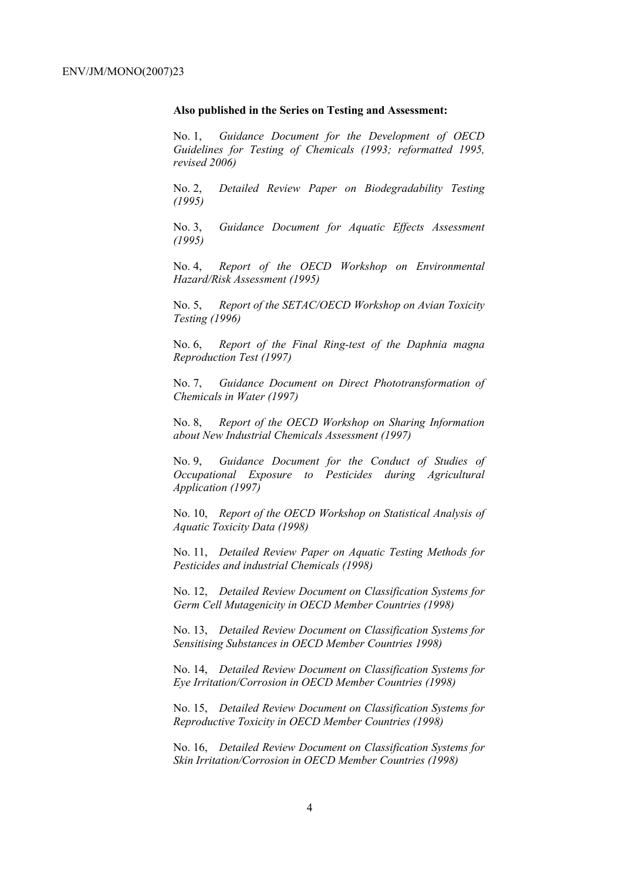### **Also published in the Series on Testing and Assessment:**

No. 1, *Guidance Document for the Development of OECD Guidelines for Testing of Chemicals (1993; reformatted 1995, revised 2006)*

No. 2, *Detailed Review Paper on Biodegradability Testing (1995)*

No. 3, *Guidance Document for Aquatic Effects Assessment (1995)* 

No. 4, *Report of the OECD Workshop on Environmental Hazard/Risk Assessment (1995)*

No. 5, *Report of the SETAC/OECD Workshop on Avian Toxicity Testing (1996)*

No. 6, *Report of the Final Ring-test of the Daphnia magna Reproduction Test (1997)*

No. 7, *Guidance Document on Direct Phototransformation of Chemicals in Water (1997)* 

No. 8, *Report of the OECD Workshop on Sharing Information about New Industrial Chemicals Assessment (1997)*

No. 9, *Guidance Document for the Conduct of Studies of Occupational Exposure to Pesticides during Agricultural Application (1997)*

No. 10, *Report of the OECD Workshop on Statistical Analysis of Aquatic Toxicity Data (1998)*

No. 11, *Detailed Review Paper on Aquatic Testing Methods for Pesticides and industrial Chemicals (1998)*

No. 12, *Detailed Review Document on Classification Systems for Germ Cell Mutagenicity in OECD Member Countries (1998)*

No. 13, *Detailed Review Document on Classification Systems for Sensitising Substances in OECD Member Countries 1998)*

No. 14, *Detailed Review Document on Classification Systems for Eye Irritation/Corrosion in OECD Member Countries (1998)*

No. 15, *Detailed Review Document on Classification Systems for Reproductive Toxicity in OECD Member Countries (1998)*

No. 16, *Detailed Review Document on Classification Systems for Skin Irritation/Corrosion in OECD Member Countries (1998)*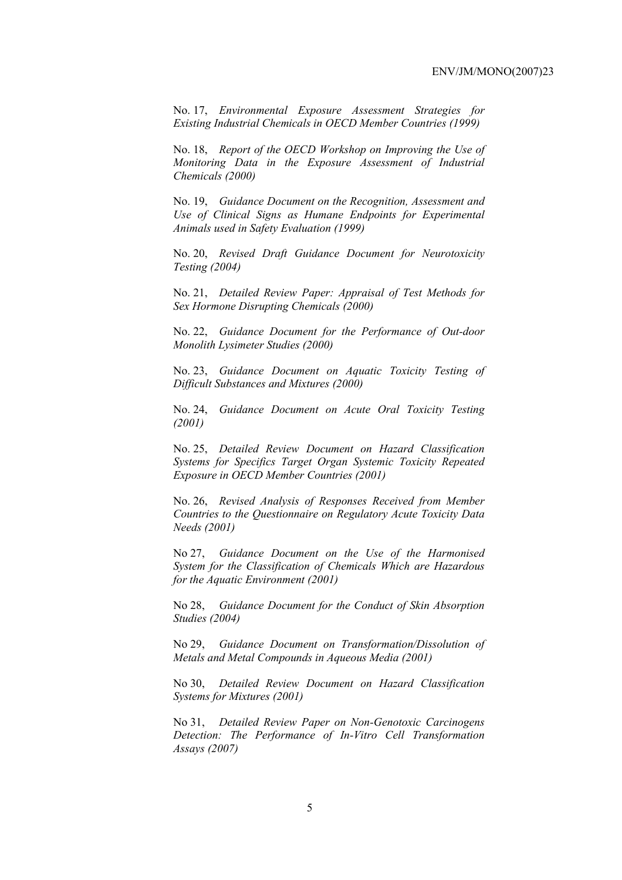No. 17, *Environmental Exposure Assessment Strategies for Existing Industrial Chemicals in OECD Member Countries (1999)*

No. 18, *Report of the OECD Workshop on Improving the Use of Monitoring Data in the Exposure Assessment of Industrial Chemicals (2000)*

No. 19, *Guidance Document on the Recognition, Assessment and Use of Clinical Signs as Humane Endpoints for Experimental Animals used in Safety Evaluation (1999)*

No. 20, *Revised Draft Guidance Document for Neurotoxicity Testing (2004)*

No. 21, *Detailed Review Paper: Appraisal of Test Methods for Sex Hormone Disrupting Chemicals (2000)*

No. 22, *Guidance Document for the Performance of Out-door Monolith Lysimeter Studies (2000)*

No. 23, *Guidance Document on Aquatic Toxicity Testing of Difficult Substances and Mixtures (2000)*

No. 24, *Guidance Document on Acute Oral Toxicity Testing (2001)*

No. 25, *Detailed Review Document on Hazard Classification Systems for Specifics Target Organ Systemic Toxicity Repeated Exposure in OECD Member Countries (2001)*

No. 26, *Revised Analysis of Responses Received from Member Countries to the Questionnaire on Regulatory Acute Toxicity Data Needs (2001)*

No 27, *Guidance Document on the Use of the Harmonised System for the Classification of Chemicals Which are Hazardous for the Aquatic Environment (2001)*

No 28, *Guidance Document for the Conduct of Skin Absorption Studies (2004)*

No 29, *Guidance Document on Transformation/Dissolution of Metals and Metal Compounds in Aqueous Media (2001)*

No 30, *Detailed Review Document on Hazard Classification Systems for Mixtures (2001)*

No 31, *Detailed Review Paper on Non-Genotoxic Carcinogens Detection: The Performance of In-Vitro Cell Transformation Assays (2007)*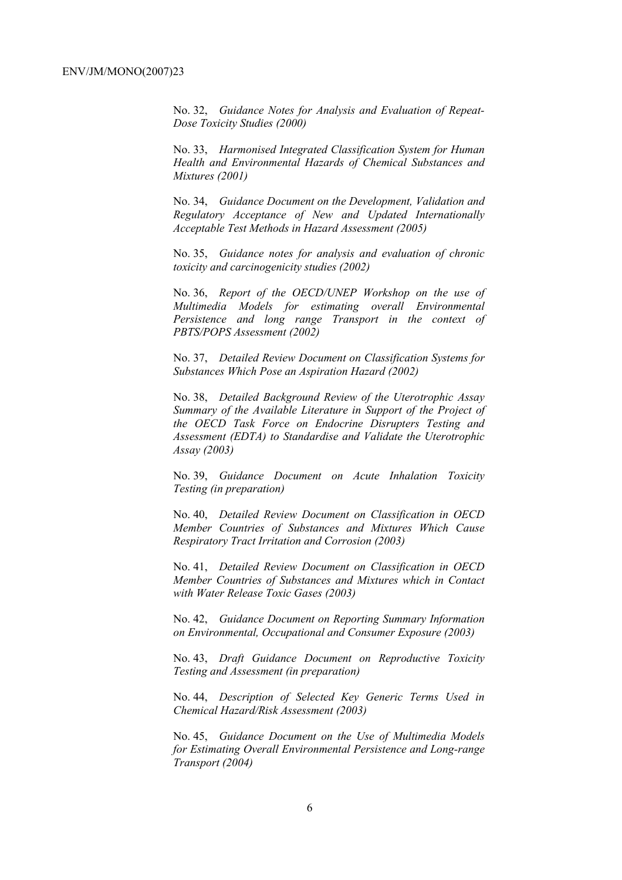No. 32, *Guidance Notes for Analysis and Evaluation of Repeat-Dose Toxicity Studies (2000)*

No. 33, *Harmonised Integrated Classification System for Human Health and Environmental Hazards of Chemical Substances and Mixtures (2001)*

No. 34, *Guidance Document on the Development, Validation and Regulatory Acceptance of New and Updated Internationally Acceptable Test Methods in Hazard Assessment (2005)*

No. 35, *Guidance notes for analysis and evaluation of chronic toxicity and carcinogenicity studies (2002)*

No. 36, *Report of the OECD/UNEP Workshop on the use of Multimedia Models for estimating overall Environmental Persistence and long range Transport in the context of PBTS/POPS Assessment (2002)*

No. 37, *Detailed Review Document on Classification Systems for Substances Which Pose an Aspiration Hazard (2002)*

No. 38, *Detailed Background Review of the Uterotrophic Assay Summary of the Available Literature in Support of the Project of the OECD Task Force on Endocrine Disrupters Testing and Assessment (EDTA) to Standardise and Validate the Uterotrophic Assay (2003)*

No. 39, *Guidance Document on Acute Inhalation Toxicity Testing (in preparation)*

No. 40, *Detailed Review Document on Classification in OECD Member Countries of Substances and Mixtures Which Cause Respiratory Tract Irritation and Corrosion (2003)*

No. 41, *Detailed Review Document on Classification in OECD Member Countries of Substances and Mixtures which in Contact with Water Release Toxic Gases (2003)*

No. 42, *Guidance Document on Reporting Summary Information on Environmental, Occupational and Consumer Exposure (2003)*

No. 43, *Draft Guidance Document on Reproductive Toxicity Testing and Assessment (in preparation)*

No. 44, *Description of Selected Key Generic Terms Used in Chemical Hazard/Risk Assessment (2003)* 

No. 45, *Guidance Document on the Use of Multimedia Models for Estimating Overall Environmental Persistence and Long-range Transport (2004)*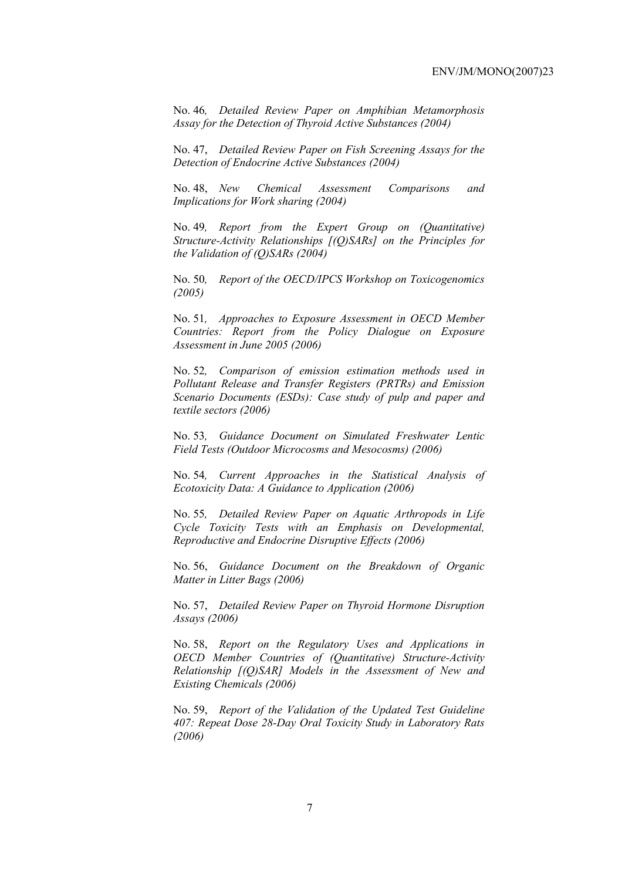No. 46*, Detailed Review Paper on Amphibian Metamorphosis Assay for the Detection of Thyroid Active Substances (2004)* 

No. 47, *Detailed Review Paper on Fish Screening Assays for the Detection of Endocrine Active Substances (2004)* 

No. 48, *New Chemical Assessment Comparisons and Implications for Work sharing (2004)* 

No. 49*, Report from the Expert Group on (Quantitative) Structure-Activity Relationships [(Q)SARs] on the Principles for the Validation of (Q)SARs (2004)* 

No. 50*, Report of the OECD/IPCS Workshop on Toxicogenomics (2005)* 

No. 51*, Approaches to Exposure Assessment in OECD Member Countries: Report from the Policy Dialogue on Exposure Assessment in June 2005 (2006)* 

No. 52*, Comparison of emission estimation methods used in Pollutant Release and Transfer Registers (PRTRs) and Emission Scenario Documents (ESDs): Case study of pulp and paper and textile sectors (2006)* 

No. 53*, Guidance Document on Simulated Freshwater Lentic Field Tests (Outdoor Microcosms and Mesocosms) (2006)* 

No. 54*, Current Approaches in the Statistical Analysis of Ecotoxicity Data: A Guidance to Application (2006)* 

No. 55*, Detailed Review Paper on Aquatic Arthropods in Life Cycle Toxicity Tests with an Emphasis on Developmental, Reproductive and Endocrine Disruptive Effects (2006)* 

No. 56, *Guidance Document on the Breakdown of Organic Matter in Litter Bags (2006)* 

No. 57, *Detailed Review Paper on Thyroid Hormone Disruption Assays (2006)* 

No. 58, *Report on the Regulatory Uses and Applications in OECD Member Countries of (Quantitative) Structure-Activity Relationship [(Q)SAR] Models in the Assessment of New and Existing Chemicals (2006)* 

No. 59, *Report of the Validation of the Updated Test Guideline 407: Repeat Dose 28-Day Oral Toxicity Study in Laboratory Rats (2006)*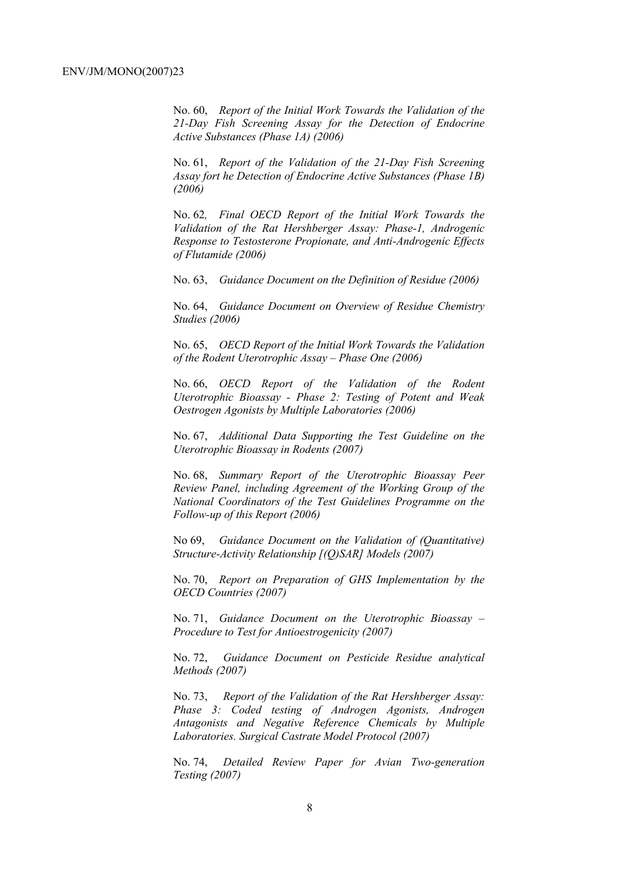No. 60, *Report of the Initial Work Towards the Validation of the 21-Day Fish Screening Assay for the Detection of Endocrine Active Substances (Phase 1A) (2006)* 

No. 61, *Report of the Validation of the 21-Day Fish Screening Assay fort he Detection of Endocrine Active Substances (Phase 1B) (2006)* 

No. 62*, Final OECD Report of the Initial Work Towards the Validation of the Rat Hershberger Assay: Phase-1, Androgenic Response to Testosterone Propionate, and Anti-Androgenic Effects of Flutamide (2006)* 

No. 63, *Guidance Document on the Definition of Residue (2006)* 

No. 64, *Guidance Document on Overview of Residue Chemistry Studies (2006)* 

No. 65, *OECD Report of the Initial Work Towards the Validation of the Rodent Uterotrophic Assay – Phase One (2006)* 

No. 66, *OECD Report of the Validation of the Rodent Uterotrophic Bioassay - Phase 2: Testing of Potent and Weak Oestrogen Agonists by Multiple Laboratories (2006)* 

No. 67, *Additional Data Supporting the Test Guideline on the Uterotrophic Bioassay in Rodents (2007)* 

No. 68, *Summary Report of the Uterotrophic Bioassay Peer Review Panel, including Agreement of the Working Group of the National Coordinators of the Test Guidelines Programme on the Follow-up of this Report (2006)*

No 69, *Guidance Document on the Validation of (Quantitative) Structure-Activity Relationship [(Q)SAR] Models (2007)* 

No. 70, *Report on Preparation of GHS Implementation by the OECD Countries (2007)* 

No. 71, *Guidance Document on the Uterotrophic Bioassay – Procedure to Test for Antioestrogenicity (2007)* 

No. 72, *Guidance Document on Pesticide Residue analytical Methods (2007)* 

No. 73, *Report of the Validation of the Rat Hershberger Assay: Phase 3: Coded testing of Androgen Agonists, Androgen Antagonists and Negative Reference Chemicals by Multiple Laboratories. Surgical Castrate Model Protocol (2007)* 

No. 74, *Detailed Review Paper for Avian Two-generation Testing (2007)*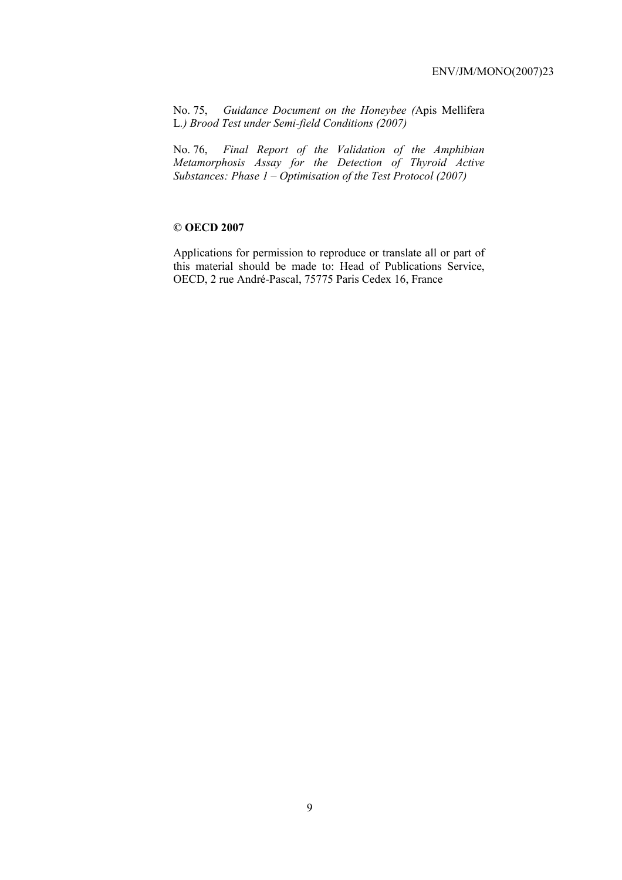No. 75, *Guidance Document on the Honeybee (*Apis Mellifera L*.) Brood Test under Semi-field Conditions (2007)* 

No. 76, *Final Report of the Validation of the Amphibian Metamorphosis Assay for the Detection of Thyroid Active Substances: Phase 1 – Optimisation of the Test Protocol (2007)* 

# **© OECD 2007**

Applications for permission to reproduce or translate all or part of this material should be made to: Head of Publications Service, OECD, 2 rue André-Pascal, 75775 Paris Cedex 16, France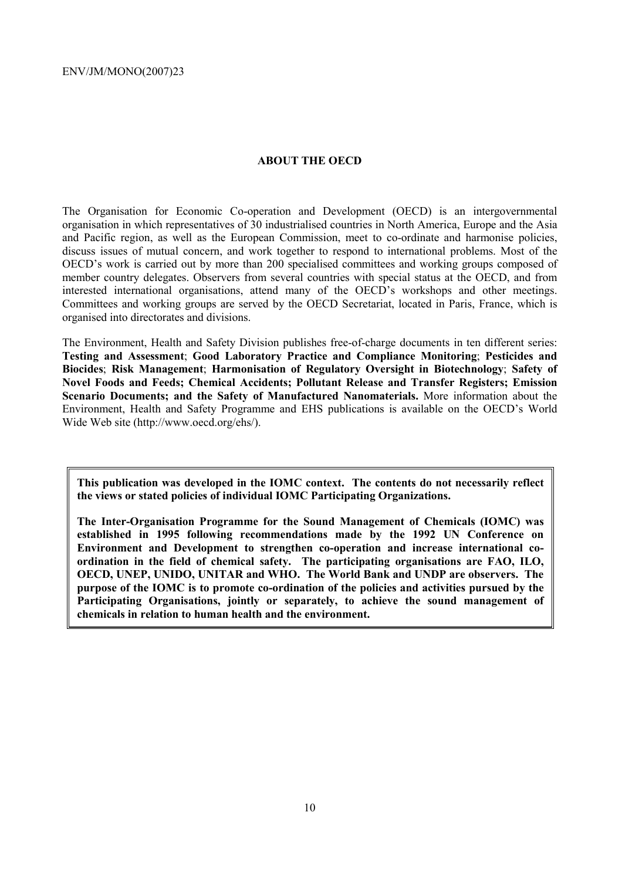## **ABOUT THE OECD**

The Organisation for Economic Co-operation and Development (OECD) is an intergovernmental organisation in which representatives of 30 industrialised countries in North America, Europe and the Asia and Pacific region, as well as the European Commission, meet to co-ordinate and harmonise policies, discuss issues of mutual concern, and work together to respond to international problems. Most of the OECD's work is carried out by more than 200 specialised committees and working groups composed of member country delegates. Observers from several countries with special status at the OECD, and from interested international organisations, attend many of the OECD's workshops and other meetings. Committees and working groups are served by the OECD Secretariat, located in Paris, France, which is organised into directorates and divisions.

The Environment, Health and Safety Division publishes free-of-charge documents in ten different series: **Testing and Assessment**; **Good Laboratory Practice and Compliance Monitoring**; **Pesticides and Biocides**; **Risk Management**; **Harmonisation of Regulatory Oversight in Biotechnology**; **Safety of Novel Foods and Feeds; Chemical Accidents; Pollutant Release and Transfer Registers; Emission Scenario Documents; and the Safety of Manufactured Nanomaterials.** More information about the Environment, Health and Safety Programme and EHS publications is available on the OECD's World Wide Web site (http://www.oecd.org/ehs/).

**This publication was developed in the IOMC context. The contents do not necessarily reflect the views or stated policies of individual IOMC Participating Organizations.** 

**The Inter-Organisation Programme for the Sound Management of Chemicals (IOMC) was established in 1995 following recommendations made by the 1992 UN Conference on Environment and Development to strengthen co-operation and increase international coordination in the field of chemical safety. The participating organisations are FAO, ILO, OECD, UNEP, UNIDO, UNITAR and WHO. The World Bank and UNDP are observers. The purpose of the IOMC is to promote co-ordination of the policies and activities pursued by the Participating Organisations, jointly or separately, to achieve the sound management of chemicals in relation to human health and the environment.**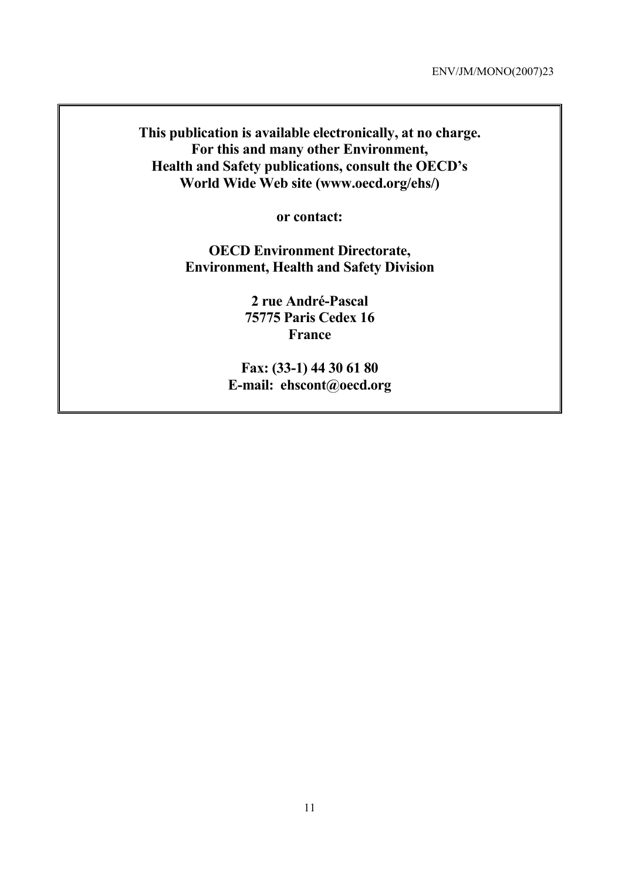**This publication is available electronically, at no charge. For this and many other Environment, Health and Safety publications, consult the OECD's World Wide Web site (www.oecd.org/ehs/)** 

**or contact:** 

**OECD Environment Directorate, Environment, Health and Safety Division** 

> **2 rue André-Pascal 75775 Paris Cedex 16 France**

**Fax: (33-1) 44 30 61 80 E-mail: ehscont@oecd.org**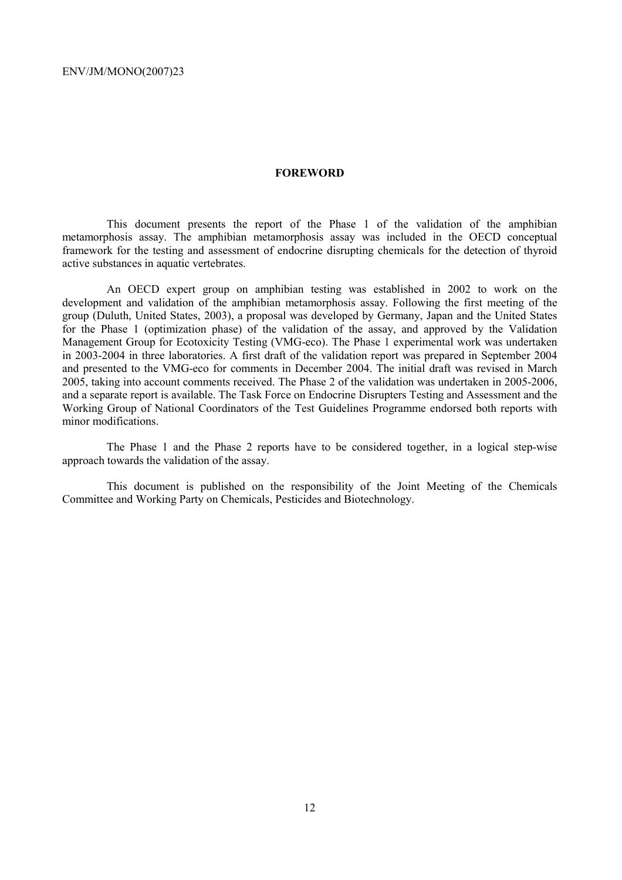### **FOREWORD**

This document presents the report of the Phase 1 of the validation of the amphibian metamorphosis assay. The amphibian metamorphosis assay was included in the OECD conceptual framework for the testing and assessment of endocrine disrupting chemicals for the detection of thyroid active substances in aquatic vertebrates.

An OECD expert group on amphibian testing was established in 2002 to work on the development and validation of the amphibian metamorphosis assay. Following the first meeting of the group (Duluth, United States, 2003), a proposal was developed by Germany, Japan and the United States for the Phase 1 (optimization phase) of the validation of the assay, and approved by the Validation Management Group for Ecotoxicity Testing (VMG-eco). The Phase 1 experimental work was undertaken in 2003-2004 in three laboratories. A first draft of the validation report was prepared in September 2004 and presented to the VMG-eco for comments in December 2004. The initial draft was revised in March 2005, taking into account comments received. The Phase 2 of the validation was undertaken in 2005-2006, and a separate report is available. The Task Force on Endocrine Disrupters Testing and Assessment and the Working Group of National Coordinators of the Test Guidelines Programme endorsed both reports with minor modifications.

The Phase 1 and the Phase 2 reports have to be considered together, in a logical step-wise approach towards the validation of the assay.

This document is published on the responsibility of the Joint Meeting of the Chemicals Committee and Working Party on Chemicals, Pesticides and Biotechnology.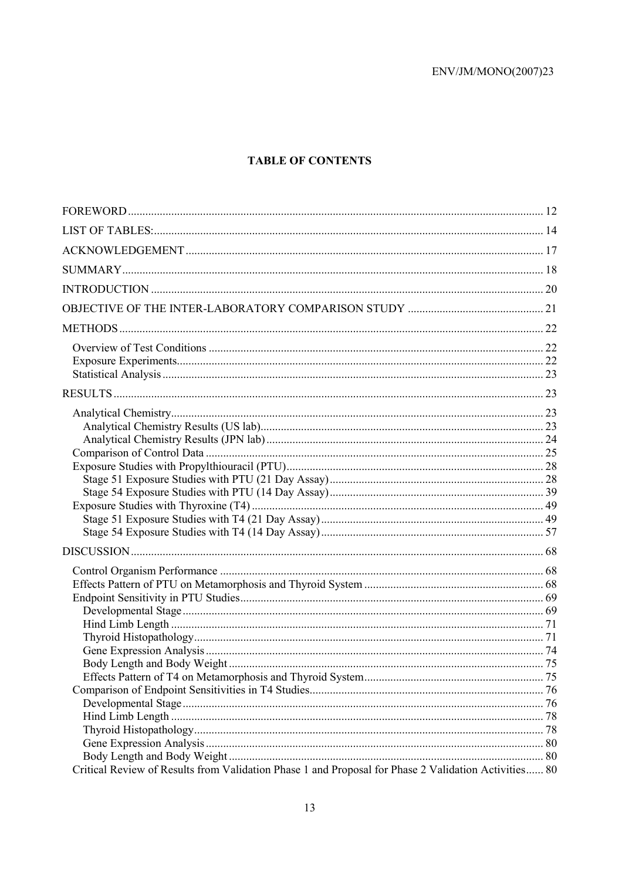# **TABLE OF CONTENTS**

| Critical Review of Results from Validation Phase 1 and Proposal for Phase 2 Validation Activities 80 |  |
|------------------------------------------------------------------------------------------------------|--|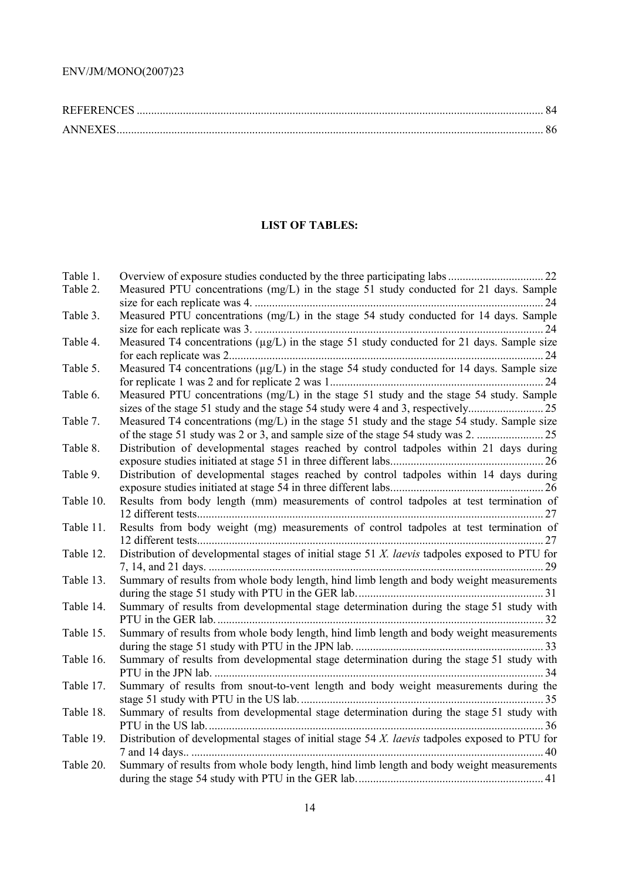| <b>REFERENCES</b> |  |
|-------------------|--|
| <b>ANNEXES</b>    |  |

# **LIST OF TABLES:**

| Table 1.  |                                                                                                   |
|-----------|---------------------------------------------------------------------------------------------------|
| Table 2.  | Measured PTU concentrations (mg/L) in the stage 51 study conducted for 21 days. Sample            |
| Table 3.  | Measured PTU concentrations (mg/L) in the stage 54 study conducted for 14 days. Sample            |
| Table 4.  | Measured T4 concentrations (µg/L) in the stage 51 study conducted for 21 days. Sample size        |
| Table 5.  | Measured T4 concentrations (µg/L) in the stage 54 study conducted for 14 days. Sample size        |
| Table 6.  | Measured PTU concentrations (mg/L) in the stage 51 study and the stage 54 study. Sample           |
| Table 7.  | Measured T4 concentrations (mg/L) in the stage 51 study and the stage 54 study. Sample size       |
| Table 8.  | Distribution of developmental stages reached by control tadpoles within 21 days during            |
| Table 9.  | Distribution of developmental stages reached by control tadpoles within 14 days during            |
| Table 10. | Results from body length (mm) measurements of control tadpoles at test termination of             |
| Table 11. | Results from body weight (mg) measurements of control tadpoles at test termination of             |
| Table 12. | Distribution of developmental stages of initial stage 51 $X$ . laevis tadpoles exposed to PTU for |
| Table 13. | Summary of results from whole body length, hind limb length and body weight measurements          |
| Table 14. | Summary of results from developmental stage determination during the stage 51 study with          |
| Table 15. | Summary of results from whole body length, hind limb length and body weight measurements          |
| Table 16. | Summary of results from developmental stage determination during the stage 51 study with          |
| Table 17. | Summary of results from snout-to-vent length and body weight measurements during the              |
| Table 18. | Summary of results from developmental stage determination during the stage 51 study with          |
| Table 19. | Distribution of developmental stages of initial stage 54 X. laevis tadpoles exposed to PTU for    |
| Table 20. | Summary of results from whole body length, hind limb length and body weight measurements          |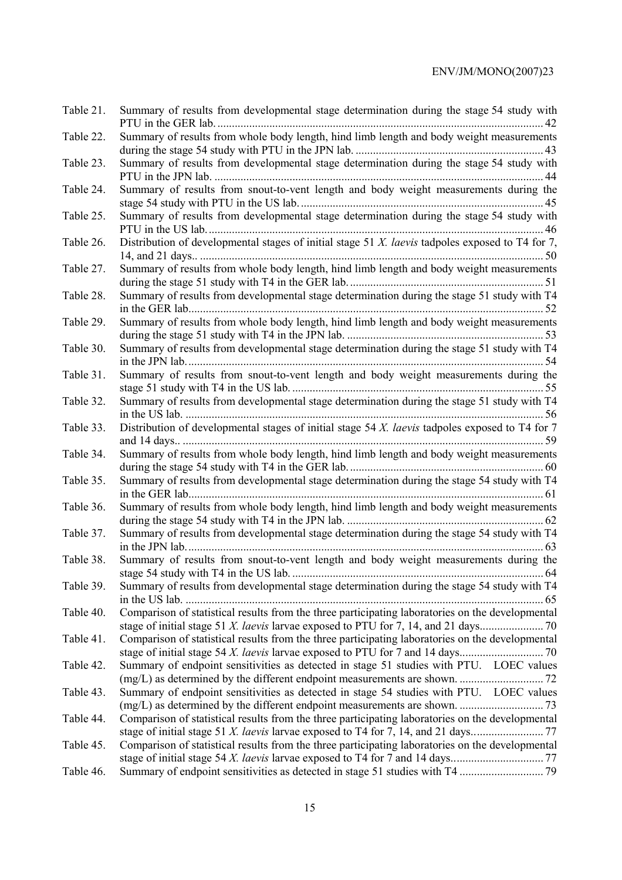| Table 21. | Summary of results from developmental stage determination during the stage 54 study with            |
|-----------|-----------------------------------------------------------------------------------------------------|
| Table 22. | Summary of results from whole body length, hind limb length and body weight measurements            |
| Table 23. | Summary of results from developmental stage determination during the stage 54 study with            |
| Table 24. | Summary of results from snout-to-vent length and body weight measurements during the                |
| Table 25. | Summary of results from developmental stage determination during the stage 54 study with            |
| Table 26. | Distribution of developmental stages of initial stage 51 $X$ . laevis tadpoles exposed to T4 for 7, |
| Table 27. | Summary of results from whole body length, hind limb length and body weight measurements            |
| Table 28. | Summary of results from developmental stage determination during the stage 51 study with T4         |
| Table 29. | Summary of results from whole body length, hind limb length and body weight measurements            |
| Table 30. | Summary of results from developmental stage determination during the stage 51 study with T4         |
| Table 31. | Summary of results from snout-to-vent length and body weight measurements during the                |
| Table 32. | Summary of results from developmental stage determination during the stage 51 study with T4         |
| Table 33. | Distribution of developmental stages of initial stage 54 X. laevis tadpoles exposed to T4 for 7     |
| Table 34. | Summary of results from whole body length, hind limb length and body weight measurements            |
| Table 35. | Summary of results from developmental stage determination during the stage 54 study with T4         |
| Table 36. | Summary of results from whole body length, hind limb length and body weight measurements            |
| Table 37. | Summary of results from developmental stage determination during the stage 54 study with T4         |
| Table 38. | Summary of results from snout-to-vent length and body weight measurements during the                |
| Table 39. | Summary of results from developmental stage determination during the stage 54 study with T4         |
| Table 40. | Comparison of statistical results from the three participating laboratories on the developmental    |
| Table 41. | Comparison of statistical results from the three participating laboratories on the developmental    |
| Table 42. | Summary of endpoint sensitivities as detected in stage 51 studies with PTU. LOEC values             |
| Table 43. | Summary of endpoint sensitivities as detected in stage 54 studies with PTU. LOEC values             |
| Table 44. | Comparison of statistical results from the three participating laboratories on the developmental    |
| Table 45. | Comparison of statistical results from the three participating laboratories on the developmental    |
| Table 46. |                                                                                                     |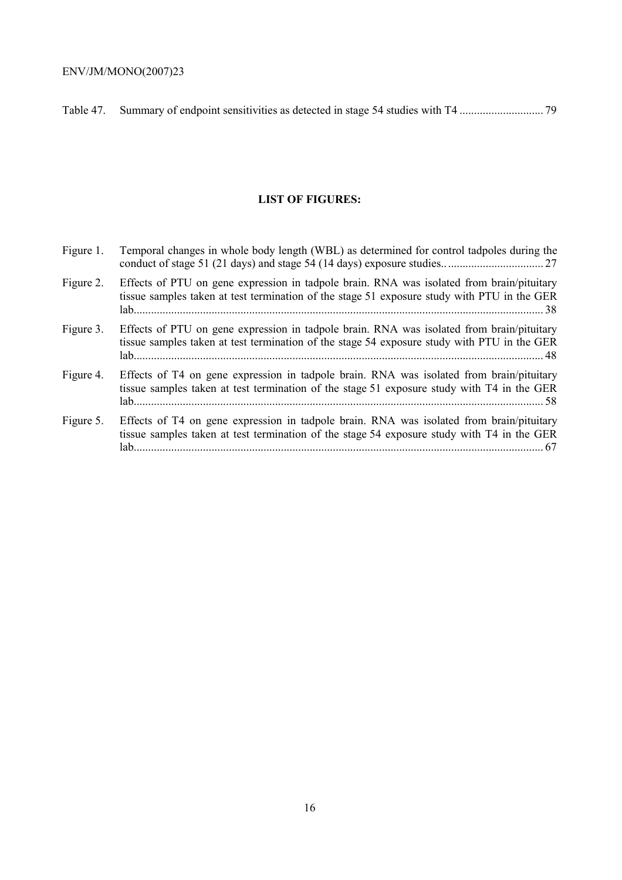Table 47. Summary of endpoint sensitivities as detected in stage 54 studies with T4 ............................. 79

# **LIST OF FIGURES:**

| Figure 1. | Temporal changes in whole body length (WBL) as determined for control tadpoles during the                                                                                                |
|-----------|------------------------------------------------------------------------------------------------------------------------------------------------------------------------------------------|
| Figure 2. | Effects of PTU on gene expression in tadpole brain. RNA was isolated from brain/pituitary<br>tissue samples taken at test termination of the stage 51 exposure study with PTU in the GER |
| Figure 3. | Effects of PTU on gene expression in tadpole brain. RNA was isolated from brain/pituitary<br>tissue samples taken at test termination of the stage 54 exposure study with PTU in the GER |
| Figure 4. | Effects of T4 on gene expression in tadpole brain. RNA was isolated from brain/pituitary<br>tissue samples taken at test termination of the stage 51 exposure study with T4 in the GER   |
| Figure 5. | Effects of T4 on gene expression in tadpole brain. RNA was isolated from brain/pituitary<br>tissue samples taken at test termination of the stage 54 exposure study with T4 in the GER   |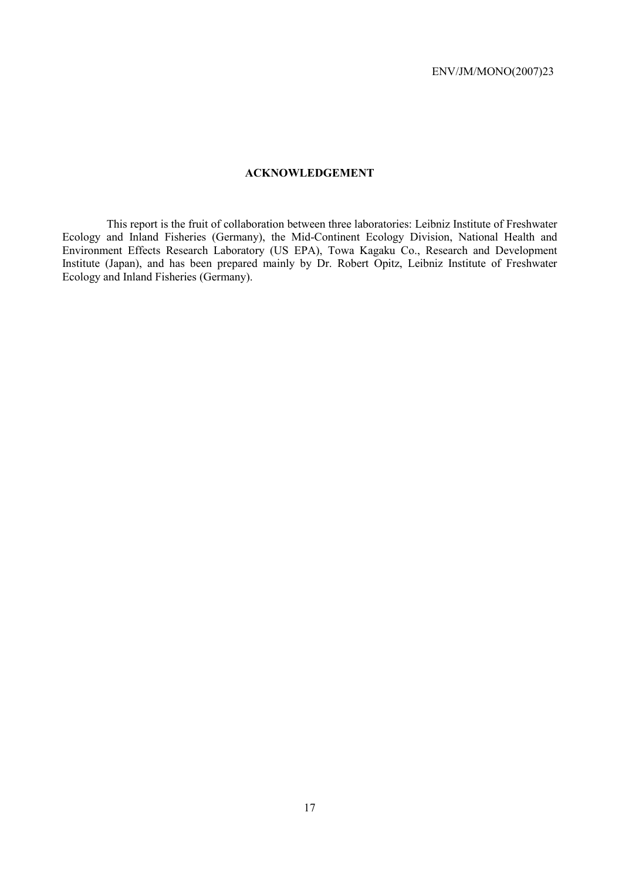# **ACKNOWLEDGEMENT**

This report is the fruit of collaboration between three laboratories: Leibniz Institute of Freshwater Ecology and Inland Fisheries (Germany), the Mid-Continent Ecology Division, National Health and Environment Effects Research Laboratory (US EPA), Towa Kagaku Co., Research and Development Institute (Japan), and has been prepared mainly by Dr. Robert Opitz, Leibniz Institute of Freshwater Ecology and Inland Fisheries (Germany).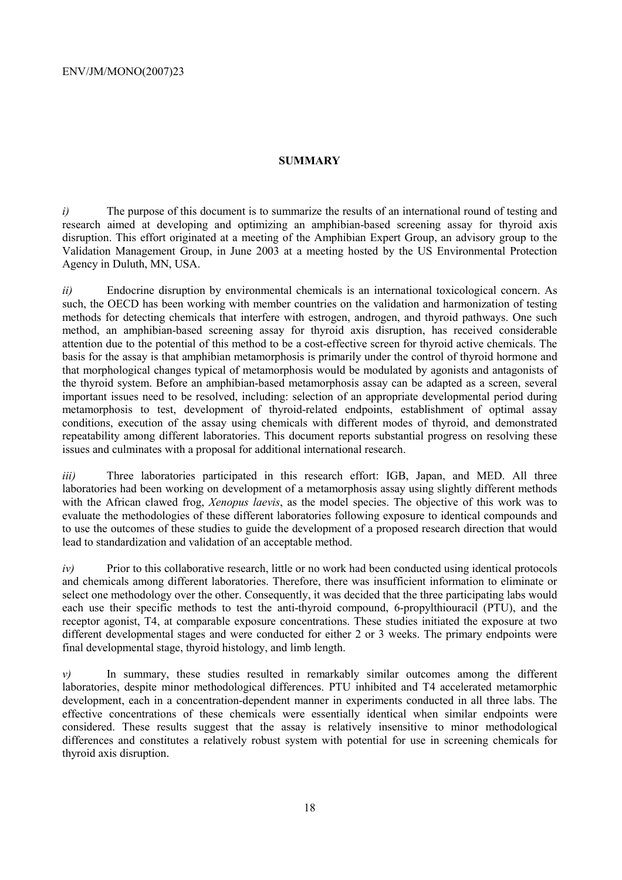### **SUMMARY**

*i*) The purpose of this document is to summarize the results of an international round of testing and research aimed at developing and optimizing an amphibian-based screening assay for thyroid axis disruption. This effort originated at a meeting of the Amphibian Expert Group, an advisory group to the Validation Management Group, in June 2003 at a meeting hosted by the US Environmental Protection Agency in Duluth, MN, USA.

*ii)* Endocrine disruption by environmental chemicals is an international toxicological concern. As such, the OECD has been working with member countries on the validation and harmonization of testing methods for detecting chemicals that interfere with estrogen, androgen, and thyroid pathways. One such method, an amphibian-based screening assay for thyroid axis disruption, has received considerable attention due to the potential of this method to be a cost-effective screen for thyroid active chemicals. The basis for the assay is that amphibian metamorphosis is primarily under the control of thyroid hormone and that morphological changes typical of metamorphosis would be modulated by agonists and antagonists of the thyroid system. Before an amphibian-based metamorphosis assay can be adapted as a screen, several important issues need to be resolved, including: selection of an appropriate developmental period during metamorphosis to test, development of thyroid-related endpoints, establishment of optimal assay conditions, execution of the assay using chemicals with different modes of thyroid, and demonstrated repeatability among different laboratories. This document reports substantial progress on resolving these issues and culminates with a proposal for additional international research.

*iii*) Three laboratories participated in this research effort: IGB, Japan, and MED. All three laboratories had been working on development of a metamorphosis assay using slightly different methods with the African clawed frog, *Xenopus laevis*, as the model species. The objective of this work was to evaluate the methodologies of these different laboratories following exposure to identical compounds and to use the outcomes of these studies to guide the development of a proposed research direction that would lead to standardization and validation of an acceptable method.

*iv*) Prior to this collaborative research, little or no work had been conducted using identical protocols and chemicals among different laboratories. Therefore, there was insufficient information to eliminate or select one methodology over the other. Consequently, it was decided that the three participating labs would each use their specific methods to test the anti-thyroid compound, 6-propylthiouracil (PTU), and the receptor agonist, T4, at comparable exposure concentrations. These studies initiated the exposure at two different developmental stages and were conducted for either 2 or 3 weeks. The primary endpoints were final developmental stage, thyroid histology, and limb length.

*v)* In summary, these studies resulted in remarkably similar outcomes among the different laboratories, despite minor methodological differences. PTU inhibited and T4 accelerated metamorphic development, each in a concentration-dependent manner in experiments conducted in all three labs. The effective concentrations of these chemicals were essentially identical when similar endpoints were considered. These results suggest that the assay is relatively insensitive to minor methodological differences and constitutes a relatively robust system with potential for use in screening chemicals for thyroid axis disruption.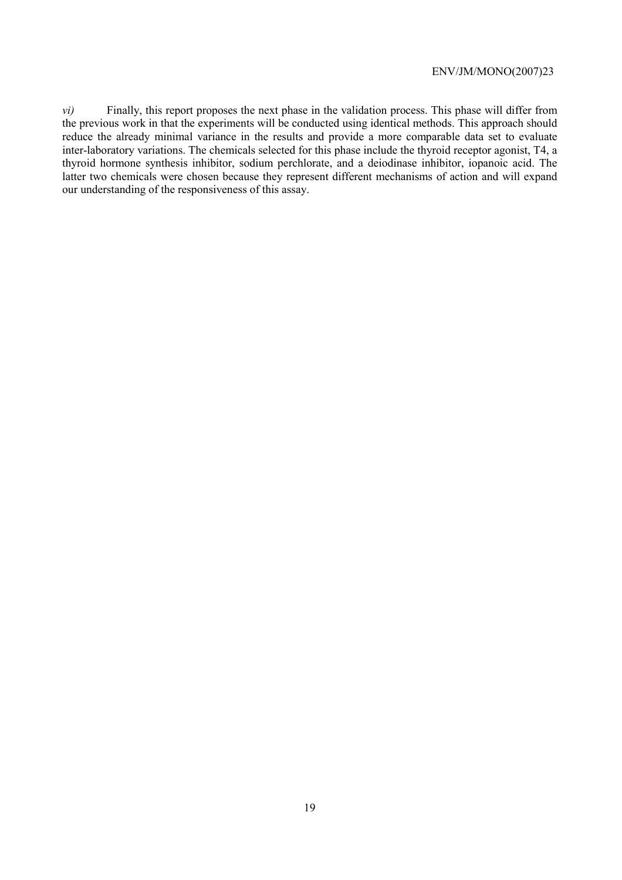*vi)* Finally, this report proposes the next phase in the validation process. This phase will differ from the previous work in that the experiments will be conducted using identical methods. This approach should reduce the already minimal variance in the results and provide a more comparable data set to evaluate inter-laboratory variations. The chemicals selected for this phase include the thyroid receptor agonist, T4, a thyroid hormone synthesis inhibitor, sodium perchlorate, and a deiodinase inhibitor, iopanoic acid. The latter two chemicals were chosen because they represent different mechanisms of action and will expand our understanding of the responsiveness of this assay.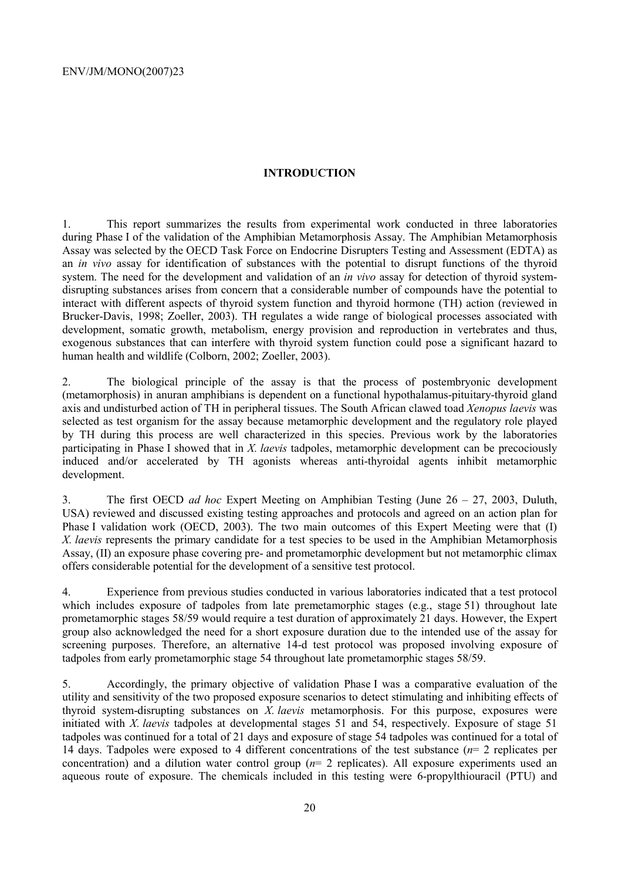# **INTRODUCTION**

1. This report summarizes the results from experimental work conducted in three laboratories during Phase I of the validation of the Amphibian Metamorphosis Assay. The Amphibian Metamorphosis Assay was selected by the OECD Task Force on Endocrine Disrupters Testing and Assessment (EDTA) as an *in vivo* assay for identification of substances with the potential to disrupt functions of the thyroid system. The need for the development and validation of an *in vivo* assay for detection of thyroid systemdisrupting substances arises from concern that a considerable number of compounds have the potential to interact with different aspects of thyroid system function and thyroid hormone (TH) action (reviewed in Brucker-Davis, 1998; Zoeller, 2003). TH regulates a wide range of biological processes associated with development, somatic growth, metabolism, energy provision and reproduction in vertebrates and thus, exogenous substances that can interfere with thyroid system function could pose a significant hazard to human health and wildlife (Colborn, 2002; Zoeller, 2003).

2. The biological principle of the assay is that the process of postembryonic development (metamorphosis) in anuran amphibians is dependent on a functional hypothalamus-pituitary-thyroid gland axis and undisturbed action of TH in peripheral tissues. The South African clawed toad *Xenopus laevis* was selected as test organism for the assay because metamorphic development and the regulatory role played by TH during this process are well characterized in this species. Previous work by the laboratories participating in Phase I showed that in *X. laevis* tadpoles, metamorphic development can be precociously induced and/or accelerated by TH agonists whereas anti-thyroidal agents inhibit metamorphic development.

3. The first OECD *ad hoc* Expert Meeting on Amphibian Testing (June 26 – 27, 2003, Duluth, USA) reviewed and discussed existing testing approaches and protocols and agreed on an action plan for Phase I validation work (OECD, 2003). The two main outcomes of this Expert Meeting were that (I) *X. laevis* represents the primary candidate for a test species to be used in the Amphibian Metamorphosis Assay, (II) an exposure phase covering pre- and prometamorphic development but not metamorphic climax offers considerable potential for the development of a sensitive test protocol.

4. Experience from previous studies conducted in various laboratories indicated that a test protocol which includes exposure of tadpoles from late premetamorphic stages (e.g., stage 51) throughout late prometamorphic stages 58/59 would require a test duration of approximately 21 days. However, the Expert group also acknowledged the need for a short exposure duration due to the intended use of the assay for screening purposes. Therefore, an alternative 14-d test protocol was proposed involving exposure of tadpoles from early prometamorphic stage 54 throughout late prometamorphic stages 58/59.

5. Accordingly, the primary objective of validation Phase I was a comparative evaluation of the utility and sensitivity of the two proposed exposure scenarios to detect stimulating and inhibiting effects of thyroid system-disrupting substances on *X. laevis* metamorphosis. For this purpose, exposures were initiated with *X. laevis* tadpoles at developmental stages 51 and 54, respectively. Exposure of stage 51 tadpoles was continued for a total of 21 days and exposure of stage 54 tadpoles was continued for a total of 14 days. Tadpoles were exposed to 4 different concentrations of the test substance (*n*= 2 replicates per concentration) and a dilution water control group (*n*= 2 replicates). All exposure experiments used an aqueous route of exposure. The chemicals included in this testing were 6-propylthiouracil (PTU) and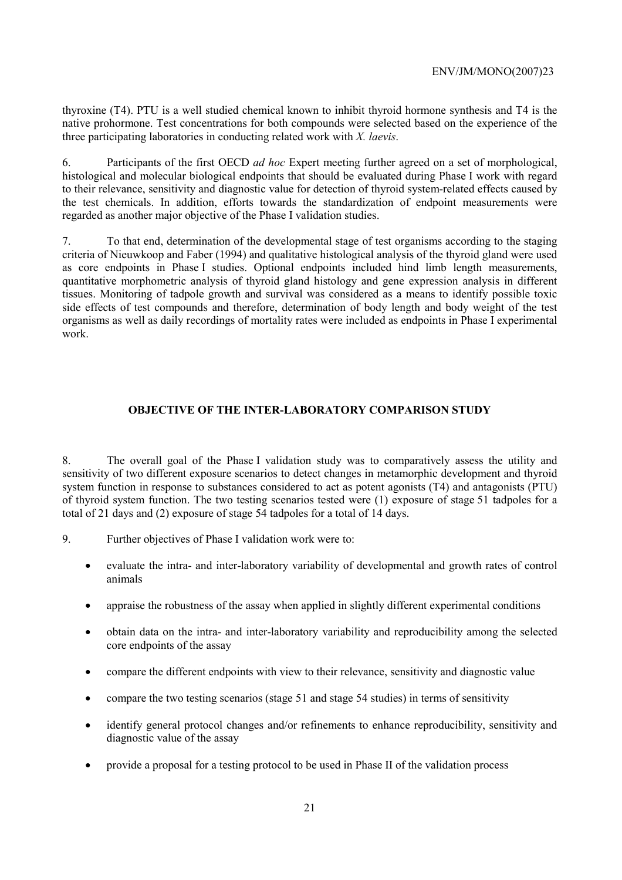thyroxine (T4). PTU is a well studied chemical known to inhibit thyroid hormone synthesis and T4 is the native prohormone. Test concentrations for both compounds were selected based on the experience of the three participating laboratories in conducting related work with *X. laevis*.

6. Participants of the first OECD *ad hoc* Expert meeting further agreed on a set of morphological, histological and molecular biological endpoints that should be evaluated during Phase I work with regard to their relevance, sensitivity and diagnostic value for detection of thyroid system-related effects caused by the test chemicals. In addition, efforts towards the standardization of endpoint measurements were regarded as another major objective of the Phase I validation studies.

7. To that end, determination of the developmental stage of test organisms according to the staging criteria of Nieuwkoop and Faber (1994) and qualitative histological analysis of the thyroid gland were used as core endpoints in Phase I studies. Optional endpoints included hind limb length measurements, quantitative morphometric analysis of thyroid gland histology and gene expression analysis in different tissues. Monitoring of tadpole growth and survival was considered as a means to identify possible toxic side effects of test compounds and therefore, determination of body length and body weight of the test organisms as well as daily recordings of mortality rates were included as endpoints in Phase I experimental work.

# **OBJECTIVE OF THE INTER-LABORATORY COMPARISON STUDY**

8. The overall goal of the Phase I validation study was to comparatively assess the utility and sensitivity of two different exposure scenarios to detect changes in metamorphic development and thyroid system function in response to substances considered to act as potent agonists (T4) and antagonists (PTU) of thyroid system function. The two testing scenarios tested were (1) exposure of stage 51 tadpoles for a total of 21 days and (2) exposure of stage 54 tadpoles for a total of 14 days.

- 9. Further objectives of Phase I validation work were to:
	- evaluate the intra- and inter-laboratory variability of developmental and growth rates of control animals
	- appraise the robustness of the assay when applied in slightly different experimental conditions
	- obtain data on the intra- and inter-laboratory variability and reproducibility among the selected core endpoints of the assay
	- compare the different endpoints with view to their relevance, sensitivity and diagnostic value
	- compare the two testing scenarios (stage 51 and stage 54 studies) in terms of sensitivity
	- identify general protocol changes and/or refinements to enhance reproducibility, sensitivity and diagnostic value of the assay
	- provide a proposal for a testing protocol to be used in Phase II of the validation process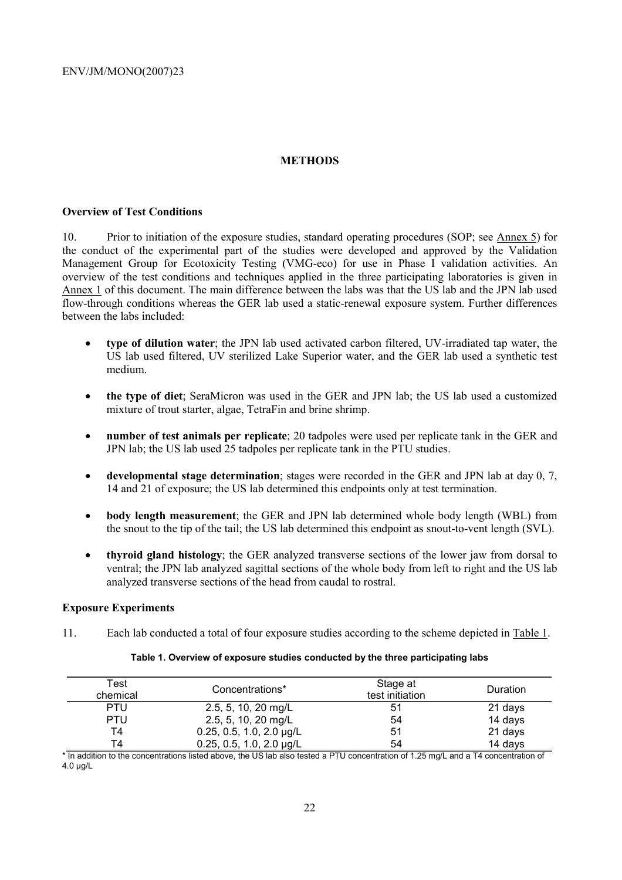# **METHODS**

## **Overview of Test Conditions**

10. Prior to initiation of the exposure studies, standard operating procedures (SOP; see Annex 5) for the conduct of the experimental part of the studies were developed and approved by the Validation Management Group for Ecotoxicity Testing (VMG-eco) for use in Phase I validation activities. An overview of the test conditions and techniques applied in the three participating laboratories is given in Annex 1 of this document. The main difference between the labs was that the US lab and the JPN lab used flow-through conditions whereas the GER lab used a static-renewal exposure system. Further differences between the labs included:

- **type of dilution water**; the JPN lab used activated carbon filtered, UV-irradiated tap water, the US lab used filtered, UV sterilized Lake Superior water, and the GER lab used a synthetic test medium.
- **the type of diet**; SeraMicron was used in the GER and JPN lab; the US lab used a customized mixture of trout starter, algae, TetraFin and brine shrimp.
- **number of test animals per replicate**; 20 tadpoles were used per replicate tank in the GER and JPN lab; the US lab used 25 tadpoles per replicate tank in the PTU studies.
- **developmental stage determination**; stages were recorded in the GER and JPN lab at day 0, 7, 14 and 21 of exposure; the US lab determined this endpoints only at test termination.
- **body length measurement**; the GER and JPN lab determined whole body length (WBL) from the snout to the tip of the tail; the US lab determined this endpoint as snout-to-vent length (SVL).
- **thyroid gland histology**; the GER analyzed transverse sections of the lower jaw from dorsal to ventral; the JPN lab analyzed sagittal sections of the whole body from left to right and the US lab analyzed transverse sections of the head from caudal to rostral.

### **Exposure Experiments**

11. Each lab conducted a total of four exposure studies according to the scheme depicted in Table 1.

| Test<br>chemical | Concentrations*               | Stage at<br>test initiation | Duration |
|------------------|-------------------------------|-----------------------------|----------|
| <b>PTU</b>       | 2.5, 5, 10, 20 mg/L           | 51                          | 21 days  |
| <b>PTU</b>       | 2.5, 5, 10, 20 mg/L           | 54                          | 14 days  |
| T4               | 0.25, 0.5, 1.0, 2.0 $\mu$ g/L | 51                          | 21 days  |

### **Table 1. Overview of exposure studies conducted by the three participating labs**

\* In addition to the concentrations listed above, the US lab also tested a PTU concentration of 1.25 mg/L and a T4 concentration of 4.0 µg/L

T4 0.25, 0.5, 1.0, 2.0 µg/L 54 14 days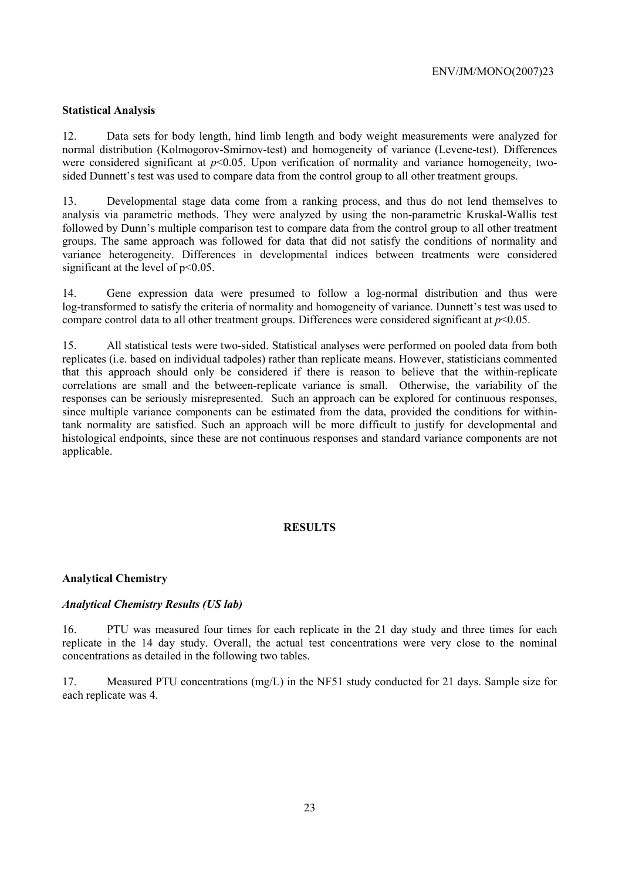# **Statistical Analysis**

12. Data sets for body length, hind limb length and body weight measurements were analyzed for normal distribution (Kolmogorov-Smirnov-test) and homogeneity of variance (Levene-test). Differences were considered significant at  $p<0.05$ . Upon verification of normality and variance homogeneity, twosided Dunnett's test was used to compare data from the control group to all other treatment groups.

13. Developmental stage data come from a ranking process, and thus do not lend themselves to analysis via parametric methods. They were analyzed by using the non-parametric Kruskal-Wallis test followed by Dunn's multiple comparison test to compare data from the control group to all other treatment groups. The same approach was followed for data that did not satisfy the conditions of normality and variance heterogeneity. Differences in developmental indices between treatments were considered significant at the level of  $p<0.05$ .

14. Gene expression data were presumed to follow a log-normal distribution and thus were log-transformed to satisfy the criteria of normality and homogeneity of variance. Dunnett's test was used to compare control data to all other treatment groups. Differences were considered significant at *p*<0.05.

15. All statistical tests were two-sided. Statistical analyses were performed on pooled data from both replicates (i.e. based on individual tadpoles) rather than replicate means. However, statisticians commented that this approach should only be considered if there is reason to believe that the within-replicate correlations are small and the between-replicate variance is small. Otherwise, the variability of the responses can be seriously misrepresented. Such an approach can be explored for continuous responses, since multiple variance components can be estimated from the data, provided the conditions for withintank normality are satisfied. Such an approach will be more difficult to justify for developmental and histological endpoints, since these are not continuous responses and standard variance components are not applicable.

# **RESULTS**

## **Analytical Chemistry**

## *Analytical Chemistry Results (US lab)*

16. PTU was measured four times for each replicate in the 21 day study and three times for each replicate in the 14 day study. Overall, the actual test concentrations were very close to the nominal concentrations as detailed in the following two tables.

17. Measured PTU concentrations (mg/L) in the NF51 study conducted for 21 days. Sample size for each replicate was 4.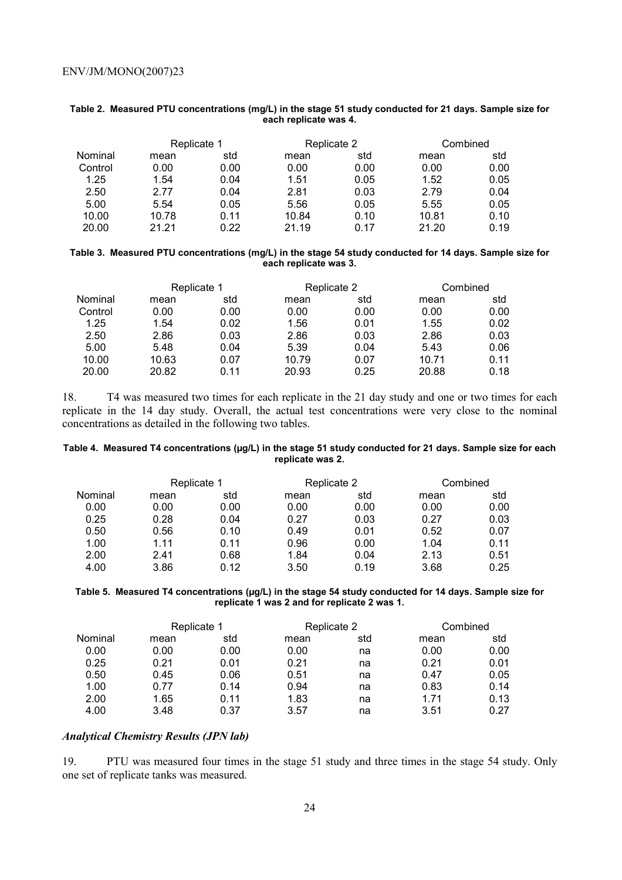|         | Replicate 1 |      |       | Replicate 2 | Combined |      |
|---------|-------------|------|-------|-------------|----------|------|
| Nominal | mean        | std  | mean  | std         | mean     | std  |
| Control | 0.00        | 0.00 | 0.00  | 0.00        | 0.00     | 0.00 |
| 1.25    | 1.54        | 0.04 | 1.51  | 0.05        | 1.52     | 0.05 |
| 2.50    | 2.77        | 0.04 | 2.81  | 0.03        | 2.79     | 0.04 |
| 5.00    | 5.54        | 0.05 | 5.56  | 0.05        | 5.55     | 0.05 |
| 10.00   | 10.78       | 0.11 | 10.84 | 0.10        | 10.81    | 0.10 |
| 20.00   | 21 21       | 0.22 | 21.19 | በ 17        | 21.20    | 0.19 |

### **Table 2. Measured PTU concentrations (mg/L) in the stage 51 study conducted for 21 days. Sample size for each replicate was 4.**

### **Table 3. Measured PTU concentrations (mg/L) in the stage 54 study conducted for 14 days. Sample size for each replicate was 3.**

|         | Replicate 1 |      | Replicate 2 |      | Combined |      |
|---------|-------------|------|-------------|------|----------|------|
| Nominal | mean        | std  | mean        | std  | mean     | std  |
| Control | 0.00        | 0.00 | 0.00        | 0.00 | 0.00     | 0.00 |
| 1.25    | 1.54        | 0.02 | 1.56        | 0.01 | 1.55     | 0.02 |
| 2.50    | 2.86        | 0.03 | 2.86        | 0.03 | 2.86     | 0.03 |
| 5.00    | 5.48        | 0.04 | 5.39        | 0.04 | 5.43     | 0.06 |
| 10.00   | 10.63       | 0.07 | 10.79       | 0.07 | 10.71    | 0.11 |
| 20.00   | 20.82       | 0.11 | 20.93       | 0.25 | 20.88    | 0.18 |

18. T4 was measured two times for each replicate in the 21 day study and one or two times for each replicate in the 14 day study. Overall, the actual test concentrations were very close to the nominal concentrations as detailed in the following two tables.

### **Table 4. Measured T4 concentrations (µg/L) in the stage 51 study conducted for 21 days. Sample size for each replicate was 2.**

| mean | std  | mean        | std  | mean        | std      |
|------|------|-------------|------|-------------|----------|
| 0.00 | 0.00 | 0.00        | 0.00 | 0.00        | 0.00     |
| 0.28 | 0.04 | 0.27        | 0.03 | 0.27        | 0.03     |
| 0.56 | 0.10 | 0.49        | 0.01 | 0.52        | 0.07     |
| 1.11 | 0.11 | 0.96        | 0.00 | 1.04        | 0.11     |
| 2.41 | 0.68 | 1.84        | 0.04 | 2.13        | 0.51     |
| 3.86 | 0.12 | 3.50        | 0.19 | 3.68        | 0.25     |
|      |      | Replicate 1 |      | Replicate 2 | Combined |

### **Table 5. Measured T4 concentrations (µg/L) in the stage 54 study conducted for 14 days. Sample size for replicate 1 was 2 and for replicate 2 was 1.**

|         | Replicate 1 |      | Replicate 2 |     | Combined |      |
|---------|-------------|------|-------------|-----|----------|------|
| Nominal | mean        | std  | mean        | std | mean     | std  |
| 0.00    | 0.00        | 0.00 | 0.00        | na  | 0.00     | 0.00 |
| 0.25    | 0.21        | 0.01 | 0.21        | na  | 0.21     | 0.01 |
| 0.50    | 0.45        | 0.06 | 0.51        | na  | 0.47     | 0.05 |
| 1.00    | 0.77        | 0.14 | 0.94        | na  | 0.83     | 0.14 |
| 2.00    | 1.65        | 0.11 | 1.83        | na  | 1.71     | 0.13 |
| 4.00    | 3.48        | 0.37 | 3.57        | na  | 3.51     | 0.27 |

### *Analytical Chemistry Results (JPN lab)*

19. PTU was measured four times in the stage 51 study and three times in the stage 54 study. Only one set of replicate tanks was measured.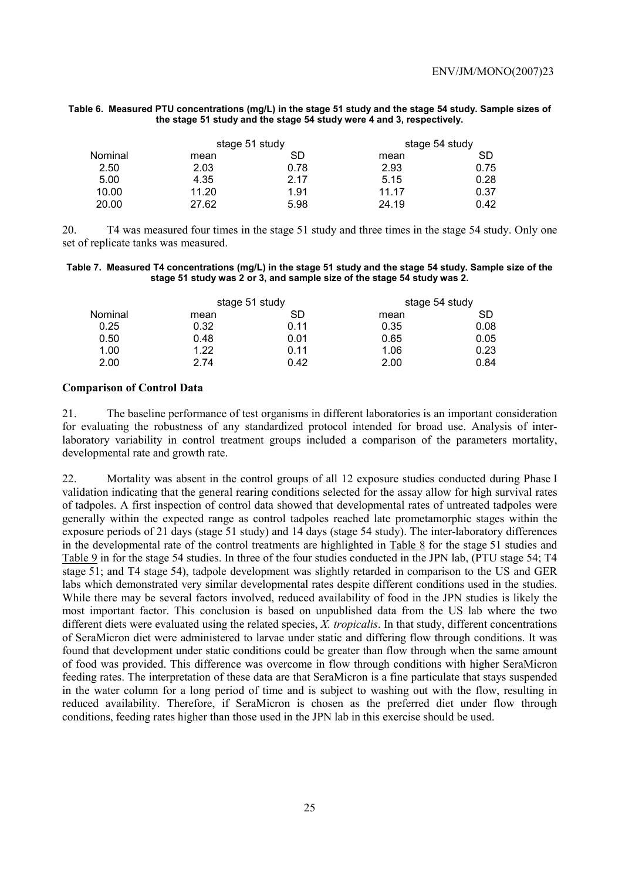### **Table 6. Measured PTU concentrations (mg/L) in the stage 51 study and the stage 54 study. Sample sizes of the stage 51 study and the stage 54 study were 4 and 3, respectively.**

|         | stage 51 study |      | stage 54 study |      |  |
|---------|----------------|------|----------------|------|--|
| Nominal | mean           | SD   | mean           | SD   |  |
| 2.50    | 2.03           | 0.78 | 2.93           | 0.75 |  |
| 5.00    | 4.35           | 2.17 | 5.15           | 0.28 |  |
| 10.00   | 11.20          | 1.91 | 11.17          | 0.37 |  |
| 20.00   | 27.62          | 5.98 | 24.19          | 0.42 |  |

20. T4 was measured four times in the stage 51 study and three times in the stage 54 study. Only one set of replicate tanks was measured.

### **Table 7. Measured T4 concentrations (mg/L) in the stage 51 study and the stage 54 study. Sample size of the stage 51 study was 2 or 3, and sample size of the stage 54 study was 2.**

|         | stage 51 study |      | stage 54 study |      |  |
|---------|----------------|------|----------------|------|--|
| Nominal | mean           | SD   | mean           | SD   |  |
| 0.25    | 0.32           | 0.11 | 0.35           | 0.08 |  |
| 0.50    | 0.48           | 0.01 | 0.65           | 0.05 |  |
| 1.00    | 1.22           | 0.11 | 1.06           | 0.23 |  |
| 2.00    | 2.74           | 0.42 | 2.00           | 0.84 |  |

### **Comparison of Control Data**

21. The baseline performance of test organisms in different laboratories is an important consideration for evaluating the robustness of any standardized protocol intended for broad use. Analysis of interlaboratory variability in control treatment groups included a comparison of the parameters mortality, developmental rate and growth rate.

22. Mortality was absent in the control groups of all 12 exposure studies conducted during Phase I validation indicating that the general rearing conditions selected for the assay allow for high survival rates of tadpoles. A first inspection of control data showed that developmental rates of untreated tadpoles were generally within the expected range as control tadpoles reached late prometamorphic stages within the exposure periods of 21 days (stage 51 study) and 14 days (stage 54 study). The inter-laboratory differences in the developmental rate of the control treatments are highlighted in Table 8 for the stage 51 studies and Table 9 in for the stage 54 studies. In three of the four studies conducted in the JPN lab, (PTU stage 54; T4 stage 51; and T4 stage 54), tadpole development was slightly retarded in comparison to the US and GER labs which demonstrated very similar developmental rates despite different conditions used in the studies. While there may be several factors involved, reduced availability of food in the JPN studies is likely the most important factor. This conclusion is based on unpublished data from the US lab where the two different diets were evaluated using the related species, *X. tropicalis*. In that study, different concentrations of SeraMicron diet were administered to larvae under static and differing flow through conditions. It was found that development under static conditions could be greater than flow through when the same amount of food was provided. This difference was overcome in flow through conditions with higher SeraMicron feeding rates. The interpretation of these data are that SeraMicron is a fine particulate that stays suspended in the water column for a long period of time and is subject to washing out with the flow, resulting in reduced availability. Therefore, if SeraMicron is chosen as the preferred diet under flow through conditions, feeding rates higher than those used in the JPN lab in this exercise should be used.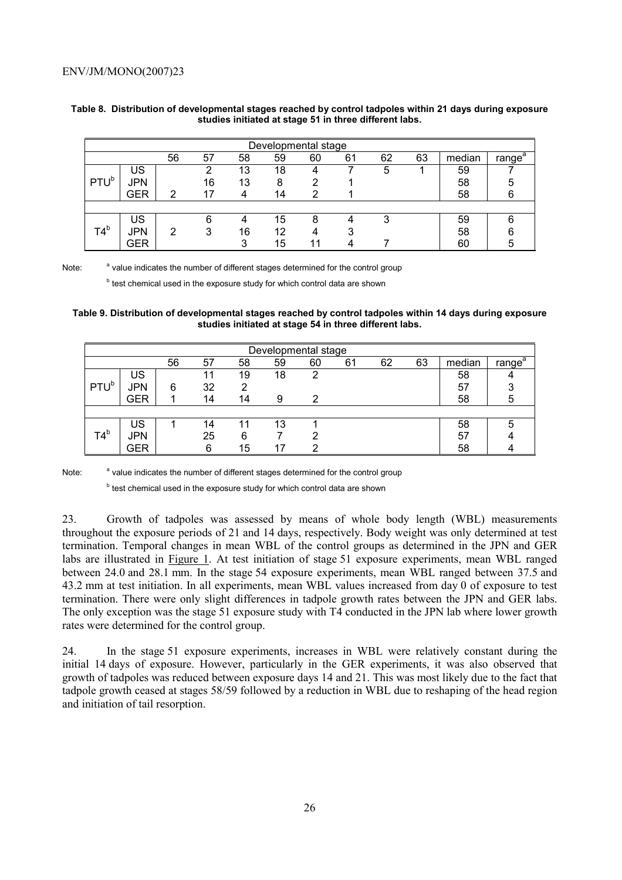|                  | Developmental stage |    |    |    |    |    |    |    |    |        |                         |  |  |  |
|------------------|---------------------|----|----|----|----|----|----|----|----|--------|-------------------------|--|--|--|
|                  |                     | 56 | 57 | 58 | 59 | 60 | 61 | 62 | 63 | median | a<br>range <sup>®</sup> |  |  |  |
|                  | US                  |    |    | 13 | 18 | 4  |    | 5  |    | 59     |                         |  |  |  |
| PTU <sup>b</sup> | JPN                 |    | 16 | 13 | 8  |    |    |    |    | 58     | 5                       |  |  |  |
|                  | GER                 | っ  |    | 4  | 14 |    |    |    |    | 58     | 6                       |  |  |  |
|                  |                     |    |    |    |    |    |    |    |    |        |                         |  |  |  |
|                  | US                  |    | 6  | 4  | 15 | 8  |    | 3  |    | 59     | 6                       |  |  |  |
| T4 <sup>b</sup>  | <b>JPN</b>          | っ  | 3  | 16 | 12 | 4  |    |    |    | 58     | 6                       |  |  |  |
|                  | GER                 |    |    | ◠  | 15 |    |    |    |    | 60     | 5                       |  |  |  |

### **Table 8. Distribution of developmental stages reached by control tadpoles within 21 days during exposure studies initiated at stage 51 in three different labs.**

Note: <sup>a</sup> value indicates the number of different stages determined for the control group

<sup>b</sup> test chemical used in the exposure study for which control data are shown

### **Table 9. Distribution of developmental stages reached by control tadpoles within 14 days during exposure studies initiated at stage 54 in three different labs.**

|                  |     |    |    |    | Developmental stage |    |    |    |    |        |                    |
|------------------|-----|----|----|----|---------------------|----|----|----|----|--------|--------------------|
|                  |     | 56 | 57 | 58 | 59                  | 60 | 61 | 62 | 63 | median | range <sup>a</sup> |
|                  | US  |    |    | 19 | 18                  | າ  |    |    |    | 58     |                    |
| PTU <sup>b</sup> | JPN | 6  | 32 | 2  |                     |    |    |    |    | 57     | ີ                  |
|                  | GER |    | 14 | 14 | 9                   | 2  |    |    |    | 58     | 5                  |
|                  |     |    |    |    |                     |    |    |    |    |        |                    |
|                  | US  |    | 14 |    | 13                  |    |    |    |    | 58     | 5                  |
| T4 <sup>b</sup>  | JPN |    | 25 | 6  |                     | ◠  |    |    |    | 57     |                    |
|                  | GER |    | 6  | 15 |                     |    |    |    |    | 58     |                    |

Note: <sup>a</sup> value indicates the number of different stages determined for the control group

<sup>b</sup> test chemical used in the exposure study for which control data are shown

23. Growth of tadpoles was assessed by means of whole body length (WBL) measurements throughout the exposure periods of 21 and 14 days, respectively. Body weight was only determined at test termination. Temporal changes in mean WBL of the control groups as determined in the JPN and GER labs are illustrated in Figure 1. At test initiation of stage 51 exposure experiments, mean WBL ranged between 24.0 and 28.1 mm. In the stage 54 exposure experiments, mean WBL ranged between 37.5 and 43.2 mm at test initiation. In all experiments, mean WBL values increased from day 0 of exposure to test termination. There were only slight differences in tadpole growth rates between the JPN and GER labs. The only exception was the stage 51 exposure study with T4 conducted in the JPN lab where lower growth rates were determined for the control group.

24. In the stage 51 exposure experiments, increases in WBL were relatively constant during the initial 14 days of exposure. However, particularly in the GER experiments, it was also observed that growth of tadpoles was reduced between exposure days 14 and 21. This was most likely due to the fact that tadpole growth ceased at stages 58/59 followed by a reduction in WBL due to reshaping of the head region and initiation of tail resorption.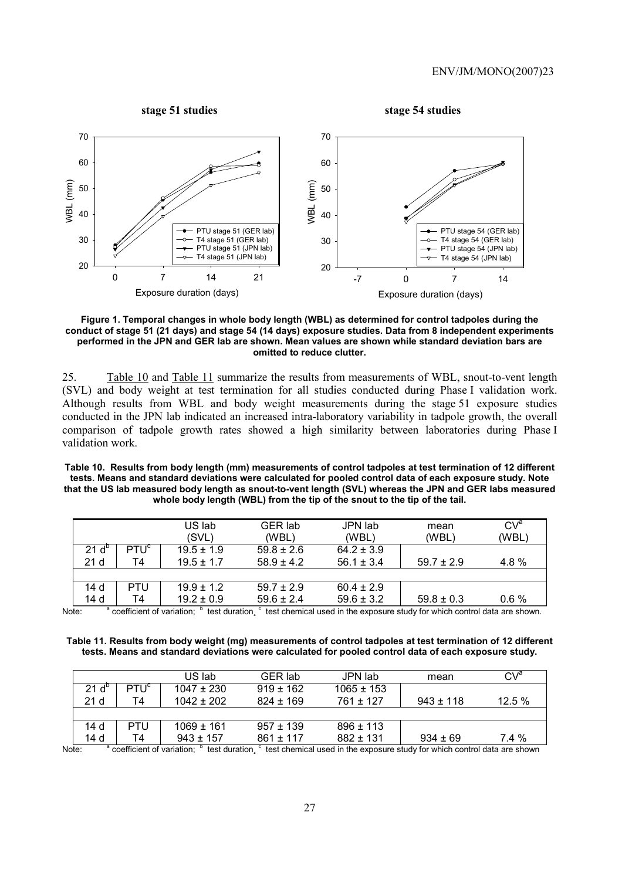

**Figure 1. Temporal changes in whole body length (WBL) as determined for control tadpoles during the conduct of stage 51 (21 days) and stage 54 (14 days) exposure studies. Data from 8 independent experiments performed in the JPN and GER lab are shown. Mean values are shown while standard deviation bars are omitted to reduce clutter.** 

25. Table 10 and Table 11 summarize the results from measurements of WBL, snout-to-vent length (SVL) and body weight at test termination for all studies conducted during Phase I validation work. Although results from WBL and body weight measurements during the stage 51 exposure studies conducted in the JPN lab indicated an increased intra-laboratory variability in tadpole growth, the overall comparison of tadpole growth rates showed a high similarity between laboratories during Phase I validation work.

**Table 10. Results from body length (mm) measurements of control tadpoles at test termination of 12 different tests. Means and standard deviations were calculated for pooled control data of each exposure study. Note that the US lab measured body length as snout-to-vent length (SVL) whereas the JPN and GER labs measured whole body length (WBL) from the tip of the snout to the tip of the tail.** 

|                |                  | US lab<br>(SVL) | <b>GER lab</b><br>(WBL) | JPN lab<br>(WBL) | mean<br>(WBL`  | CV <sup>a</sup><br>(WBL |
|----------------|------------------|-----------------|-------------------------|------------------|----------------|-------------------------|
| $21 d^{\circ}$ | PTU <sup>c</sup> | $19.5 \pm 1.9$  | $59.8 \pm 2.6$          | $64.2 \pm 3.9$   |                |                         |
| 21 d           | Τ4               | $19.5 \pm 1.7$  | $58.9 \pm 4.2$          | $56.1 \pm 3.4$   | $59.7 \pm 2.9$ | 4.8 %                   |
|                |                  |                 |                         |                  |                |                         |
| 14 d           | PTU              | $19.9 \pm 1.2$  | $59.7 \pm 2.9$          | $60.4 \pm 2.9$   |                |                         |
| 14 d           | Τ4               | $19.2 \pm 0.9$  | $59.6 \pm 2.4$          | $59.6 \pm 3.2$   | $59.8 \pm 0.3$ | 0.6%                    |

Note: coefficient of variation; test duration, <sup>c</sup> test chemical used in the exposure study for which control data are shown.

**Table 11. Results from body weight (mg) measurements of control tadpoles at test termination of 12 different tests. Means and standard deviations were calculated for pooled control data of each exposure study.** 

|       |                 |                           | US lab         | GER lab       | JPN lab        | mean                                                                      | CVª      |
|-------|-----------------|---------------------------|----------------|---------------|----------------|---------------------------------------------------------------------------|----------|
|       | $21 d^{\circ}$  | PTU <sup>c</sup>          | $1047 + 230$   | $919 \pm 162$ | $1065 \pm 153$ |                                                                           |          |
|       | 21 <sub>d</sub> | Τ4                        | $1042 + 202$   | $824 \pm 169$ | 761 ± 127      | $943 \pm 118$                                                             | 12.5%    |
|       |                 |                           |                |               |                |                                                                           |          |
|       | 14 <sub>d</sub> | PTU                       | $1069 \pm 161$ | $957 + 139$   | $896 \pm 113$  |                                                                           |          |
|       | 14 d            | Τ4                        | $943 \pm 157$  | $861 + 117$   | $882 \pm 131$  | $934 \pm 69$                                                              | $7.4 \%$ |
| Note: |                 | coefficient of variation: | test duration  |               |                | test chemical used in the exposure study for which control data are shown |          |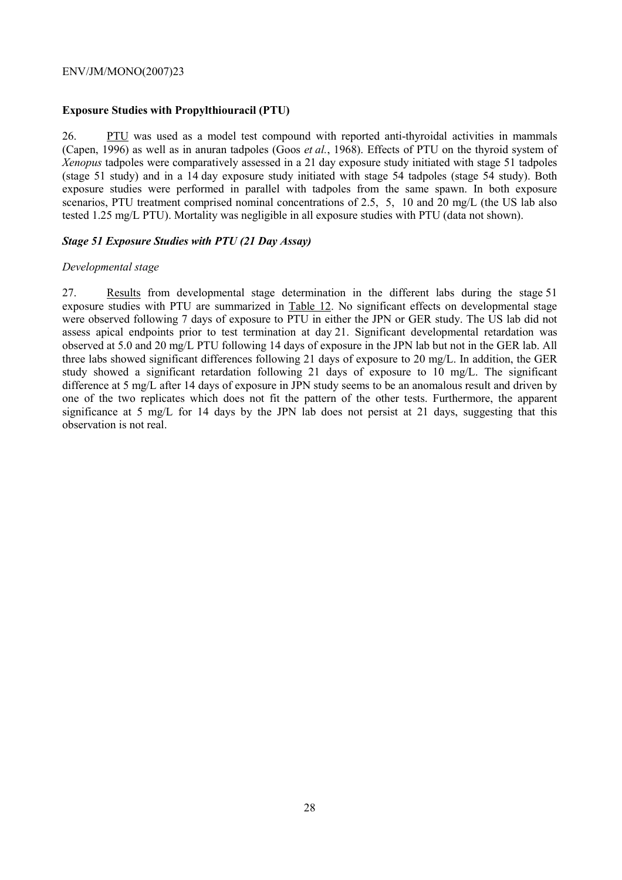# **Exposure Studies with Propylthiouracil (PTU)**

26. PTU was used as a model test compound with reported anti-thyroidal activities in mammals (Capen, 1996) as well as in anuran tadpoles (Goos *et al.*, 1968). Effects of PTU on the thyroid system of *Xenopus* tadpoles were comparatively assessed in a 21 day exposure study initiated with stage 51 tadpoles (stage 51 study) and in a 14 day exposure study initiated with stage 54 tadpoles (stage 54 study). Both exposure studies were performed in parallel with tadpoles from the same spawn. In both exposure scenarios, PTU treatment comprised nominal concentrations of 2.5, 5, 10 and 20 mg/L (the US lab also tested 1.25 mg/L PTU). Mortality was negligible in all exposure studies with PTU (data not shown).

# *Stage 51 Exposure Studies with PTU (21 Day Assay)*

# *Developmental stage*

27. Results from developmental stage determination in the different labs during the stage 51 exposure studies with PTU are summarized in Table 12. No significant effects on developmental stage were observed following 7 days of exposure to PTU in either the JPN or GER study. The US lab did not assess apical endpoints prior to test termination at day 21. Significant developmental retardation was observed at 5.0 and 20 mg/L PTU following 14 days of exposure in the JPN lab but not in the GER lab. All three labs showed significant differences following 21 days of exposure to 20 mg/L. In addition, the GER study showed a significant retardation following 21 days of exposure to 10 mg/L. The significant difference at 5 mg/L after 14 days of exposure in JPN study seems to be an anomalous result and driven by one of the two replicates which does not fit the pattern of the other tests. Furthermore, the apparent significance at 5 mg/L for 14 days by the JPN lab does not persist at 21 days, suggesting that this observation is not real.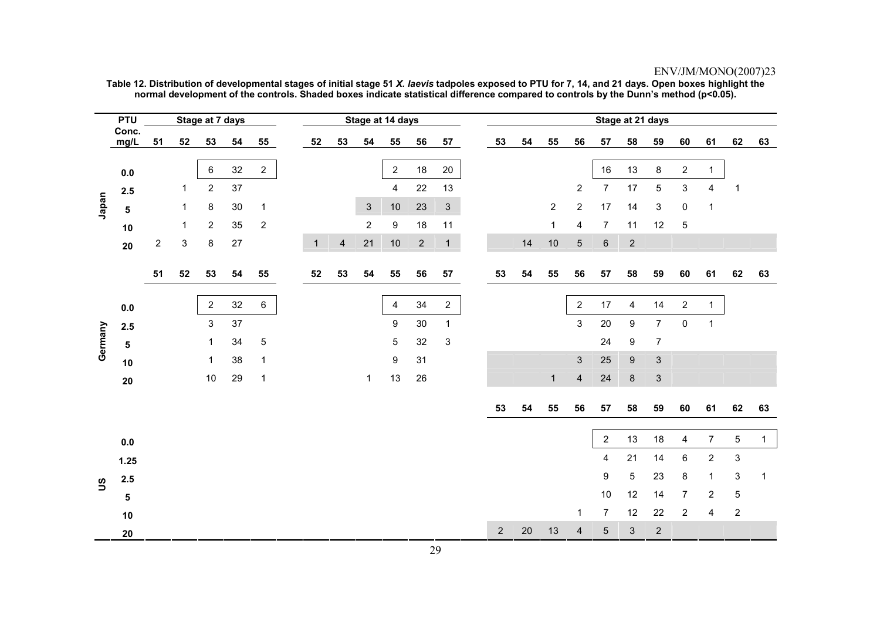|          | <b>PTU</b>    |                |             | Stage at 7 days |    |                |              |                         |                | Stage at 14 days |            |                |    |    |                |                         |                 | Stage at 21 days |                           |                           |                         |                           |             |
|----------|---------------|----------------|-------------|-----------------|----|----------------|--------------|-------------------------|----------------|------------------|------------|----------------|----|----|----------------|-------------------------|-----------------|------------------|---------------------------|---------------------------|-------------------------|---------------------------|-------------|
|          | Conc.<br>mg/L | 51             | 52          | 53              | 54 | 55             | 52           | 53                      | 54             | 55               | 56         | 57             | 53 | 54 | 55             | 56                      | 57              | 58               | 59                        | 60                        | 61                      | 62                        | 63          |
|          |               |                |             |                 |    |                |              |                         |                |                  |            |                |    |    |                |                         |                 |                  |                           |                           |                         |                           |             |
|          | $0.0\,$       |                |             | 6               | 32 | $\overline{2}$ |              |                         |                | $\overline{2}$   | 18         | 20             |    |    |                |                         | 16              | 13               | 8                         | $\overline{\mathbf{c}}$   | $\mathbf{1}$            |                           |             |
|          | 2.5           |                | 1           | $\overline{2}$  | 37 |                |              |                         |                | 4                | 22         | 13             |    |    |                | $\overline{\mathbf{c}}$ | $\overline{7}$  | 17               | 5                         | $\ensuremath{\mathsf{3}}$ | $\overline{\mathbf{4}}$ | $\overline{1}$            |             |
| Japan    | $\sqrt{5}$    |                | $\mathbf 1$ | 8               | 30 | $\mathbf{1}$   |              |                         | $\mathbf{3}$   | $10$             | 23         | $\mathfrak{S}$ |    |    | $\overline{2}$ | $\overline{c}$          | 17              | 14               | 3                         | $\pmb{0}$                 | $\mathbf 1$             |                           |             |
|          | 10            |                | 1           | $\overline{2}$  | 35 | $\overline{2}$ |              |                         | $\overline{2}$ | 9                | 18         | 11             |    |    | $\mathbf{1}$   | 4                       | $\overline{7}$  | 11               | 12                        | 5                         |                         |                           |             |
|          | 20            | $\overline{2}$ | 3           | $\bf 8$         | 27 |                | $\mathbf{1}$ | $\overline{\mathbf{4}}$ | 21             | $10$             | $\sqrt{2}$ | $\mathbf{1}$   |    | 14 | $10$           | 5                       | $\,6\,$         | $\sqrt{2}$       |                           |                           |                         |                           |             |
|          |               | 51             | 52          | 53              | 54 | 55             | 52           | 53                      | 54             | 55               | 56         | 57             | 53 | 54 | 55             | 56                      | 57              | 58               | 59                        | 60                        | 61                      | 62                        | 63          |
|          |               |                |             |                 |    |                |              |                         |                |                  |            |                |    |    |                |                         |                 |                  |                           |                           |                         |                           |             |
|          | $0.0\,$       |                |             | $\overline{2}$  | 32 | 6              |              |                         |                | 4                | 34         | $\mathbf{2}$   |    |    |                | $\overline{2}$          | 17              | 4                | 14                        | $\mathbf 2$               | $\mathbf{1}$            |                           |             |
|          | 2.5           |                |             | $\sqrt{3}$      | 37 |                |              |                         |                | 9                | 30         | $\mathbf 1$    |    |    |                | 3                       | 20              | $\boldsymbol{9}$ | $\overline{7}$            | $\pmb{0}$                 | $\mathbf 1$             |                           |             |
| Germany  | ${\bf 5}$     |                |             | $\mathbf 1$     | 34 | $\mathbf 5$    |              |                         |                | 5                | 32         | 3              |    |    |                |                         | 24              | 9                | $\overline{7}$            |                           |                         |                           |             |
|          | 10            |                |             | 1               | 38 | $\mathbf{1}$   |              |                         |                | 9                | 31         |                |    |    |                | $\mathfrak{S}$          | 25              | $\boldsymbol{9}$ | $\mathbf{3}$              |                           |                         |                           |             |
|          | ${\bf 20}$    |                |             | 10              | 29 | $\mathbf 1$    |              |                         | $\mathbf{1}$   | 13               | 26         |                |    |    | $\mathbf{1}$   | $\overline{\mathbf{4}}$ | 24              | $\bf 8$          | $\ensuremath{\mathsf{3}}$ |                           |                         |                           |             |
|          |               |                |             |                 |    |                |              |                         |                |                  |            |                |    |    |                |                         |                 |                  |                           |                           |                         |                           |             |
|          |               |                |             |                 |    |                |              |                         |                |                  |            |                | 53 | 54 | 55             | 56                      | 57              | 58               | 59                        | 60                        | 61                      | 62                        | 63          |
|          |               |                |             |                 |    |                |              |                         |                |                  |            |                |    |    |                |                         | $\overline{2}$  | 13               | $18$                      | $\overline{\mathbf{4}}$   | $\boldsymbol{7}$        | $\mathbf 5$               | $\mathbf 1$ |
|          | $0.0\,$       |                |             |                 |    |                |              |                         |                |                  |            |                |    |    |                |                         |                 |                  |                           |                           |                         |                           |             |
|          | 1.25          |                |             |                 |    |                |              |                         |                |                  |            |                |    |    |                |                         | 4               | 21               | 14                        | $\,6\,$                   | $\mathbf{2}$            | $\ensuremath{\mathsf{3}}$ |             |
| <u>ဗ</u> | $2.5\,$       |                |             |                 |    |                |              |                         |                |                  |            |                |    |    |                |                         | 9               | $\sqrt{5}$       | 23                        | 8                         | $\mathbf 1$             | $\ensuremath{\mathsf{3}}$ | 1           |
|          | $\sqrt{5}$    |                |             |                 |    |                |              |                         |                |                  |            |                |    |    |                |                         | 10              | 12               | 14                        | $\overline{7}$            | $\overline{\mathbf{c}}$ | $\mathbf 5$               |             |
|          | 10            |                |             |                 |    |                |              |                         |                |                  |            |                |    |    |                | 1                       | 7               | 12               | 22                        | $\overline{c}$            | 4                       | $\boldsymbol{2}$          |             |
|          | 20            |                |             |                 |    |                |              |                         |                |                  |            |                | 2  | 20 | 13             | 4                       | $5\phantom{.0}$ | 3                | $\overline{2}$            |                           |                         |                           |             |

**Table 12. Distribution of developmental stages of initial stage 51** *X. laevis* **tadpoles exposed to PTU for 7, 14, and 21 days. Open boxes highlight the normal development of the controls. Shaded boxes indicate statistical difference compared to controls by the Dunn's method (p<0.05).**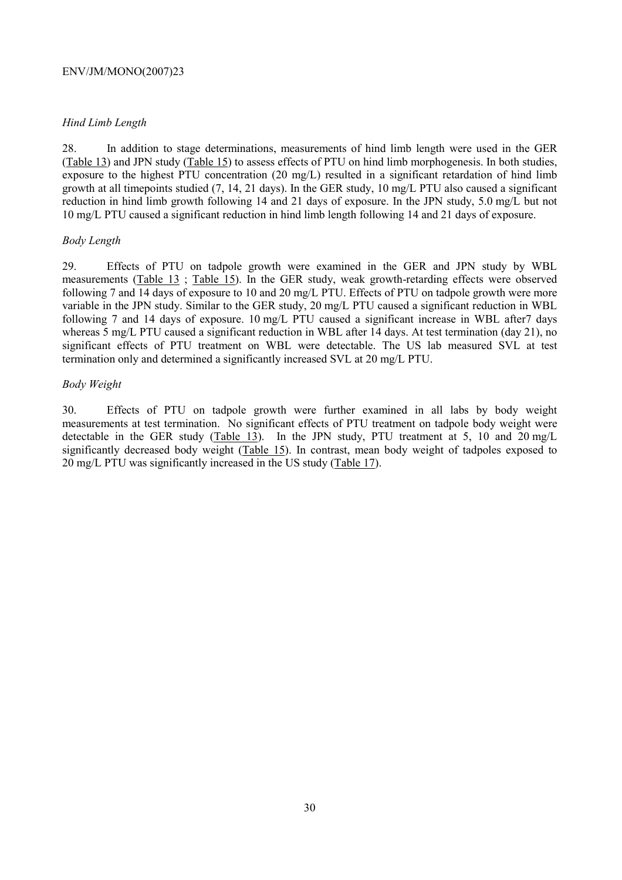# *Hind Limb Length*

28. In addition to stage determinations, measurements of hind limb length were used in the GER (Table 13) and JPN study (Table 15) to assess effects of PTU on hind limb morphogenesis. In both studies, exposure to the highest PTU concentration (20 mg/L) resulted in a significant retardation of hind limb growth at all timepoints studied (7, 14, 21 days). In the GER study, 10 mg/L PTU also caused a significant reduction in hind limb growth following 14 and 21 days of exposure. In the JPN study, 5.0 mg/L but not 10 mg/L PTU caused a significant reduction in hind limb length following 14 and 21 days of exposure.

# *Body Length*

29. Effects of PTU on tadpole growth were examined in the GER and JPN study by WBL measurements (Table 13 ; Table 15). In the GER study, weak growth-retarding effects were observed following 7 and 14 days of exposure to 10 and 20 mg/L PTU. Effects of PTU on tadpole growth were more variable in the JPN study. Similar to the GER study, 20 mg/L PTU caused a significant reduction in WBL following 7 and 14 days of exposure. 10 mg/L PTU caused a significant increase in WBL after7 days whereas 5 mg/L PTU caused a significant reduction in WBL after 14 days. At test termination (day 21), no significant effects of PTU treatment on WBL were detectable. The US lab measured SVL at test termination only and determined a significantly increased SVL at 20 mg/L PTU.

# *Body Weight*

30. Effects of PTU on tadpole growth were further examined in all labs by body weight measurements at test termination. No significant effects of PTU treatment on tadpole body weight were detectable in the GER study (Table 13). In the JPN study, PTU treatment at 5, 10 and 20 mg/L significantly decreased body weight (Table 15). In contrast, mean body weight of tadpoles exposed to 20 mg/L PTU was significantly increased in the US study (Table 17).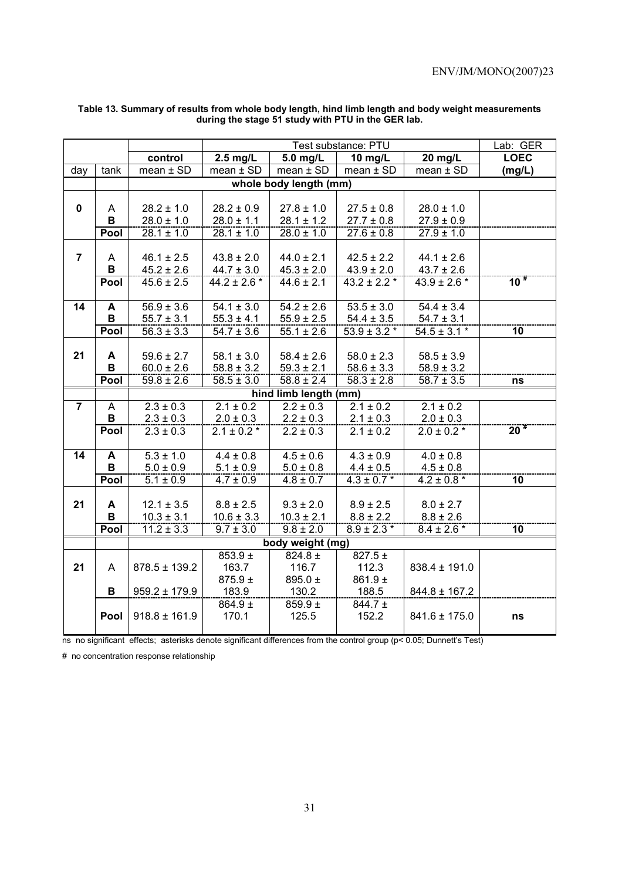|                |      |                   |                 |                        | Test substance: PTU |                   | Lab: GER        |
|----------------|------|-------------------|-----------------|------------------------|---------------------|-------------------|-----------------|
|                |      | control           | $2.5$ mg/L      | 5.0 mg/L               | 10 mg/L             | 20 mg/L           | <b>LOEC</b>     |
| day            | tank | $mean \pm SD$     | $mean \pm SD$   | $mean \pm SD$          | $mean \pm SD$       | $mean \pm SD$     | (mg/L)          |
|                |      |                   |                 | whole body length (mm) |                     |                   |                 |
|                |      |                   |                 |                        |                     |                   |                 |
| $\mathbf 0$    | A    | $28.2 \pm 1.0$    | $28.2 \pm 0.9$  | $27.8 \pm 1.0$         | $27.5 \pm 0.8$      | $28.0 \pm 1.0$    |                 |
|                | B    | $28.0 \pm 1.0$    | $28.0 \pm 1.1$  | $28.1 \pm 1.2$         | $27.7 \pm 0.8$      | $27.9 \pm 0.9$    |                 |
|                | Pool | $28.1 \pm 1.0$    | $28.1 \pm 1.0$  | $28.0 \pm 1.0$         | $27.6 \pm 0.8$      | $27.9 \pm 1.0$    |                 |
|                |      |                   |                 |                        |                     |                   |                 |
| $\overline{7}$ | A    | $46.1 \pm 2.5$    | $43.8 \pm 2.0$  | $44.0 \pm 2.1$         | $42.5 \pm 2.2$      | $44.1 \pm 2.6$    |                 |
|                | B    | $45.2 \pm 2.6$    | $44.7 \pm 3.0$  | $45.3 \pm 2.0$         | $43.9 \pm 2.0$      | $43.7 \pm 2.6$    |                 |
|                | Pool | $45.6 \pm 2.5$    | 44.2 ± 2.6 $*$  | $44.6 \pm 2.1$         | $43.2 \pm 2.2$ *    | $43.9 \pm 2.6$ *  | $10^{*}$        |
|                |      |                   |                 |                        |                     |                   |                 |
| 14             | A    | $56.9 \pm 3.6$    | $54.1 \pm 3.0$  | $54.2 \pm 2.6$         | $53.5 \pm 3.0$      | $54.4 \pm 3.4$    |                 |
|                | В    | $55.7 \pm 3.1$    | $55.3 \pm 4.1$  | $55.9 \pm 2.5$         | $54.4 \pm 3.5$      | $54.7 \pm 3.1$    |                 |
|                | Pool | $56.3 \pm 3.3$    | $54.7 \pm 3.6$  | $55.1 \pm 2.6$         | $53.9 \pm 3.2$ *    | $54.5 \pm 3.1$ *  | 10              |
|                |      |                   |                 |                        |                     |                   |                 |
| 21             | A    | $59.6 \pm 2.7$    | $58.1 \pm 3.0$  | $58.4 \pm 2.6$         | $58.0 \pm 2.3$      | $58.5 \pm 3.9$    |                 |
|                | B    | $60.0 \pm 2.6$    | $58.8 \pm 3.2$  | $59.3 \pm 2.1$         | $58.6 \pm 3.3$      | $58.9 \pm 3.2$    |                 |
|                | Pool | $59.8 \pm 2.6$    | $58.5 \pm 3.0$  | $58.8 \pm 2.4$         | $58.3 \pm 2.8$      | $58.7 \pm 3.5$    | ns              |
|                |      |                   |                 | hind limb length (mm)  |                     |                   |                 |
| $\overline{7}$ | A    | $2.3 \pm 0.3$     | $2.1 \pm 0.2$   | $2.2 \pm 0.3$          | $2.1 \pm 0.2$       | $2.1 \pm 0.2$     |                 |
|                | В    | $2.3 \pm 0.3$     | $2.0 \pm 0.3$   | $2.2 \pm 0.3$          | $2.1 \pm 0.3$       | $2.0 \pm 0.3$     |                 |
|                | Pool | $2.3 \pm 0.3$     | $2.1 \pm 0.2$ * | $2.2 \pm 0.3$          | $2.1 \pm 0.2$       | $2.0 \pm 0.2$ *   | 20 <sup>#</sup> |
|                |      |                   |                 |                        |                     |                   |                 |
| 14             | A    | $5.3 \pm 1.0$     | $4.4 \pm 0.8$   | $4.5 \pm 0.6$          | $4.3 \pm 0.9$       | $4.0 \pm 0.8$     |                 |
|                | B    | $5.0 \pm 0.9$     | $5.1 \pm 0.9$   | $5.0 \pm 0.8$          | $4.4 \pm 0.5$       | $4.5 \pm 0.8$     |                 |
|                | Pool | $5.1 \pm 0.9$     | $4.7 \pm 0.9$   | $4.8 \pm 0.7$          | $4.3 \pm 0.7$ *     | $4.2 \pm 0.8$ *   | $\overline{10}$ |
|                |      |                   |                 |                        |                     |                   |                 |
| 21             | A    | $12.1 \pm 3.5$    | $8.8 \pm 2.5$   | $9.3 \pm 2.0$          | $8.9 \pm 2.5$       | $8.0 \pm 2.7$     |                 |
|                | B    | $10.3 \pm 3.1$    | $10.6 \pm 3.3$  | $10.3 \pm 2.1$         | $8.8 \pm 2.2$       | $8.8 \pm 2.6$     |                 |
|                | Pool | $11.2 \pm 3.3$    | $9.7 \pm 3.0$   | $9.8 \pm 2.0$          | $8.9 \pm 2.3$ *     | $8.4 \pm 2.6$ *   | $\overline{10}$ |
|                |      |                   |                 | body weight (mg)       |                     |                   |                 |
|                |      |                   | $853.9 +$       | 824.8 $\pm$            | $827.5 \pm$         |                   |                 |
| 21             | A    | $878.5 \pm 139.2$ | 163.7           | 116.7                  | 112.3               | $838.4 \pm 191.0$ |                 |
|                |      |                   | $875.9 \pm$     | 895.0 ±                | $861.9 \pm$         |                   |                 |
|                | B    | $959.2 \pm 179.9$ | 183.9           | 130.2                  | 188.5               | $844.8 \pm 167.2$ |                 |
|                |      |                   | $864.9 \pm$     | 859.9 $\pm$            | $844.7 \pm$         |                   |                 |
|                | Pool | $918.8 \pm 161.9$ | 170.1           | 125.5                  | 152.2               | $841.6 \pm 175.0$ | ns              |
|                |      |                   |                 |                        |                     |                   |                 |

### **Table 13. Summary of results from whole body length, hind limb length and body weight measurements during the stage 51 study with PTU in the GER lab.**

ns no significant effects; asterisks denote significant differences from the control group (p< 0.05; Dunnett's Test)

# no concentration response relationship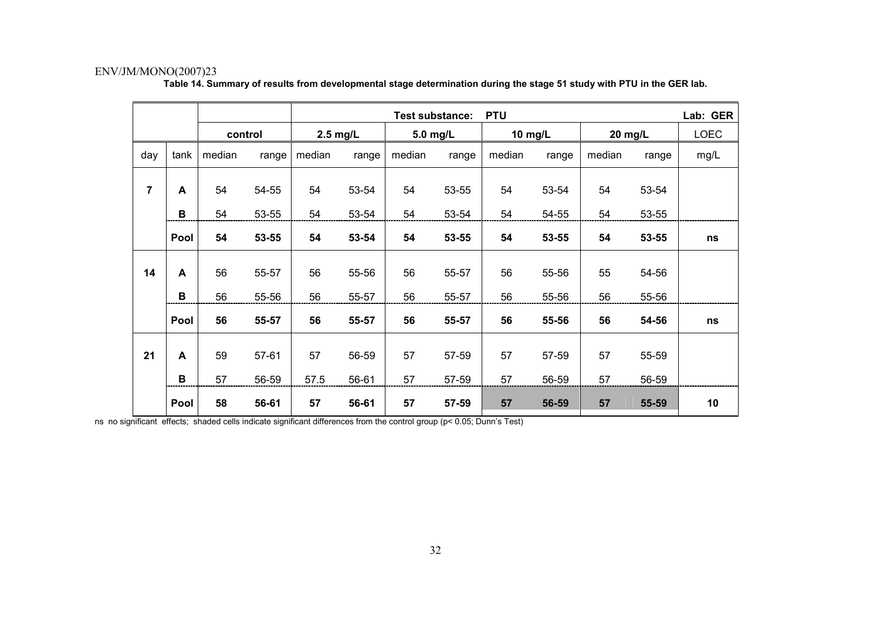|                |              |         |       |            |       | Test substance: |       | <b>PTU</b> |       |         |       | Lab: GER    |
|----------------|--------------|---------|-------|------------|-------|-----------------|-------|------------|-------|---------|-------|-------------|
|                |              | control |       | $2.5$ mg/L |       | 5.0 mg/L        |       | 10 mg/L    |       | 20 mg/L |       | <b>LOEC</b> |
| day            | tank         | median  | range | median     | range | median          | range | median     | range | median  | range | mg/L        |
| $\overline{7}$ | A            | 54      | 54-55 | 54         | 53-54 | 54              | 53-55 | 54         | 53-54 | 54      | 53-54 |             |
|                | В            | 54      | 53-55 | 54         | 53-54 | 54              | 53-54 | 54         | 54-55 | 54      | 53-55 |             |
|                | Pool         | 54      | 53-55 | 54         | 53-54 | 54              | 53-55 | 54         | 53-55 | 54      | 53-55 | ns          |
| 14             | $\mathsf{A}$ | 56      | 55-57 | 56         | 55-56 | 56              | 55-57 | 56         | 55-56 | 55      | 54-56 |             |
|                | В            | 56      | 55-56 | 56         | 55-57 | 56              | 55-57 | 56         | 55-56 | 56      | 55-56 |             |
|                | Pool         | 56      | 55-57 | 56         | 55-57 | 56              | 55-57 | 56         | 55-56 | 56      | 54-56 | ns          |
| 21             | A            | 59      | 57-61 | 57         | 56-59 | 57              | 57-59 | 57         | 57-59 | 57      | 55-59 |             |
|                | B            | 57      | 56-59 | 57.5       | 56-61 | 57              | 57-59 | 57         | 56-59 | 57      | 56-59 |             |
|                | Pool         | 58      | 56-61 | 57         | 56-61 | 57              | 57-59 | 57         | 56-59 | 57      | 55-59 | 10          |

**Table 14. Summary of results from developmental stage determination during the stage 51 study with PTU in the GER lab.** 

ns no significant effects; shaded cells indicate significant differences from the control group (p< 0.05; Dunn's Test)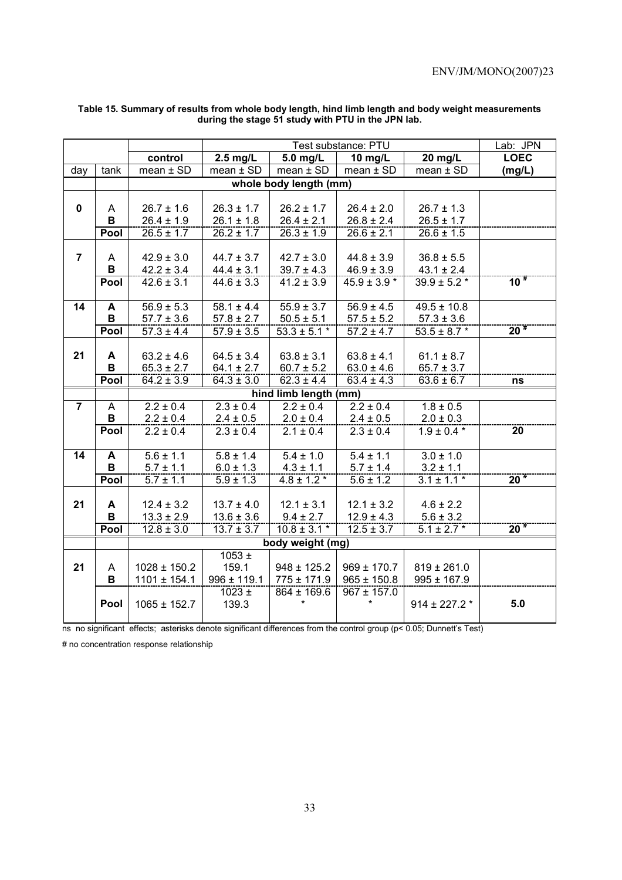|                |             |                  |                 |                        | Test substance: PTU       |                           | Lab: JPN           |
|----------------|-------------|------------------|-----------------|------------------------|---------------------------|---------------------------|--------------------|
|                |             | control          | $2.5$ mg/L      | 5.0 mg/L               | 10 mg/L                   | 20 $mg/L$                 | <b>LOEC</b>        |
| day            | tank        | $mean \pm SD$    | mean $\pm$ SD   | $mean \pm SD$          | $mean \pm SD$             | $mean \pm SD$             | (mg/L)             |
|                |             |                  |                 | whole body length (mm) |                           |                           |                    |
|                |             |                  |                 |                        |                           |                           |                    |
| 0              | A           | $26.7 \pm 1.6$   | $26.3 \pm 1.7$  | $26.2 \pm 1.7$         | $26.4 \pm 2.0$            | $26.7 \pm 1.3$            |                    |
|                | B           | $26.4 \pm 1.9$   | $26.1 \pm 1.8$  | $26.4 \pm 2.1$         | $26.8 \pm 2.4$            | $26.5 \pm 1.7$            |                    |
|                | Pool        | $26.5 \pm 1.7$   | $26.2 \pm 1.7$  | $26.3 \pm 1.9$         | $26.6 \pm 2.1$            | $26.6 \pm 1.5$            |                    |
|                |             |                  |                 |                        |                           |                           |                    |
| $\overline{7}$ | A           | $42.9 \pm 3.0$   | $44.7 \pm 3.7$  | $42.7 \pm 3.0$         | $44.8 \pm 3.9$            | $36.8 \pm 5.5$            |                    |
|                | В           | $42.2 \pm 3.4$   | $44.4 \pm 3.1$  | $39.7 \pm 4.3$         | $46.9 \pm 3.9$            | $43.1 \pm 2.4$            |                    |
|                | Pool        | $42.6 \pm 3.1$   | $44.6 \pm 3.3$  | $41.2 \pm 3.9$         | $45.9 \pm 3.9$ *          | $39.9 \pm 5.2$ *          | 10 <sup>#</sup>    |
|                |             |                  |                 |                        |                           |                           |                    |
| 14             | A           | $56.9 \pm 5.3$   | $58.1 \pm 4.4$  | $55.9 \pm 3.7$         | $\overline{56.9} \pm 4.5$ | $49.5 \pm 10.8$           |                    |
|                | B           | $57.7 \pm 3.6$   | $57.8 \pm 2.7$  | $50.5 \pm 5.1$         | $57.5 \pm 5.2$            | $57.3 \pm 3.6$            |                    |
|                | Pool        | $57.3 \pm 4.4$   | $57.9 \pm 3.5$  | $53.3 \pm 5.1$ *       | $57.2 \pm 4.7$            | $53.5 \pm 8.7$ *          | $20^{+}$           |
|                |             |                  |                 |                        |                           |                           |                    |
| 21             | A           | $63.2 \pm 4.6$   | $64.5 \pm 3.4$  | $63.8 \pm 3.1$         | $63.8 \pm 4.1$            | $61.1 \pm 8.7$            |                    |
|                | $\mathbf B$ | $65.3 \pm 2.7$   | $64.1 \pm 2.7$  | $60.7 \pm 5.2$         | $63.0 \pm 4.6$            | $65.7 \pm 3.7$            |                    |
|                | Pool        | $64.2 \pm 3.9$   | $64.3 \pm 3.0$  | $62.3 \pm 4.4$         | $63.4 \pm 4.3$            | $63.6 \pm 6.7$            | ns                 |
|                |             |                  |                 | hind limb length (mm)  |                           |                           |                    |
| $\overline{7}$ | A           | $2.2 \pm 0.4$    | $2.3 \pm 0.4$   | $2.2 \pm 0.4$          | $2.2 \pm 0.4$             | $1.8 \pm 0.5$             |                    |
|                | B           | $2.2 \pm 0.4$    | $2.4 \pm 0.5$   | $2.0 \pm 0.4$          | $2.4 \pm 0.5$             | $2.0 \pm 0.3$             |                    |
|                | Pool        | $2.2 \pm 0.4$    | $2.3 \pm 0.4$   | $2.1 \pm 0.4$          | $2.3 \pm 0.4$             | $1.9 \pm 0.4$ *           | $\overline{20}$    |
|                |             |                  |                 |                        |                           |                           |                    |
| 14             | A           | $5.6 \pm 1.1$    | $5.8 \pm 1.4$   | $5.4 \pm 1.0$          | $5.4 \pm 1.1$             | $3.0 \pm 1.0$             |                    |
|                | B           | $5.7 \pm 1.1$    | $6.0 \pm 1.3$   | $4.3 \pm 1.1$          | $5.7 \pm 1.4$             | $3.2 \pm 1.1$             |                    |
|                | Pool        | $5.7 \pm 1.1$    | $5.9 \pm 1.3$   | $4.8 \pm 1.2$ *        | $5.6 \pm 1.2$             | $\frac{1}{3.1 \pm 1.1}$ * | $20^{\frac{m}{2}}$ |
|                |             |                  |                 |                        |                           |                           |                    |
| 21             | A           | $12.4 \pm 3.2$   | $13.7 \pm 4.0$  | $12.1 \pm 3.1$         | $12.1 \pm 3.2$            | $4.6 \pm 2.2$             |                    |
|                | B           | $13.3 \pm 2.9$   | $13.6 \pm 3.6$  | $9.4 \pm 2.7$          | $12.9 \pm 4.3$            | $5.6 \pm 3.2$             |                    |
|                | Pool        | $12.8 \pm 3.0$   | $13.7 \pm 3.7$  | $10.8 \pm 3.1*$        | $12.5 \pm 3.7$            | $5.1 \pm 2.7$ *           | $20^{4}$           |
|                |             |                  |                 | body weight (mg)       |                           |                           |                    |
|                |             |                  | $1053 \pm$      |                        |                           |                           |                    |
| 21             | A           | $1028 \pm 150.2$ | 159.1           | $948 \pm 125.2$        | $969 \pm 170.7$           | $819 \pm 261.0$           |                    |
|                | B           | $1101 \pm 154.1$ | $996 \pm 119.1$ | $775 \pm 171.9$        | $965 \pm 150.8$           | $995 \pm 167.9$           |                    |
|                |             |                  | $1023 \pm$      | 864 ± 169.6            | $967 \pm 157.0$           |                           |                    |
|                | Pool        | $1065 \pm 152.7$ | 139.3           |                        |                           | $914 \pm 227.2$ *         | 5.0                |
|                |             |                  |                 |                        |                           |                           |                    |

### **Table 15. Summary of results from whole body length, hind limb length and body weight measurements during the stage 51 study with PTU in the JPN lab.**

ns no significant effects; asterisks denote significant differences from the control group (p< 0.05; Dunnett's Test)

# no concentration response relationship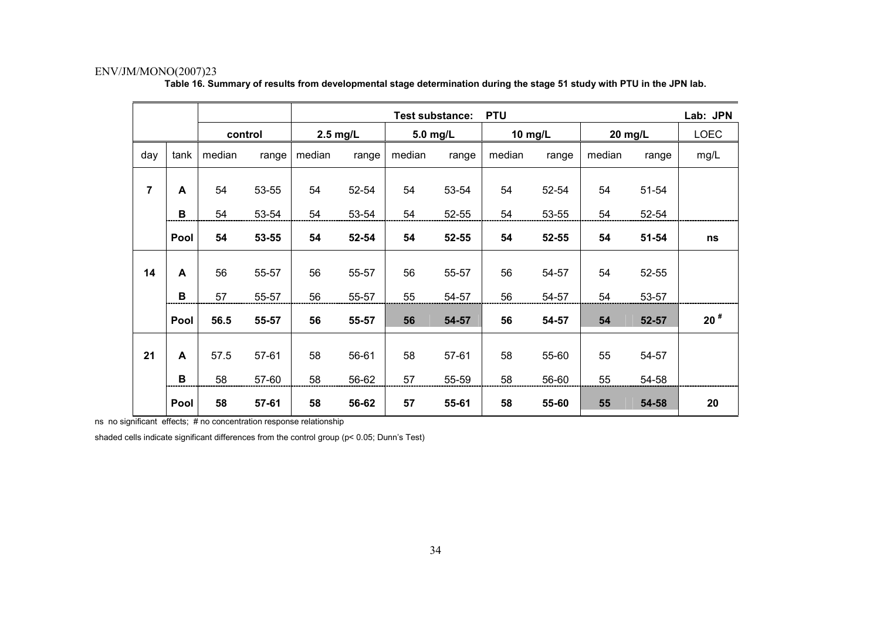|                |      |         |       |            |       |        | <b>Test substance:</b> | <b>PTU</b> |       |        |           | Lab: JPN    |
|----------------|------|---------|-------|------------|-------|--------|------------------------|------------|-------|--------|-----------|-------------|
|                |      | control |       | $2.5$ mg/L |       |        | 5.0 mg/L               | 10 mg/L    |       |        | 20 mg/L   | <b>LOEC</b> |
| day            | tank | median  | range | median     | range | median | range                  | median     | range | median | range     | mg/L        |
| $\overline{7}$ | A    | 54      | 53-55 | 54         | 52-54 | 54     | 53-54                  | 54         | 52-54 | 54     | 51-54     |             |
|                | B    | 54      | 53-54 | 54         | 53-54 | 54     | 52-55                  | 54         | 53-55 | 54     | 52-54     |             |
|                | Pool | 54      | 53-55 | 54         | 52-54 | 54     | 52-55                  | 54         | 52-55 | 54     | $51 - 54$ | ns          |
| 14             | A    | 56      | 55-57 | 56         | 55-57 | 56     | 55-57                  | 56         | 54-57 | 54     | 52-55     |             |
|                | B    | 57      | 55-57 | 56         | 55-57 | 55     | 54-57                  | 56         | 54-57 | 54     | 53-57     |             |
|                | Pool | 56.5    | 55-57 | 56         | 55-57 | 56     | 54-57                  | 56         | 54-57 | 54     | 52-57     | $20^{\#}$   |
| 21             | A    | 57.5    | 57-61 | 58         | 56-61 | 58     | 57-61                  | 58         | 55-60 | 55     | 54-57     |             |
|                | B    | 58      | 57-60 | 58         | 56-62 | 57     | 55-59                  | 58         | 56-60 | 55     | 54-58     |             |
|                | Pool | 58      | 57-61 | 58         | 56-62 | 57     | 55-61                  | 58         | 55-60 | 55     | 54-58     | 20          |

**Table 16. Summary of results from developmental stage determination during the stage 51 study with PTU in the JPN lab.** 

ns no significant effects; # no concentration response relationship

shaded cells indicate significant differences from the control group (p< 0.05; Dunn's Test)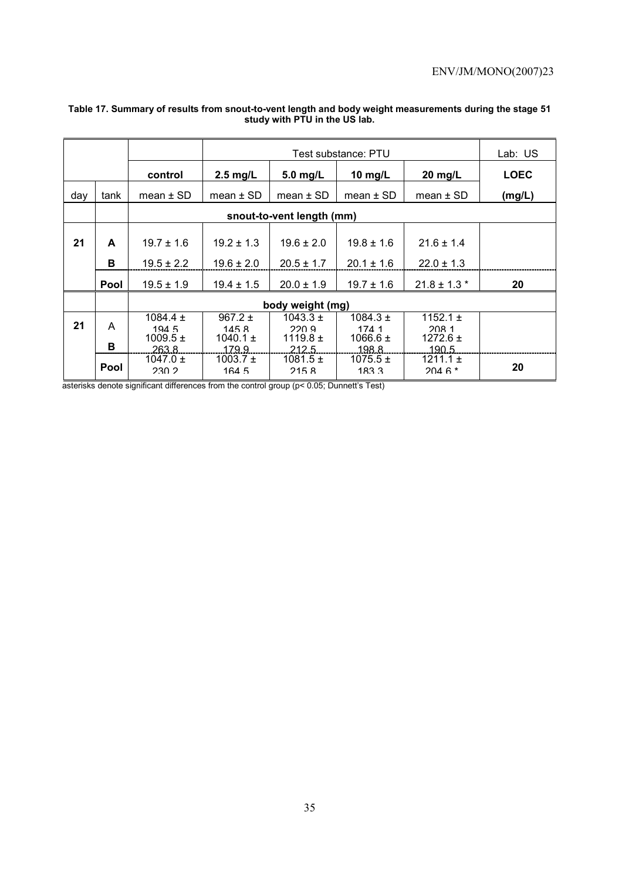|     |             |                                               |                                             | Test substance: PTU                            |                                               |                                                |             |  |  |  |  |  |
|-----|-------------|-----------------------------------------------|---------------------------------------------|------------------------------------------------|-----------------------------------------------|------------------------------------------------|-------------|--|--|--|--|--|
|     |             | control                                       | $2.5$ mg/L                                  | $5.0$ mg/L                                     | 10 $mg/L$                                     | $20$ mg/L                                      | <b>LOEC</b> |  |  |  |  |  |
| day | tank        | mean $\pm$ SD                                 | mean $\pm$ SD                               | mean $\pm$ SD                                  | $mean \pm SD$                                 | mean $\pm$ SD                                  | (mg/L)      |  |  |  |  |  |
|     |             |                                               |                                             | snout-to-vent length (mm)                      |                                               |                                                |             |  |  |  |  |  |
| 21  | A           | $19.7 \pm 1.6$                                | $19.2 \pm 1.3$                              | $19.6 \pm 2.0$                                 | $19.8 \pm 1.6$                                | $21.6 \pm 1.4$                                 |             |  |  |  |  |  |
|     | в           | $19.5 \pm 2.2$                                | $19.6 \pm 2.0$                              | $20.5 \pm 1.7$                                 | $20.1 \pm 1.6$                                | $22.0 \pm 1.3$                                 |             |  |  |  |  |  |
|     | <b>Pool</b> | $19.5 \pm 1.9$                                | $19.4 \pm 1.5$                              | $20.0 \pm 1.9$                                 | $19.7 \pm 1.6$                                | $21.8 \pm 1.3$ *                               | 20          |  |  |  |  |  |
|     |             |                                               |                                             | body weight (mg)                               |                                               |                                                |             |  |  |  |  |  |
| 21  | A<br>в      | 1084.4 $\pm$<br>1945<br>$1009.5 \pm$<br>263.8 | 967.2 $\pm$<br>1458<br>1040.1 $\pm$<br>1799 | $1043.3 \pm$<br>220.9<br>1119.8 $\pm$<br>212.5 | $1084.3 \pm$<br>174 1<br>1066.6 $\pm$<br>1988 | 1152.1 $\pm$<br>208.1<br>$1272.6 \pm$<br>190.5 |             |  |  |  |  |  |
|     | Pool        | 1047.0 $\pm$<br>230.2                         | 1003.7 $\pm$<br>164.5                       | $1081.5 \pm$<br>2158                           | $1075.5 \pm$<br>1833                          | $1211.1 \pm$<br>$2046*$                        | 20          |  |  |  |  |  |

### **Table 17. Summary of results from snout-to-vent length and body weight measurements during the stage 51 study with PTU in the US lab.**

asterisks denote significant differences from the control group (p< 0.05; Dunnett's Test)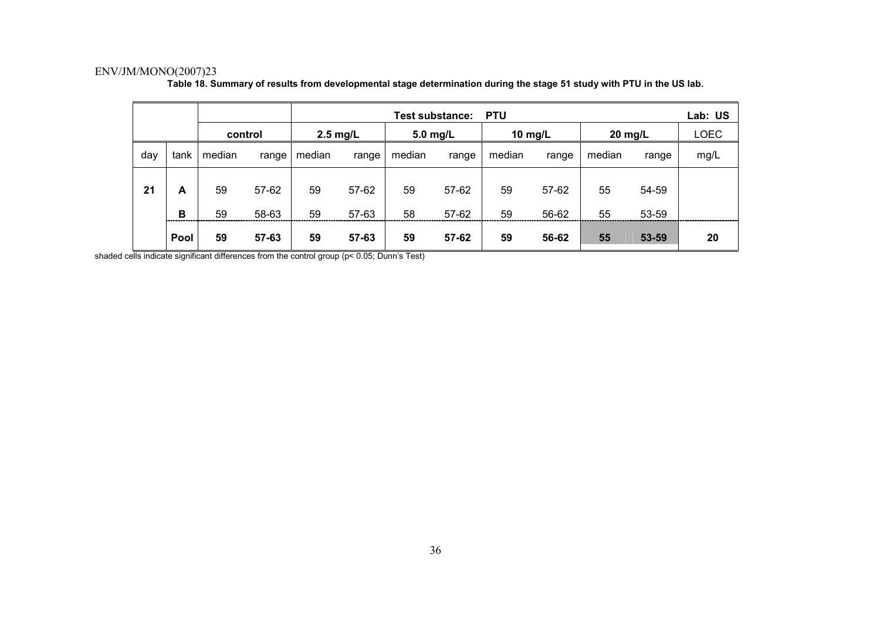|     |        |          |                |                    |                | <b>Test substance:</b> |                | <b>PTU</b> |                |          |                | Lab: US     |
|-----|--------|----------|----------------|--------------------|----------------|------------------------|----------------|------------|----------------|----------|----------------|-------------|
|     |        | control  |                | $2.5 \text{ mg/L}$ |                | 5.0 mg/L               |                | 10 mg/L    |                | 20 mg/L  |                | <b>LOEC</b> |
| day | tank   | median   | range          | median             | range          | median                 | range          | median     | range          | median   | range          | mg/L        |
| 21  | A<br>B | 59<br>59 | 57-62<br>58-63 | 59<br>59           | 57-62<br>57-63 | 59<br>58               | 57-62<br>57-62 | 59<br>59   | 57-62<br>56-62 | 55<br>55 | 54-59<br>53-59 |             |
|     | Pool   | 59       | 57-63          | 59                 | 57-63          | 59                     | 57-62          | 59         | 56-62          | 55       | 53-59          | 20          |

**Table 18. Summary of results from developmental stage determination during the stage 51 study with PTU in the US lab.** 

shaded cells indicate significant differences from the control group (p< 0.05; Dunn's Test)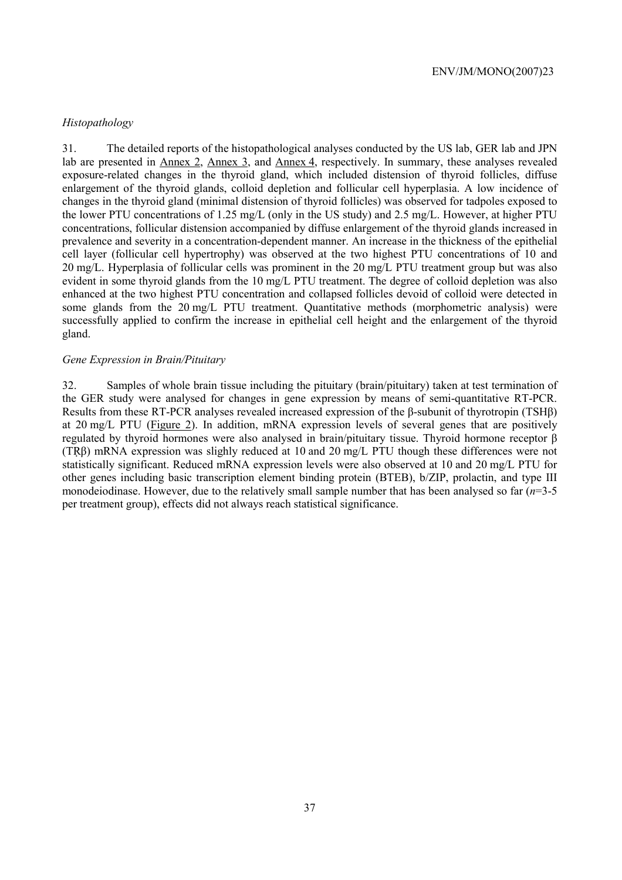# *Histopathology*

31. The detailed reports of the histopathological analyses conducted by the US lab, GER lab and JPN lab are presented in Annex 2, Annex 3, and Annex 4, respectively. In summary, these analyses revealed exposure-related changes in the thyroid gland, which included distension of thyroid follicles, diffuse enlargement of the thyroid glands, colloid depletion and follicular cell hyperplasia. A low incidence of changes in the thyroid gland (minimal distension of thyroid follicles) was observed for tadpoles exposed to the lower PTU concentrations of 1.25 mg/L (only in the US study) and 2.5 mg/L. However, at higher PTU concentrations, follicular distension accompanied by diffuse enlargement of the thyroid glands increased in prevalence and severity in a concentration-dependent manner. An increase in the thickness of the epithelial cell layer (follicular cell hypertrophy) was observed at the two highest PTU concentrations of 10 and 20 mg/L. Hyperplasia of follicular cells was prominent in the 20 mg/L PTU treatment group but was also evident in some thyroid glands from the 10 mg/L PTU treatment. The degree of colloid depletion was also enhanced at the two highest PTU concentration and collapsed follicles devoid of colloid were detected in some glands from the 20 mg/L PTU treatment. Quantitative methods (morphometric analysis) were successfully applied to confirm the increase in epithelial cell height and the enlargement of the thyroid gland.

### *Gene Expression in Brain/Pituitary*

32. Samples of whole brain tissue including the pituitary (brain/pituitary) taken at test termination of the GER study were analysed for changes in gene expression by means of semi-quantitative RT-PCR. Results from these RT-PCR analyses revealed increased expression of the β-subunit of thyrotropin (TSHβ) at 20 mg/L PTU (Figure 2). In addition, mRNA expression levels of several genes that are positively regulated by thyroid hormones were also analysed in brain/pituitary tissue. Thyroid hormone receptor β (TRβ) mRNA expression was slighly reduced at 10 and 20 mg/L PTU though these differences were not statistically significant. Reduced mRNA expression levels were also observed at 10 and 20 mg/L PTU for other genes including basic transcription element binding protein (BTEB), b/ZIP, prolactin, and type III monodeiodinase. However, due to the relatively small sample number that has been analysed so far (*n*=3-5 per treatment group), effects did not always reach statistical significance.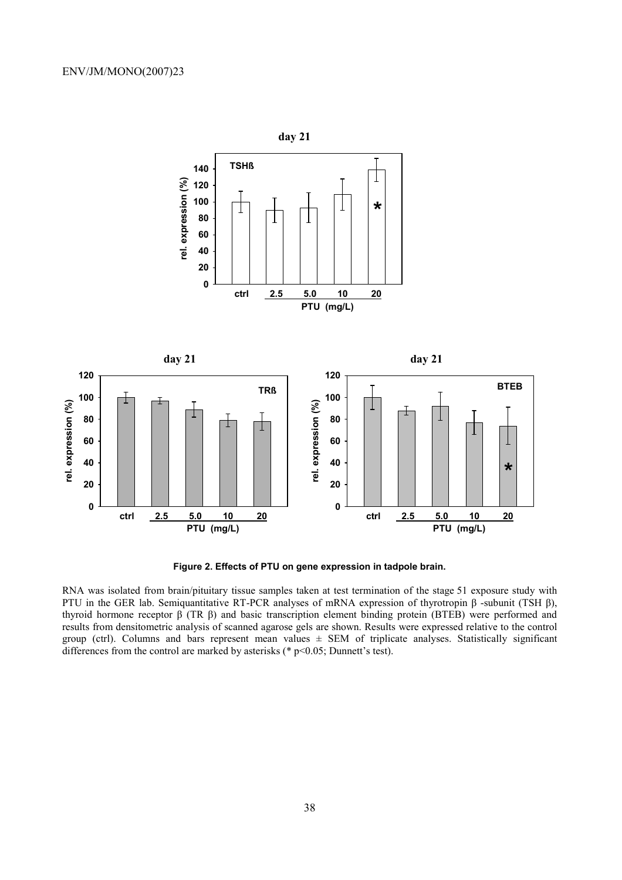

**Figure 2. Effects of PTU on gene expression in tadpole brain.** 

RNA was isolated from brain/pituitary tissue samples taken at test termination of the stage 51 exposure study with PTU in the GER lab. Semiquantitative RT-PCR analyses of mRNA expression of thyrotropin β -subunit (TSH β), thyroid hormone receptor β (TR β) and basic transcription element binding protein (BTEB) were performed and results from densitometric analysis of scanned agarose gels are shown. Results were expressed relative to the control group (ctrl). Columns and bars represent mean values  $\pm$  SEM of triplicate analyses. Statistically significant differences from the control are marked by asterisks ( $*$  p<0.05; Dunnett's test).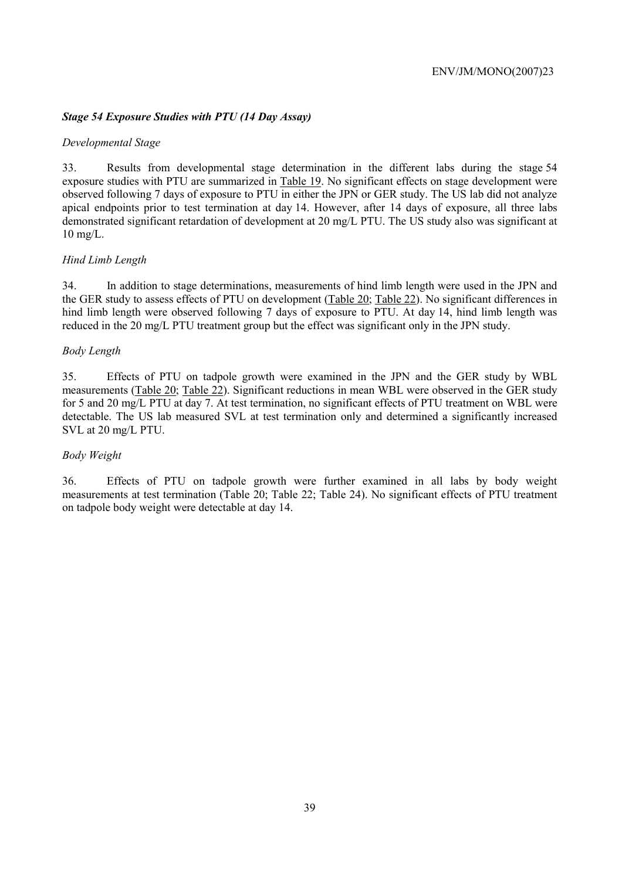# *Stage 54 Exposure Studies with PTU (14 Day Assay)*

# *Developmental Stage*

33. Results from developmental stage determination in the different labs during the stage 54 exposure studies with PTU are summarized in Table 19. No significant effects on stage development were observed following 7 days of exposure to PTU in either the JPN or GER study. The US lab did not analyze apical endpoints prior to test termination at day 14. However, after 14 days of exposure, all three labs demonstrated significant retardation of development at 20 mg/L PTU. The US study also was significant at 10 mg/L.

# *Hind Limb Length*

34. In addition to stage determinations, measurements of hind limb length were used in the JPN and the GER study to assess effects of PTU on development (Table 20; Table 22). No significant differences in hind limb length were observed following 7 days of exposure to PTU. At day 14, hind limb length was reduced in the 20 mg/L PTU treatment group but the effect was significant only in the JPN study.

## *Body Length*

35. Effects of PTU on tadpole growth were examined in the JPN and the GER study by WBL measurements (Table 20; Table 22). Significant reductions in mean WBL were observed in the GER study for 5 and 20 mg/L PTU at day 7. At test termination, no significant effects of PTU treatment on WBL were detectable. The US lab measured SVL at test termination only and determined a significantly increased SVL at 20 mg/L PTU.

# *Body Weight*

36. Effects of PTU on tadpole growth were further examined in all labs by body weight measurements at test termination (Table 20; Table 22; Table 24). No significant effects of PTU treatment on tadpole body weight were detectable at day 14.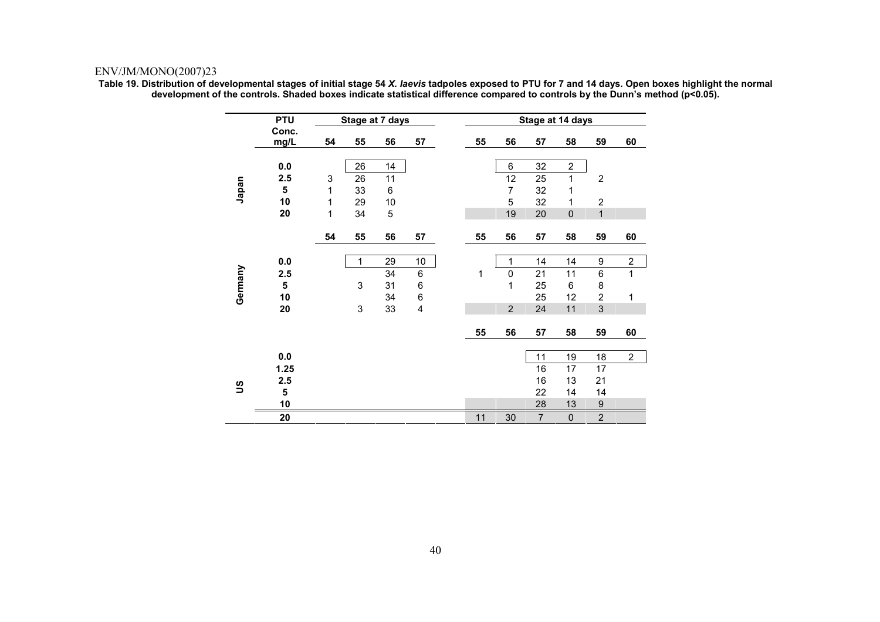**Table 19. Distribution of developmental stages of initial stage 54** *X. laevis* **tadpoles exposed to PTU for 7 and 14 days. Open boxes highlight the normal development of the controls. Shaded boxes indicate statistical difference compared to controls by the Dunn's method (p<0.05).** 

|          | <b>PTU</b>              |                           |    | Stage at 7 days |    |    |                | Stage at 14 days |                |                  |                |
|----------|-------------------------|---------------------------|----|-----------------|----|----|----------------|------------------|----------------|------------------|----------------|
|          | Conc.<br>mg/L           | 54                        | 55 | 56              | 57 | 55 | 56             | 57               | 58             | 59               | 60             |
|          |                         |                           |    |                 |    |    |                |                  |                |                  |                |
|          | 0.0                     |                           | 26 | 14              |    |    | 6              | 32               | $\overline{2}$ |                  |                |
|          | 2.5                     | $\ensuremath{\mathsf{3}}$ | 26 | 11              |    |    | 12             | 25               | 1              | $\overline{2}$   |                |
| Japan    | $\overline{\mathbf{5}}$ | 1                         | 33 | $\,6\,$         |    |    | $\overline{7}$ | 32               | 1              |                  |                |
|          | 10                      | 1                         | 29 | 10              |    |    | 5              | 32               | 1              | $\overline{2}$   |                |
|          | 20                      | 1                         | 34 | 5               |    |    | 19             | 20               | $\mathbf 0$    | $\mathbf{1}$     |                |
|          |                         | 54                        | 55 | 56              | 57 | 55 | 56             | 57               | 58             | 59               | 60             |
|          | 0.0                     |                           | 1  | 29              | 10 |    | 1              | 14               | 14             | 9                | $\overline{c}$ |
| Germany  | 2.5                     |                           |    | 34              | 6  | 1  | $\mathbf 0$    | 21               | 11             | $\,6\,$          | $\mathbf 1$    |
|          | 5                       |                           | 3  | 31              | 6  |    | 1              | 25               | 6              | 8                |                |
|          | 10                      |                           |    | 34              | 6  |    |                | 25               | 12             | $\overline{2}$   | 1              |
|          | 20                      |                           | 3  | 33              | 4  |    | $\overline{2}$ | 24               | 11             | $\mathbf{3}$     |                |
|          |                         |                           |    |                 |    | 55 | 56             | 57               | 58             | 59               | 60             |
|          |                         |                           |    |                 |    |    |                |                  |                |                  |                |
|          | 0.0                     |                           |    |                 |    |    |                | 11               | 19             | 18               | $\overline{2}$ |
|          | 1.25                    |                           |    |                 |    |    |                | 16               | 17             | 17               |                |
| <u>ဗ</u> | 2.5                     |                           |    |                 |    |    |                | 16               | 13             | 21               |                |
|          | 5                       |                           |    |                 |    |    |                | 22               | 14             | 14               |                |
|          | 10                      |                           |    |                 |    |    |                | 28               | 13             | $\boldsymbol{9}$ |                |
|          | 20                      |                           |    |                 |    | 11 | 30             | $\overline{7}$   | $\pmb{0}$      | $\overline{2}$   |                |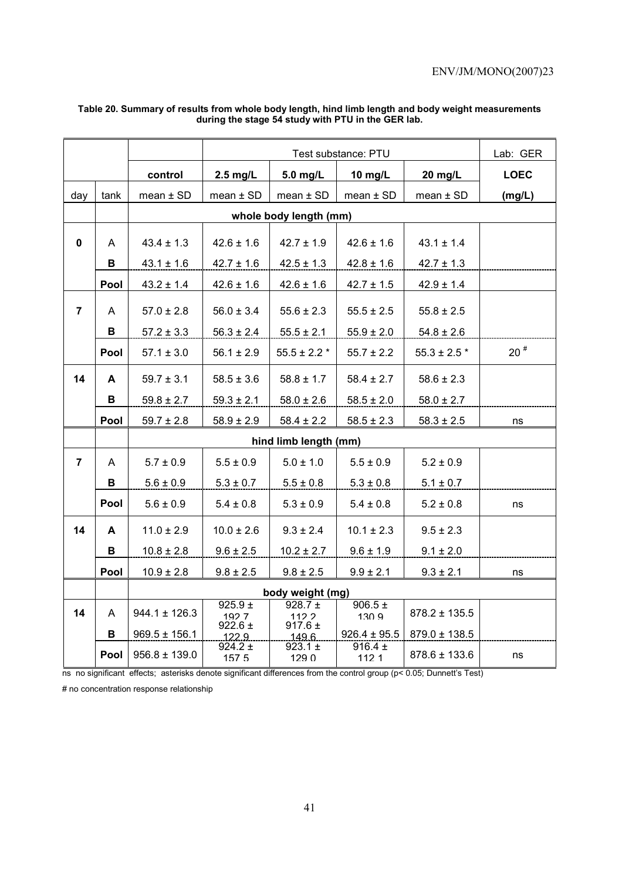|                |      |                   |                      |                                         | Lab: GER             |                           |              |
|----------------|------|-------------------|----------------------|-----------------------------------------|----------------------|---------------------------|--------------|
|                |      | control           | $2.5$ mg/L           | 5.0 mg/L                                | 10 mg/L              | 20 mg/L                   | <b>LOEC</b>  |
| day            | tank | $mean \pm SD$     | mean $\pm$ SD        | $mean \pm SD$                           | $mean \pm SD$        | mean $\pm$ SD             | (mg/L)       |
|                |      |                   |                      | whole body length (mm)                  |                      |                           |              |
| $\mathbf 0$    | A    | $43.4 \pm 1.3$    | $42.6 \pm 1.6$       | $42.7 \pm 1.9$                          | $42.6 \pm 1.6$       | $43.1 \pm 1.4$            |              |
|                | В    | $43.1 \pm 1.6$    | $42.7 \pm 1.6$       | $42.5 \pm 1.3$                          | $42.8 \pm 1.6$       | $42.7 \pm 1.3$            |              |
|                |      |                   |                      |                                         |                      |                           |              |
|                | Pool | $43.2 \pm 1.4$    | $42.6 \pm 1.6$       | $42.6 \pm 1.6$                          | $42.7 \pm 1.5$       | $42.9 \pm 1.4$            |              |
| $\overline{7}$ | A    | $57.0 \pm 2.8$    | $56.0 \pm 3.4$       | $55.6 \pm 2.3$                          | $55.5 \pm 2.5$       | $55.8 \pm 2.5$            |              |
|                | В    | $57.2 \pm 3.3$    | $56.3 \pm 2.4$       | $55.5 \pm 2.1$                          | $55.9 \pm 2.0$       | $54.8 \pm 2.6$            |              |
|                | Pool | $57.1 \pm 3.0$    | $56.1 \pm 2.9$       | $55.5 \pm 2.2$ *                        | $55.7 \pm 2.2$       | $55.3 \pm 2.5$ $^{\star}$ | $20$ $^{\#}$ |
| 14             | A    | $59.7 \pm 3.1$    | $58.5 \pm 3.6$       | $58.8 \pm 1.7$                          | $58.4 \pm 2.7$       | $58.6 \pm 2.3$            |              |
|                | В    | $59.8 \pm 2.7$    | $59.3 \pm 2.1$       | $58.0 \pm 2.6$                          | $58.5 \pm 2.0$       | $58.0 \pm 2.7$            |              |
|                | Pool | $59.7 \pm 2.8$    | $58.9 \pm 2.9$       | $58.4 \pm 2.2$                          | $58.5 \pm 2.3$       | $58.3 \pm 2.5$            | ns           |
|                |      |                   |                      | hind limb length (mm)                   |                      |                           |              |
| $\overline{7}$ | A    | $5.7 \pm 0.9$     | $5.5 \pm 0.9$        | $5.0 \pm 1.0$                           | $5.5 \pm 0.9$        | $5.2 \pm 0.9$             |              |
|                | В    | $5.6 \pm 0.9$     | $5.3 \pm 0.7$        | $5.5 \pm 0.8$                           | $5.3 \pm 0.8$        | $5.1 \pm 0.7$             |              |
|                | Pool | $5.6 \pm 0.9$     | $5.4 \pm 0.8$        | $5.3 \pm 0.9$                           | $5.4 \pm 0.8$        | $5.2 \pm 0.8$             | ns           |
| 14             | A    | $11.0 \pm 2.9$    | $10.0 \pm 2.6$       | $9.3 \pm 2.4$                           | $10.1 \pm 2.3$       | $9.5 \pm 2.3$             |              |
|                | В    | $10.8 \pm 2.8$    | $9.6 \pm 2.5$        | $10.2 \pm 2.7$                          | $9.6 \pm 1.9$        | $9.1 \pm 2.0$             |              |
|                | Pool | $10.9 \pm 2.8$    | $9.8 \pm 2.5$        | $9.8 \pm 2.5$                           | $9.9 \pm 2.1$        | $9.3 \pm 2.1$             | ns           |
|                |      |                   |                      |                                         |                      |                           |              |
| 14             | A    | $944.1 \pm 126.3$ | 925.9 $\pm$<br>1927  | body weight (mg)<br>928.7 $\pm$<br>1122 | $906.5 \pm$<br>130.9 | $878.2 \pm 135.5$         |              |
|                | в    | $969.5 \pm 156.1$ | $922.6 \pm$<br>122.9 | 917.6 $\pm$<br>149.6                    | $926.4 \pm 95.5$     | $879.0 \pm 138.5$         |              |
|                | Pool | $956.8 \pm 139.0$ | 924.2 $\pm$<br>1575  | 923.1 $\pm$<br>1290                     | 916.4 $\pm$<br>1121  | $878.6 \pm 133.6$         | ns           |
|                |      |                   |                      |                                         |                      |                           |              |

#### **Table 20. Summary of results from whole body length, hind limb length and body weight measurements during the stage 54 study with PTU in the GER lab.**

ns no significant effects; asterisks denote significant differences from the control group (p< 0.05; Dunnett's Test)

# no concentration response relationship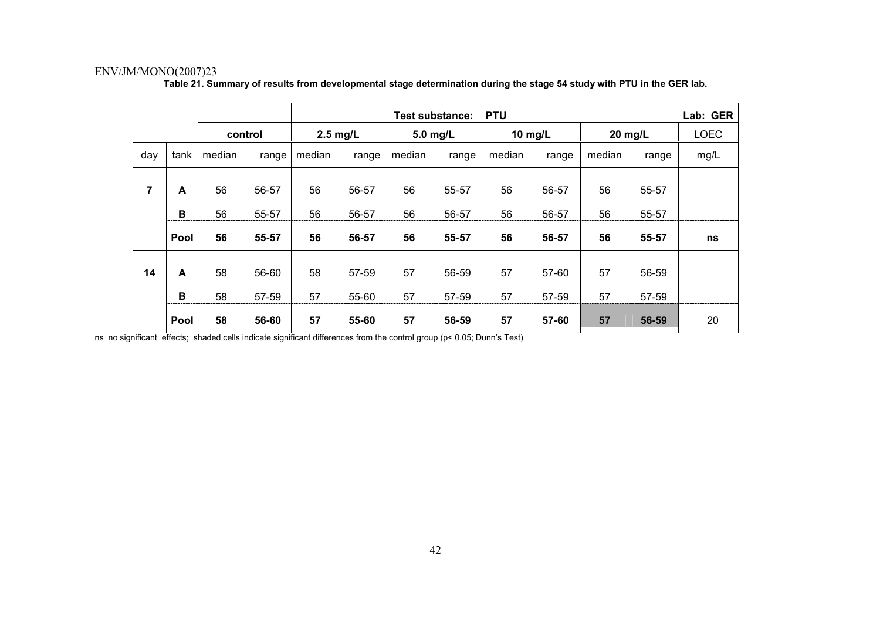|                |      |         |       | <b>PTU</b><br><b>Test substance:</b> |                 |          |       |         |       |         | Lab: GER |             |
|----------------|------|---------|-------|--------------------------------------|-----------------|----------|-------|---------|-------|---------|----------|-------------|
|                |      | control |       | $2.5$ mg/L                           |                 | 5.0 mg/L |       | 10 mg/L |       | 20 mg/L |          | <b>LOEC</b> |
| day            | tank | median  | range | median                               | median<br>range |          | range | median  | range | median  | range    | mg/L        |
| $\overline{7}$ | A    | 56      | 56-57 | 56                                   | 56-57           | 56       | 55-57 | 56      | 56-57 | 56      | 55-57    |             |
|                | B    | 56      | 55-57 | 56                                   | 56-57           | 56       | 56-57 | 56      | 56-57 | 56      | 55-57    |             |
|                | Pool | 56      | 55-57 | 56                                   | 56-57           | 56       | 55-57 | 56      | 56-57 | 56      | 55-57    | ns          |
| 14             | A    | 58      | 56-60 | 58                                   | 57-59           | 57       | 56-59 | 57      | 57-60 | 57      | 56-59    |             |
|                | B    | 58      | 57-59 | 57                                   | 55-60           | 57       | 57-59 | 57      | 57-59 | 57      | 57-59    |             |
|                | Pool | 58      | 56-60 | 57                                   | 55-60           | 57       | 56-59 | 57      | 57-60 | 57      | 56-59    | 20          |

**Table 21. Summary of results from developmental stage determination during the stage 54 study with PTU in the GER lab.** 

ns no significant effects; shaded cells indicate significant differences from the control group (p< 0.05; Dunn's Test)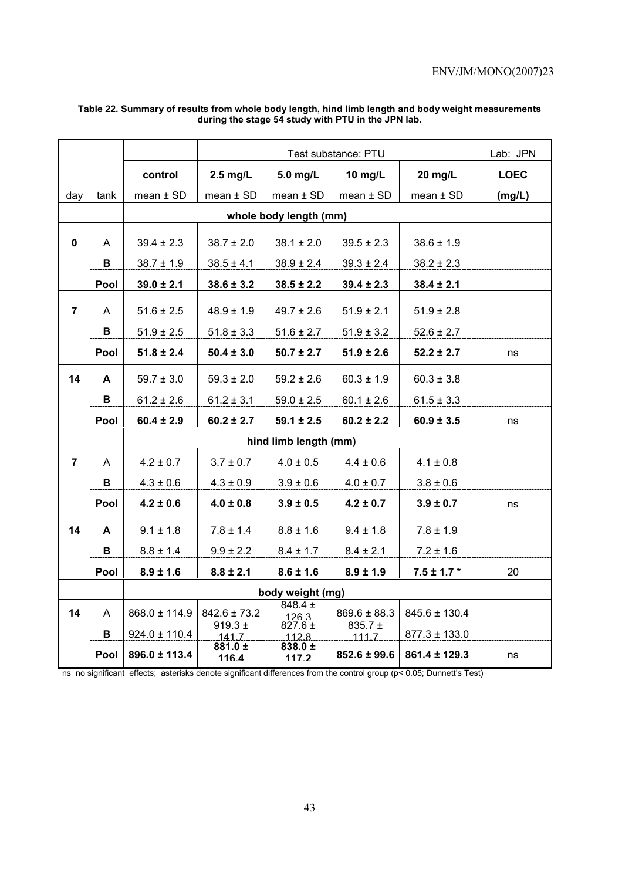|                |             |                   |                      |                                              | Lab: JPN         |                   |             |
|----------------|-------------|-------------------|----------------------|----------------------------------------------|------------------|-------------------|-------------|
|                |             | control           | $2.5$ mg/L           | 5.0 mg/L                                     | 10 mg/L          | 20 mg/L           | <b>LOEC</b> |
| day            | tank        | mean $\pm$ SD     | mean $\pm$ SD        | mean $\pm$ SD                                | mean $\pm$ SD    | $mean \pm SD$     | (mg/L)      |
|                |             |                   |                      | whole body length (mm)                       |                  |                   |             |
| $\mathbf 0$    | A           |                   |                      | $38.1 \pm 2.0$                               | $39.5 \pm 2.3$   |                   |             |
|                |             | $39.4 \pm 2.3$    | $38.7 \pm 2.0$       |                                              |                  | $38.6 \pm 1.9$    |             |
|                | в           | $38.7 \pm 1.9$    | $38.5 \pm 4.1$       | $38.9 \pm 2.4$                               | $39.3 \pm 2.4$   | $38.2 \pm 2.3$    |             |
|                | Pool        | $39.0 \pm 2.1$    | $38.6 \pm 3.2$       | $38.5 \pm 2.2$                               | $39.4 \pm 2.3$   | $38.4 \pm 2.1$    |             |
| $\overline{7}$ | A           | $51.6 \pm 2.5$    | $48.9 \pm 1.9$       | $49.7 \pm 2.6$                               | $51.9 \pm 2.1$   | $51.9 \pm 2.8$    |             |
|                | В           | $51.9 \pm 2.5$    | $51.8 \pm 3.3$       | $51.6 \pm 2.7$                               | $51.9 \pm 3.2$   | $52.6 \pm 2.7$    |             |
|                | Pool        | $51.8 \pm 2.4$    | $50.4 \pm 3.0$       | $50.7 \pm 2.7$                               | $51.9 \pm 2.6$   | $52.2 \pm 2.7$    | ns          |
| 14             | A           | $59.7 \pm 3.0$    | $59.3 \pm 2.0$       | $59.2 \pm 2.6$                               | $60.3 \pm 1.9$   | $60.3 \pm 3.8$    |             |
|                | в           | $61.2 \pm 2.6$    | $61.2 \pm 3.1$       | $59.0 \pm 2.5$                               | $60.1 \pm 2.6$   | $61.5 \pm 3.3$    |             |
|                | Pool        | $60.4 \pm 2.9$    | $60.2 \pm 2.7$       | $59.1 \pm 2.5$                               | $60.2 \pm 2.2$   | $60.9 \pm 3.5$    | ns          |
|                |             |                   |                      | hind limb length (mm)                        |                  |                   |             |
| $\overline{7}$ | A           | $4.2 \pm 0.7$     | $3.7 \pm 0.7$        | $4.0 \pm 0.5$                                | $4.4 \pm 0.6$    | $4.1 \pm 0.8$     |             |
|                | В           | $4.3 \pm 0.6$     | $4.3 \pm 0.9$        | $3.9 \pm 0.6$                                | $4.0 \pm 0.7$    | $3.8 \pm 0.6$     |             |
|                | Pool        | $4.2 \pm 0.6$     | $4.0 \pm 0.8$        | $3.9 \pm 0.5$                                | $4.2 \pm 0.7$    | $3.9 \pm 0.7$     | ns          |
| 14             | A           | $9.1 \pm 1.8$     | $7.8 \pm 1.4$        | $8.8 \pm 1.6$                                | $9.4 \pm 1.8$    | $7.8 \pm 1.9$     |             |
|                | в           | $8.8 \pm 1.4$     | $9.9 \pm 2.2$        | $8.4 \pm 1.7$                                | $8.4 \pm 2.1$    | $7.2 \pm 1.6$     |             |
|                | Pool        | $8.9 \pm 1.6$     | $8.8 \pm 2.1$        | $8.6 \pm 1.6$                                | $8.9 \pm 1.9$    | $7.5 \pm 1.7$ *   | 20          |
|                |             |                   |                      | body weight (mg)                             |                  |                   |             |
| 14             | A           | $868.0 \pm 114.9$ | $842.6 \pm 73.2$     | $848.4 \pm$<br>126.3                         | $869.6 \pm 88.3$ | $845.6 \pm 130.4$ |             |
|                | в           | $924.0 \pm 110.4$ | $919.3 \pm$<br>141.7 | $827.6 \pm$<br>$835.7 \pm$<br>111.7<br>112.8 |                  | $877.3 \pm 133.0$ |             |
|                | <b>Pool</b> | 896.0 ± 113.4     | 881.0 ±<br>116.4     | 838.0 ±<br>117.2                             | $852.6 \pm 99.6$ | 861.4 ± 129.3     | ns          |

#### **Table 22. Summary of results from whole body length, hind limb length and body weight measurements during the stage 54 study with PTU in the JPN lab.**

ns no significant effects; asterisks denote significant differences from the control group (p< 0.05; Dunnett's Test)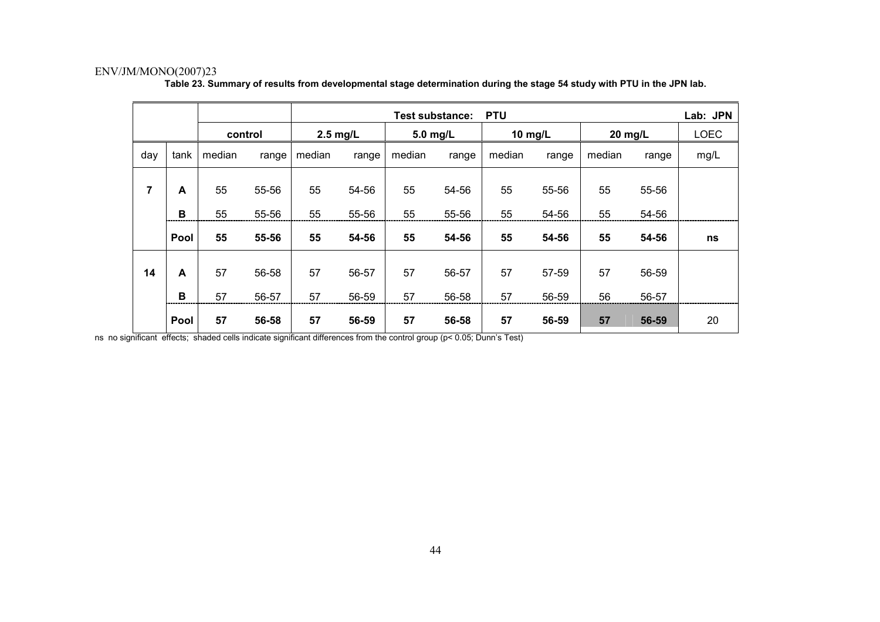|                |      |        |         |            | <b>PTU</b><br><b>Test substance:</b> |          |       |         |       |         | Lab: JPN |             |
|----------------|------|--------|---------|------------|--------------------------------------|----------|-------|---------|-------|---------|----------|-------------|
|                |      |        | control | $2.5$ mg/L |                                      | 5.0 mg/L |       | 10 mg/L |       | 20 mg/L |          | <b>LOEC</b> |
| day            | tank | median | range   | median     | median<br>range                      |          | range | median  | range | median  | range    | mg/L        |
| $\overline{7}$ | A    | 55     | 55-56   | 55         | 54-56                                | 55       | 54-56 | 55      | 55-56 | 55      | 55-56    |             |
|                | B    | 55     | 55-56   | 55         | 55-56                                | 55       | 55-56 | 55      | 54-56 | 55      | 54-56    |             |
|                | Pool | 55     | 55-56   | 55         | 54-56                                | 55       | 54-56 | 55      | 54-56 | 55      | 54-56    | ns          |
| 14             | A    | 57     | 56-58   | 57         | 56-57                                | 57       | 56-57 | 57      | 57-59 | 57      | 56-59    |             |
|                | B    | 57     | 56-57   | 57         | 56-59                                | 57       | 56-58 | 57      | 56-59 | 56      | 56-57    |             |
|                | Pool | 57     | 56-58   | 57         | 56-59                                | 57       | 56-58 | 57      | 56-59 | 57      | 56-59    | 20          |

**Table 23. Summary of results from developmental stage determination during the stage 54 study with PTU in the JPN lab.** 

ns no significant effects; shaded cells indicate significant differences from the control group (p< 0.05; Dunn's Test)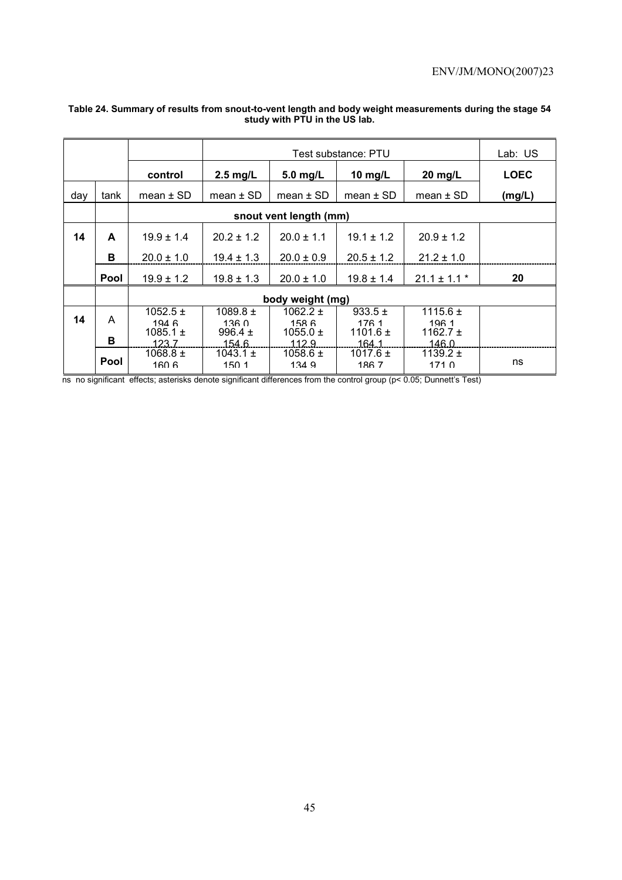|     |             |                                              |                                             |                                                | Lab: US                                       |                                                          |             |
|-----|-------------|----------------------------------------------|---------------------------------------------|------------------------------------------------|-----------------------------------------------|----------------------------------------------------------|-------------|
|     |             | control                                      | $2.5$ mg/L                                  | $5.0$ mg/L                                     | 10 $mg/L$                                     | $20$ mg/L                                                | <b>LOEC</b> |
| day | tank        | mean $\pm$ SD                                | mean $\pm$ SD                               | $mean \pm SD$                                  | mean $\pm$ SD                                 | mean $\pm$ SD                                            | (mg/L)      |
|     |             |                                              |                                             | snout vent length (mm)                         |                                               |                                                          |             |
| 14  | A           | $19.9 \pm 1.4$                               | $20.2 \pm 1.2$                              | $20.0 \pm 1.1$                                 | $19.1 \pm 1.2$                                | $20.9 \pm 1.2$                                           |             |
|     | в           | $20.0 \pm 1.0$                               | $19.4 \pm 1.3$                              | $20.0 \pm 0.9$                                 | $20.5 \pm 1.2$                                | $21.2 \pm 1.0$                                           |             |
|     | <b>Pool</b> | $19.9 \pm 1.2$                               | $19.8 \pm 1.3$                              | $20.0 \pm 1.0$                                 | $19.8 \pm 1.4$                                | $21.1 \pm 1.1$ *                                         | 20          |
|     |             |                                              |                                             | body weight (mg)                               |                                               |                                                          |             |
| 14  | A<br>в      | $1052.5 \pm$<br>1946<br>1085.1 $\pm$<br>1237 | $1089.8 \pm$<br>1360<br>996.4 $\pm$<br>1546 | 1062.2 $\pm$<br>1586<br>$1055.0 \pm$<br>.112.9 | $933.5 \pm$<br>176 1<br>1101.6 $\pm$<br>164.1 | 1115.6 $\pm$<br>1961<br>1162.7 $\pm$<br>146 <sub>0</sub> |             |
|     | <b>Pool</b> | $1068.8 \pm$<br>160 6                        | 1043.1 $\pm$<br>150 <sub>1</sub>            | 1058.6 $\pm$<br>134.9                          | 1017.6 $\pm$<br>1867                          | 1139.2 $\pm$<br>1710                                     | ns          |

### **Table 24. Summary of results from snout-to-vent length and body weight measurements during the stage 54 study with PTU in the US lab.**

ns no significant effects; asterisks denote significant differences from the control group (p< 0.05; Dunnett's Test)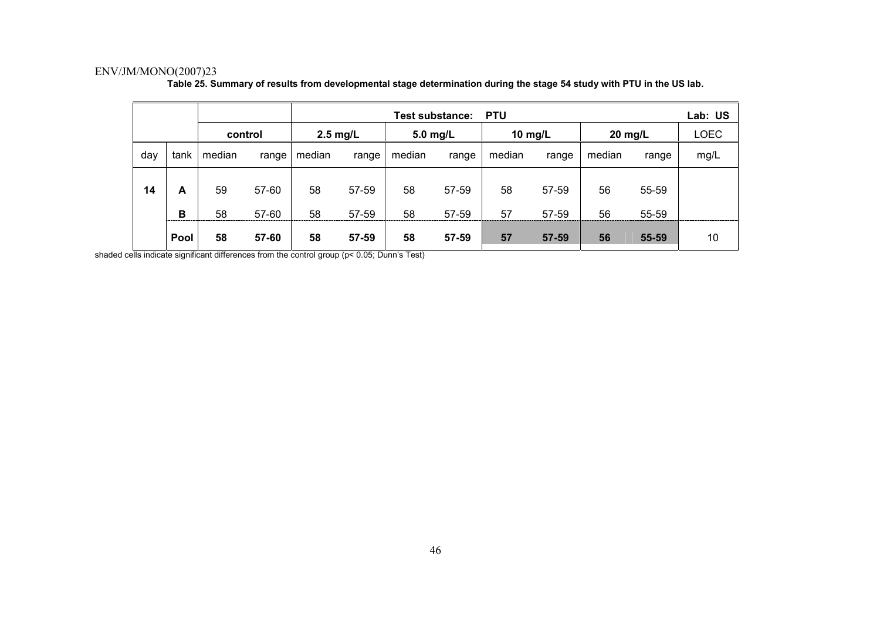|     |                  |          |                |            |                | <b>Test substance:</b> |                | <b>PTU</b> |                |           |                | Lab: US     |
|-----|------------------|----------|----------------|------------|----------------|------------------------|----------------|------------|----------------|-----------|----------------|-------------|
|     |                  | control  |                | $2.5$ mg/L |                | $5.0$ mg/L             |                | 10 $mg/L$  |                | $20$ mg/L |                | <b>LOEC</b> |
| day | tank             | median   | range          | median     | range          | median                 | range          | median     | range          | median    | range          | mg/L        |
| 14  | A                | 59       | 57-60          | 58         | 57-59          | 58                     | 57-59          | 58         | 57-59          | 56        | 55-59          |             |
|     | B<br><b>Pool</b> | 58<br>58 | 57-60<br>57-60 | 58<br>58   | 57-59<br>57-59 | 58<br>58               | 57-59<br>57-59 | 57<br>57   | 57-59<br>57-59 | 56<br>56  | 55-59<br>55-59 | 10          |

**Table 25. Summary of results from developmental stage determination during the stage 54 study with PTU in the US lab.** 

shaded cells indicate significant differences from the control group (p< 0.05; Dunn's Test)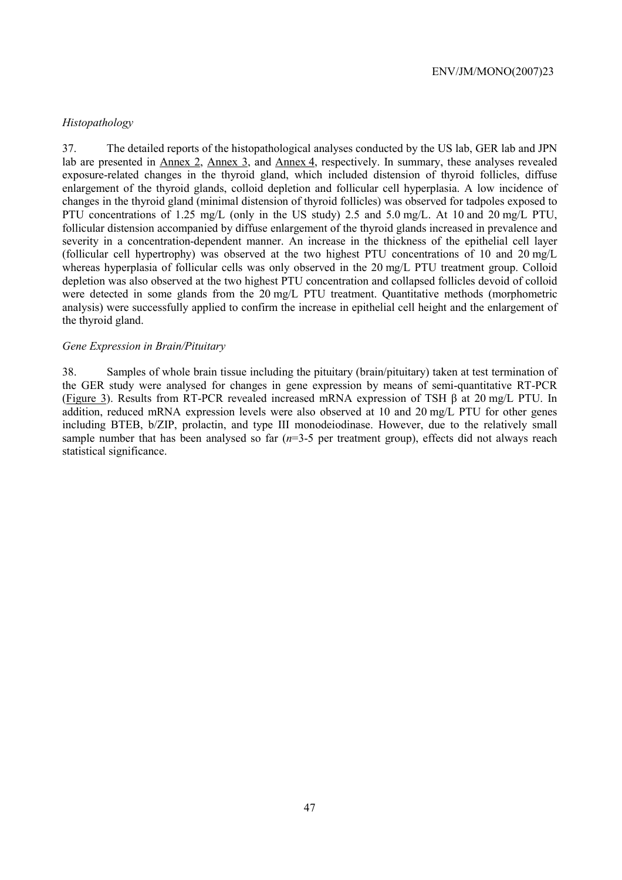### *Histopathology*

37. The detailed reports of the histopathological analyses conducted by the US lab, GER lab and JPN lab are presented in Annex 2, Annex 3, and Annex 4, respectively. In summary, these analyses revealed exposure-related changes in the thyroid gland, which included distension of thyroid follicles, diffuse enlargement of the thyroid glands, colloid depletion and follicular cell hyperplasia. A low incidence of changes in the thyroid gland (minimal distension of thyroid follicles) was observed for tadpoles exposed to PTU concentrations of 1.25 mg/L (only in the US study) 2.5 and 5.0 mg/L. At 10 and 20 mg/L PTU, follicular distension accompanied by diffuse enlargement of the thyroid glands increased in prevalence and severity in a concentration-dependent manner. An increase in the thickness of the epithelial cell layer (follicular cell hypertrophy) was observed at the two highest PTU concentrations of 10 and 20 mg/L whereas hyperplasia of follicular cells was only observed in the 20 mg/L PTU treatment group. Colloid depletion was also observed at the two highest PTU concentration and collapsed follicles devoid of colloid were detected in some glands from the 20 mg/L PTU treatment. Quantitative methods (morphometric analysis) were successfully applied to confirm the increase in epithelial cell height and the enlargement of the thyroid gland.

## *Gene Expression in Brain/Pituitary*

38. Samples of whole brain tissue including the pituitary (brain/pituitary) taken at test termination of the GER study were analysed for changes in gene expression by means of semi-quantitative RT-PCR (Figure 3). Results from RT-PCR revealed increased mRNA expression of TSH β at 20 mg/L PTU. In addition, reduced mRNA expression levels were also observed at 10 and 20 mg/L PTU for other genes including BTEB, b/ZIP, prolactin, and type III monodeiodinase. However, due to the relatively small sample number that has been analysed so far (*n*=3-5 per treatment group), effects did not always reach statistical significance.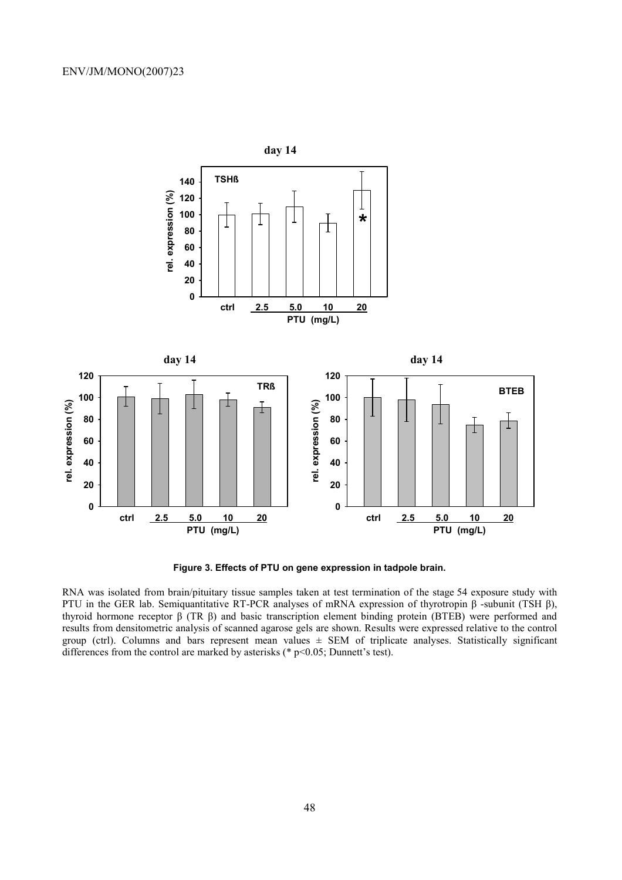

**Figure 3. Effects of PTU on gene expression in tadpole brain.** 

RNA was isolated from brain/pituitary tissue samples taken at test termination of the stage 54 exposure study with PTU in the GER lab. Semiquantitative RT-PCR analyses of mRNA expression of thyrotropin β -subunit (TSH β), thyroid hormone receptor β (TR β) and basic transcription element binding protein (BTEB) were performed and results from densitometric analysis of scanned agarose gels are shown. Results were expressed relative to the control group (ctrl). Columns and bars represent mean values  $\pm$  SEM of triplicate analyses. Statistically significant differences from the control are marked by asterisks (\* p<0.05; Dunnett's test).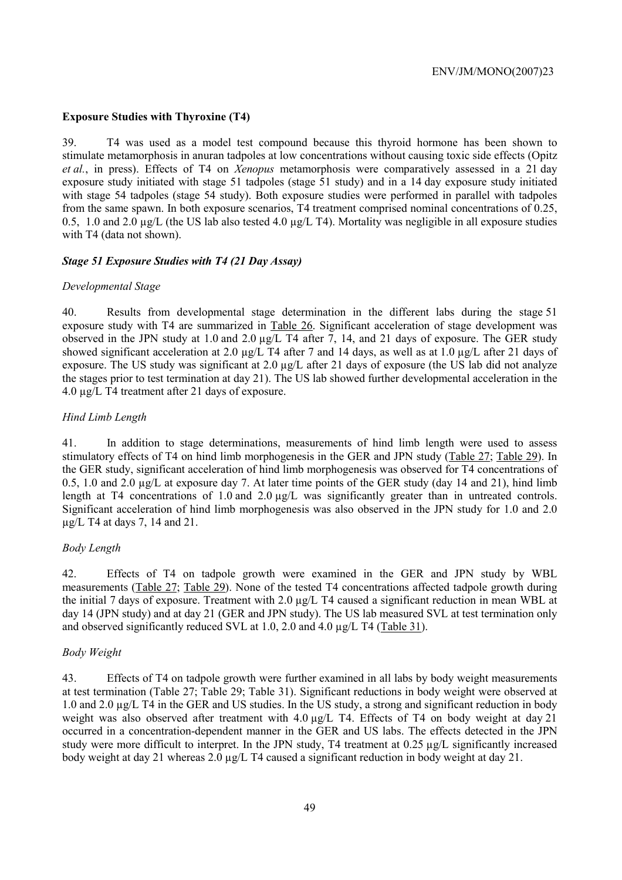## **Exposure Studies with Thyroxine (T4)**

39. T4 was used as a model test compound because this thyroid hormone has been shown to stimulate metamorphosis in anuran tadpoles at low concentrations without causing toxic side effects (Opitz *et al.*, in press). Effects of T4 on *Xenopus* metamorphosis were comparatively assessed in a 21 day exposure study initiated with stage 51 tadpoles (stage 51 study) and in a 14 day exposure study initiated with stage 54 tadpoles (stage 54 study). Both exposure studies were performed in parallel with tadpoles from the same spawn. In both exposure scenarios, T4 treatment comprised nominal concentrations of 0.25, 0.5, 1.0 and 2.0 µg/L (the US lab also tested 4.0 µg/L T4). Mortality was negligible in all exposure studies with T4 (data not shown).

## *Stage 51 Exposure Studies with T4 (21 Day Assay)*

## *Developmental Stage*

40. Results from developmental stage determination in the different labs during the stage 51 exposure study with T4 are summarized in Table 26. Significant acceleration of stage development was observed in the JPN study at 1.0 and 2.0 µg/L T4 after 7, 14, and 21 days of exposure. The GER study showed significant acceleration at 2.0 µg/L T4 after 7 and 14 days, as well as at 1.0 µg/L after 21 days of exposure. The US study was significant at 2.0 µg/L after 21 days of exposure (the US lab did not analyze the stages prior to test termination at day 21). The US lab showed further developmental acceleration in the 4.0 µg/L T4 treatment after 21 days of exposure.

## *Hind Limb Length*

41. In addition to stage determinations, measurements of hind limb length were used to assess stimulatory effects of T4 on hind limb morphogenesis in the GER and JPN study (Table 27; Table 29). In the GER study, significant acceleration of hind limb morphogenesis was observed for T4 concentrations of 0.5, 1.0 and 2.0 µg/L at exposure day 7. At later time points of the GER study (day 14 and 21), hind limb length at T4 concentrations of 1.0 and  $2.0 \mu g/L$  was significantly greater than in untreated controls. Significant acceleration of hind limb morphogenesis was also observed in the JPN study for 1.0 and 2.0 µg/L T4 at days 7, 14 and 21.

# *Body Length*

42. Effects of T4 on tadpole growth were examined in the GER and JPN study by WBL measurements (Table 27; Table 29). None of the tested T4 concentrations affected tadpole growth during the initial 7 days of exposure. Treatment with 2.0 µg/L T4 caused a significant reduction in mean WBL at day 14 (JPN study) and at day 21 (GER and JPN study). The US lab measured SVL at test termination only and observed significantly reduced SVL at 1.0, 2.0 and 4.0 µg/L T4 (Table 31).

## *Body Weight*

43. Effects of T4 on tadpole growth were further examined in all labs by body weight measurements at test termination (Table 27; Table 29; Table 31). Significant reductions in body weight were observed at 1.0 and 2.0 µg/L T4 in the GER and US studies. In the US study, a strong and significant reduction in body weight was also observed after treatment with 4.0  $\mu$ g/L T4. Effects of T4 on body weight at day 21 occurred in a concentration-dependent manner in the GER and US labs. The effects detected in the JPN study were more difficult to interpret. In the JPN study, T4 treatment at 0.25 µg/L significantly increased body weight at day 21 whereas 2.0 µg/L T4 caused a significant reduction in body weight at day 21.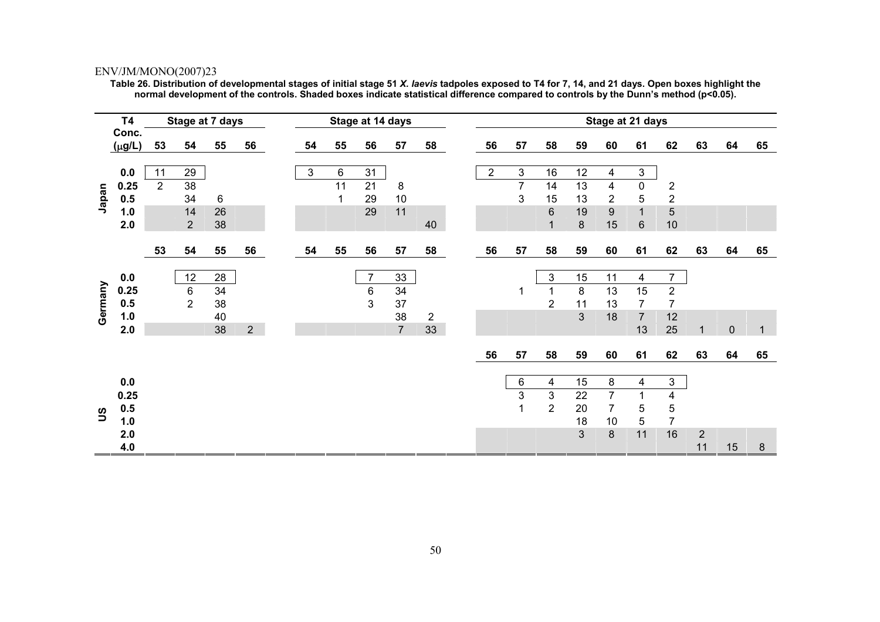**Table 26. Distribution of developmental stages of initial stage 51** *X. laevis* **tadpoles exposed to T4 for 7, 14, and 21 days. Open boxes highlight the normal development of the controls. Shaded boxes indicate statistical difference compared to controls by the Dunn's method (p<0.05).** 

|          | <b>T4</b>   |                | Stage at 7 days |    |                |    |    | Stage at 14 days |                |                |                |                |                |                | Stage at 21 days |                |                     |            |           |              |
|----------|-------------|----------------|-----------------|----|----------------|----|----|------------------|----------------|----------------|----------------|----------------|----------------|----------------|------------------|----------------|---------------------|------------|-----------|--------------|
|          | Conc.       |                |                 |    |                |    |    |                  |                |                |                |                |                |                |                  |                |                     |            |           |              |
|          | $(\mu g/L)$ | 53             | 54              | 55 | 56             | 54 | 55 | 56               | 57             | 58             | 56             | 57             | 58             | 59             | 60               | 61             | 62                  | 63         | 64        | 65           |
|          | 0.0         | 11             | 29              |    |                | 3  | 6  | 31               |                |                | $\overline{2}$ | $\mathsf 3$    | 16             | 12             | 4                | 3              |                     |            |           |              |
|          |             | $\overline{2}$ | 38              |    |                |    | 11 | 21               |                |                |                | $\overline{7}$ |                | 13             | $\overline{4}$   | $\mathbf 0$    |                     |            |           |              |
|          | 0.25        |                |                 |    |                |    |    |                  | 8              |                |                | 3              | 14             |                |                  |                | $\overline{2}$      |            |           |              |
| Japan    | 0.5         |                | 34              | 6  |                |    |    | 29<br>29         | 10<br>11       |                |                |                | 15             | 13             | $\overline{2}$   | 5              | $\overline{2}$<br>5 |            |           |              |
|          | 1.0         |                | 14              | 26 |                |    |    |                  |                |                |                |                | 6              | 19             | $\boldsymbol{9}$ | $\mathbf{1}$   |                     |            |           |              |
|          | 2.0         |                | 2               | 38 |                |    |    |                  |                | 40             |                |                | $\mathbf{1}$   | $\bf 8$        | 15               | $6\phantom{1}$ | 10                  |            |           |              |
|          |             | 53             | 54              | 55 | 56             | 54 | 55 | 56               | 57             | 58             | 56             | 57             | 58             | 59             | 60               | 61             | 62                  | 63         | 64        | 65           |
|          |             |                |                 |    |                |    |    |                  |                |                |                |                |                |                |                  |                |                     |            |           |              |
|          | 0.0         |                | 12              | 28 |                |    |    | $\overline{7}$   | 33             |                |                |                | 3              | 15             | 11               | $\overline{4}$ | $\overline{7}$      |            |           |              |
|          | 0.25        |                | 6               | 34 |                |    |    | 6                | 34             |                |                | 1              |                | 8              | 13               | 15             | $\overline{2}$      |            |           |              |
| Germany  | 0.5         |                | $\overline{2}$  | 38 |                |    |    | 3                | 37             |                |                |                | $\overline{2}$ | 11             | 13               | $\overline{7}$ | $\overline{7}$      |            |           |              |
|          | $1.0$       |                |                 | 40 |                |    |    |                  | 38             | $\overline{2}$ |                |                |                | 3              | 18               | $\overline{7}$ | 12                  |            |           |              |
|          | 2.0         |                |                 | 38 | $\overline{2}$ |    |    |                  | $\overline{7}$ | 33             |                |                |                |                |                  | 13             | 25                  | 1          | $\pmb{0}$ | $\mathbf{1}$ |
|          |             |                |                 |    |                |    |    |                  |                |                |                |                |                |                |                  |                |                     |            |           |              |
|          |             |                |                 |    |                |    |    |                  |                |                | 56             | 57             | 58             | 59             | 60               | 61             | 62                  | 63         | 64        | 65           |
|          |             |                |                 |    |                |    |    |                  |                |                |                |                |                |                |                  |                |                     |            |           |              |
|          | 0.0         |                |                 |    |                |    |    |                  |                |                |                | $\,6\,$        | 4              | 15             | 8                | 4              | $\mathbf{3}$        |            |           |              |
|          | 0.25        |                |                 |    |                |    |    |                  |                |                |                | 3              | 3              | 22             | $\overline{7}$   | 1              | 4                   |            |           |              |
| <u>ဗ</u> | $0.5\,$     |                |                 |    |                |    |    |                  |                |                |                | 1              | $\overline{2}$ | 20             | $\overline{7}$   | 5              | 5                   |            |           |              |
|          | 1.0         |                |                 |    |                |    |    |                  |                |                |                |                |                | 18             | 10               | 5              | 7                   |            |           |              |
|          | 2.0         |                |                 |    |                |    |    |                  |                |                |                |                |                | $\overline{3}$ | $\bf 8$          | 11             | 16                  | $\sqrt{2}$ |           |              |
|          | 4.0         |                |                 |    |                |    |    |                  |                |                |                |                |                |                |                  |                |                     | 11         | 15        | $\bf 8$      |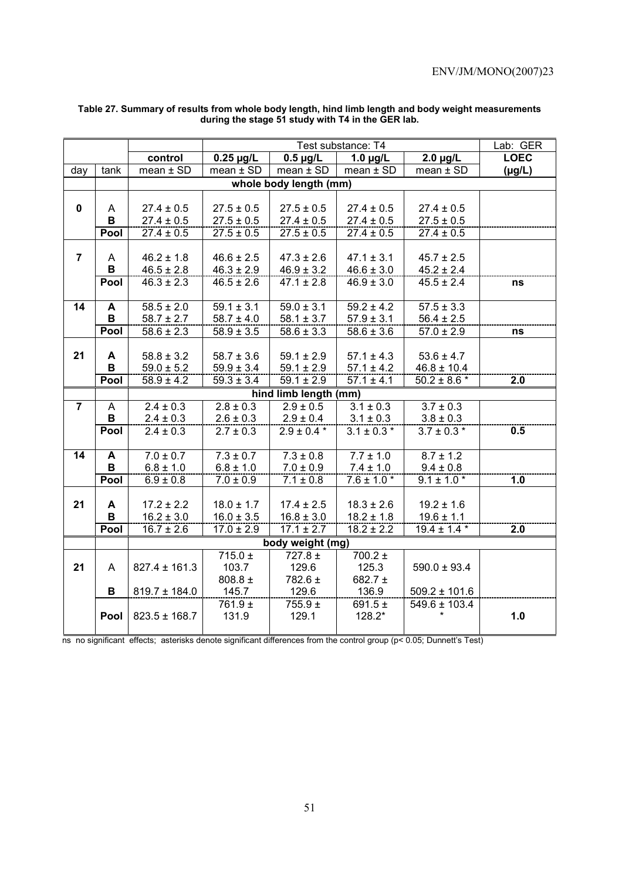|                |      |                   |                | Lab: GER                  |                 |                            |             |
|----------------|------|-------------------|----------------|---------------------------|-----------------|----------------------------|-------------|
|                |      | control           | $2.0 \mu g/L$  | <b>LOEC</b>               |                 |                            |             |
| day            | tank | $mean \pm SD$     | $mean \pm SD$  | $mean \pm SD$             | $mean \pm SD$   | $mean \pm SD$              | $(\mu g/L)$ |
|                |      |                   |                | whole body length (mm)    |                 |                            |             |
|                |      |                   |                |                           |                 |                            |             |
| $\mathbf 0$    | A    | $27.4 \pm 0.5$    | $27.5 \pm 0.5$ | $27.5 \pm 0.5$            | $27.4 \pm 0.5$  | $27.4 \pm 0.5$             |             |
|                | B    | $27.4 \pm 0.5$    | $27.5 \pm 0.5$ | $27.4 \pm 0.5$            | $27.4 \pm 0.5$  | $27.5 \pm 0.5$             |             |
|                | Pool | $27.4 \pm 0.5$    | $27.5 \pm 0.5$ | $27.5 \pm 0.5$            | $27.4 \pm 0.5$  | $27.4 \pm 0.5$             |             |
|                |      |                   |                |                           |                 |                            |             |
| $\overline{7}$ | A    | $46.2 \pm 1.8$    | $46.6 \pm 2.5$ | $47.3 \pm 2.6$            | $47.1 \pm 3.1$  | $45.7 \pm 2.5$             |             |
|                | B    | $46.5 \pm 2.8$    | $46.3 \pm 2.9$ | $46.9 \pm 3.2$            | $46.6 \pm 3.0$  | $45.2 \pm 2.4$             |             |
|                | Pool | $46.3 \pm 2.3$    | $46.5 \pm 2.6$ | $47.1 \pm 2.8$            | $46.9 \pm 3.0$  | $45.5 \pm 2.4$             | ns          |
|                |      |                   |                |                           |                 |                            |             |
| 14             | A    | $58.5 \pm 2.0$    | $59.1 \pm 3.1$ | $\overline{59.0} \pm 3.1$ | $59.2 \pm 4.2$  | $\overline{57.5} \pm 3.3$  |             |
|                | B    | $58.7 \pm 2.7$    | $58.7 \pm 4.0$ | $58.1 \pm 3.7$            | $57.9 \pm 3.1$  | $56.4 \pm 2.5$             |             |
|                | Pool | $58.6 \pm 2.3$    | $58.9 \pm 3.5$ | $58.6 \pm 3.3$            | $58.6 \pm 3.6$  | $57.0 \pm 2.9$             | ns          |
|                |      |                   |                |                           |                 |                            |             |
| 21             | A    | $58.8 \pm 3.2$    | $58.7 \pm 3.6$ | $59.1 \pm 2.9$            | $57.1 \pm 4.3$  | $53.6 \pm 4.7$             |             |
|                | B    | $59.0 \pm 5.2$    | $59.9 \pm 3.4$ | $59.1 \pm 2.9$            | $57.1 \pm 4.2$  | $46.8 \pm 10.4$            |             |
|                | Pool | $58.9 \pm 4.2$    | $59.3 \pm 3.4$ | $59.1 \pm 2.9$            | $57.1 \pm 4.1$  | $\frac{1}{50.2 \pm 8.6}$ * | 2.0         |
|                |      |                   |                | hind limb length (mm)     |                 |                            |             |
| $\overline{7}$ | A    | $2.4 \pm 0.3$     | $2.8 \pm 0.3$  | $2.9 \pm 0.5$             | $3.1 \pm 0.3$   | $3.7 \pm 0.3$              |             |
|                | B    | $2.4 \pm 0.3$     | $2.6 \pm 0.3$  | $2.9 \pm 0.4$             | $3.1 \pm 0.3$   | $3.8 \pm 0.3$              |             |
|                | Pool | $2.4 \pm 0.3$     | $2.7 \pm 0.3$  | $2.9 \pm 0.4$ *           | $3.1 \pm 0.3$ * | $3.7 \pm 0.3$ *            | 0.5         |
|                |      |                   |                |                           |                 |                            |             |
| 14             | A    | $7.0 \pm 0.7$     | $7.3 \pm 0.7$  | $7.3 \pm 0.8$             | $7.7 \pm 1.0$   | $8.7 \pm 1.2$              |             |
|                | B    | $6.8 \pm 1.0$     | $6.8 \pm 1.0$  | $7.0 \pm 0.9$             | $7.4 \pm 1.0$   | $9.4 \pm 0.8$              |             |
|                | Pool | $6.9 \pm 0.8$     | $7.0 \pm 0.9$  | $7.1 \pm 0.8$             | $7.6 \pm 1.0*$  | $9.1 \pm 1.0$ *            | 1.0         |
|                |      |                   |                |                           |                 |                            |             |
| 21             | A    | $17.2 \pm 2.2$    | $18.0 \pm 1.7$ | $17.4 \pm 2.5$            | $18.3 \pm 2.6$  | $19.2 \pm 1.6$             |             |
|                | В    | $16.2 \pm 3.0$    | $16.0 \pm 3.5$ | $16.8 \pm 3.0$            | $18.2 \pm 1.8$  | $19.6 \pm 1.1$             |             |
|                | Pool | $16.7 \pm 2.6$    | $17.0 \pm 2.9$ | $17.1 \pm 2.7$            | $18.2 \pm 2.2$  | $19.4 \pm 1.4$ *           | 2.0         |
|                |      |                   |                | body weight (mg)          |                 |                            |             |
|                |      |                   | $715.0 \pm$    | $727.8 \pm$               | $700.2 \pm$     |                            |             |
| 21             | A    | $827.4 \pm 161.3$ | 103.7          | 129.6                     | 125.3           | $590.0 \pm 93.4$           |             |
|                |      |                   | 808.8 $\pm$    | 782.6 ±                   | 682.7 $\pm$     |                            |             |
|                | В    | $819.7 \pm 184.0$ | 145.7          | 129.6                     | 136.9           | $509.2 \pm 101.6$          |             |
|                |      |                   | 761.9 ±        | $755.9 +$                 | 691.5 $\pm$     | $549.6 \pm 103.4$          |             |
|                | Pool | $823.5 \pm 168.7$ | 131.9          | 129.1                     | 128.2*          |                            | 1.0         |
|                |      |                   |                |                           |                 |                            |             |

#### **Table 27. Summary of results from whole body length, hind limb length and body weight measurements during the stage 51 study with T4 in the GER lab.**

ns no significant effects; asterisks denote significant differences from the control group (p< 0.05; Dunnett's Test)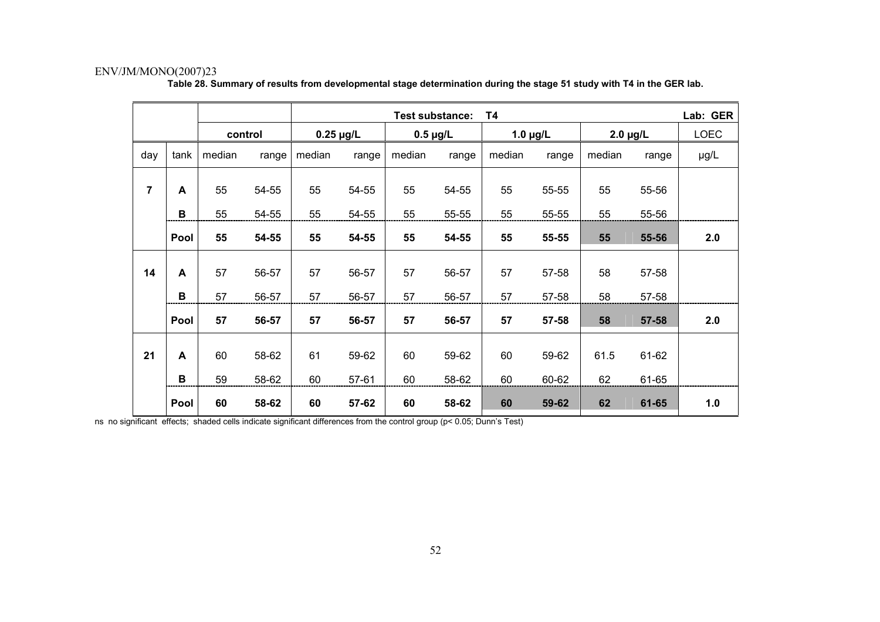|                |              |         |       |                |       | Test substance: |       | T4            |       |               |       | Lab: GER    |
|----------------|--------------|---------|-------|----------------|-------|-----------------|-------|---------------|-------|---------------|-------|-------------|
|                |              | control |       | $0.25 \mu g/L$ |       | $0.5 \mu g/L$   |       | $1.0 \mu g/L$ |       | $2.0 \mu g/L$ |       | <b>LOEC</b> |
| day            | tank         | median  | range | median         | range | median          | range | median        | range | median        | range | µg/L        |
| $\overline{7}$ | A            | 55      | 54-55 | 55             | 54-55 | 55              | 54-55 | 55            | 55-55 | 55            | 55-56 |             |
|                | В            | 55      | 54-55 | 55             | 54-55 | 55              | 55-55 | 55            | 55-55 | 55            | 55-56 |             |
|                | Pool         | 55      | 54-55 | 55             | 54-55 | 55              | 54-55 | 55            | 55-55 | 55            | 55-56 | 2.0         |
| 14             | $\mathsf{A}$ | 57      | 56-57 | 57             | 56-57 | 57              | 56-57 | 57            | 57-58 | 58            | 57-58 |             |
|                | В            | 57      | 56-57 | 57             | 56-57 | 57              | 56-57 | 57            | 57-58 | 58            | 57-58 |             |
|                | Pool         | 57      | 56-57 | 57             | 56-57 | 57              | 56-57 | 57            | 57-58 | 58            | 57-58 | 2.0         |
| 21             | A            | 60      | 58-62 | 61             | 59-62 | 60              | 59-62 | 60            | 59-62 | 61.5          | 61-62 |             |
|                | B            | 59      | 58-62 | 60             | 57-61 | 60              | 58-62 | 60            | 60-62 | 62            | 61-65 |             |
|                | Pool         | 60      | 58-62 | 60             | 57-62 | 60              | 58-62 | 60            | 59-62 | 62            | 61-65 | 1.0         |

**Table 28. Summary of results from developmental stage determination during the stage 51 study with T4 in the GER lab.** 

ns no significant effects; shaded cells indicate significant differences from the control group (p< 0.05; Dunn's Test)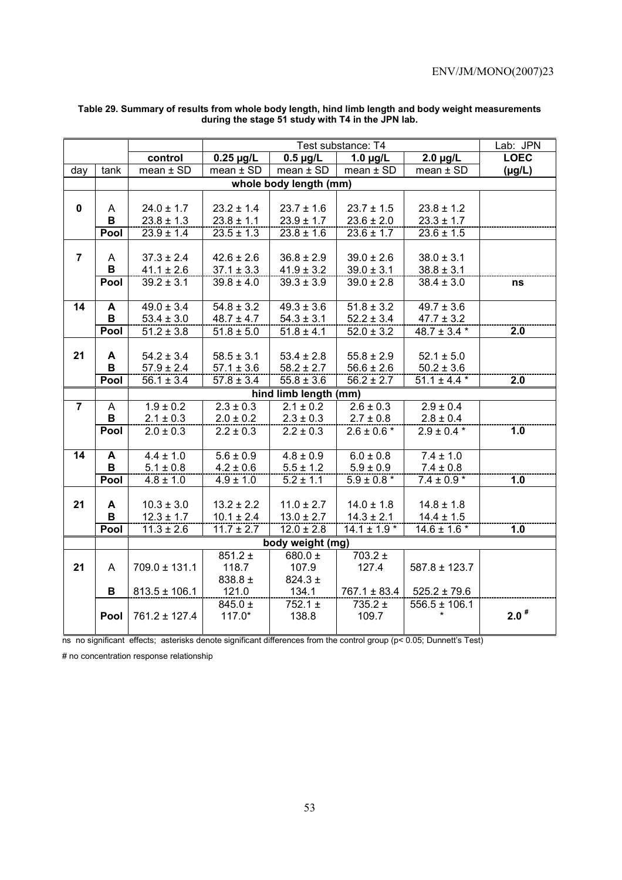|                |             |                   |                | Lab: JPN               |                  |                   |             |
|----------------|-------------|-------------------|----------------|------------------------|------------------|-------------------|-------------|
|                |             | control           | $0.25 \mu g/L$ | $0.5 \mu g/L$          | $1.0 \mu g/L$    | $2.0 \mu g/L$     | <b>LOEC</b> |
| day            | tank        | $mean \pm SD$     | $mean \pm SD$  | $mean \pm SD$          | $mean \pm SD$    | $mean \pm SD$     | $(\mu g/L)$ |
|                |             |                   |                | whole body length (mm) |                  |                   |             |
|                |             |                   |                |                        |                  |                   |             |
| $\mathbf 0$    | A           | $24.0 \pm 1.7$    | $23.2 \pm 1.4$ | $23.7 \pm 1.6$         | $23.7 \pm 1.5$   | $23.8 \pm 1.2$    |             |
|                | $\mathbf B$ | $23.8 \pm 1.3$    | $23.8 \pm 1.1$ | $23.9 \pm 1.7$         | $23.6 \pm 2.0$   | $23.3 \pm 1.7$    |             |
|                | Pool        | $23.9 \pm 1.4$    | $23.5 \pm 1.3$ | $23.8 \pm 1.6$         | $23.6 \pm 1.7$   | $23.6 \pm 1.5$    |             |
|                |             |                   |                |                        |                  |                   |             |
| $\overline{7}$ | A           | $37.3 \pm 2.4$    | $42.6 \pm 2.6$ | $36.8 \pm 2.9$         | $39.0 \pm 2.6$   | $38.0 \pm 3.1$    |             |
|                | B           | $41.1 \pm 2.6$    | $37.1 \pm 3.3$ | $41.9 \pm 3.2$         | $39.0 \pm 3.1$   | $38.8 \pm 3.1$    |             |
|                | Pool        | $39.2 \pm 3.1$    | $39.8 \pm 4.0$ | $39.3 \pm 3.9$         | $39.0 \pm 2.8$   | $38.4 \pm 3.0$    | ns          |
|                |             |                   |                |                        |                  |                   |             |
| 14             | A           | $49.0 \pm 3.4$    | $54.8 \pm 3.2$ | $49.3 \pm 3.6$         | $51.8 \pm 3.2$   | $49.7 \pm 3.6$    |             |
|                | B           | $53.4 \pm 3.0$    | $48.7 \pm 4.7$ | $54.3 \pm 3.1$         | $52.2 \pm 3.4$   | $47.7 \pm 3.2$    |             |
|                | Pool        | $51.2 \pm 3.8$    | $51.8 \pm 5.0$ | $51.8 \pm 4.1$         | $52.0 \pm 3.2$   | $48.7 \pm 3.4$ *  | 2.0         |
|                |             |                   |                |                        |                  |                   |             |
| 21             | A           | $54.2 \pm 3.4$    | $58.5 \pm 3.1$ | $53.4 \pm 2.8$         | $55.8 \pm 2.9$   | $52.1 \pm 5.0$    |             |
|                | В           | $57.9 \pm 2.4$    | $57.1 \pm 3.6$ | $58.2 \pm 2.7$         | $56.6 \pm 2.6$   | $50.2 \pm 3.6$    |             |
|                | Pool        | $56.1 \pm 3.4$    | $57.8 \pm 3.4$ | $55.8 \pm 3.6$         | $56.2 \pm 2.7$   | $51.1 \pm 4.4$ *  | 2.0         |
|                |             |                   |                | hind limb length (mm)  |                  |                   |             |
| $\overline{7}$ | A           | $1.9 \pm 0.2$     | $2.3 \pm 0.3$  | $2.1 \pm 0.2$          | $2.6 \pm 0.3$    | $2.9 \pm 0.4$     |             |
|                | B           | $2.1 \pm 0.3$     | $2.0 \pm 0.2$  | $2.3 \pm 0.3$          | $2.7 \pm 0.8$    | $2.8 \pm 0.4$     |             |
|                | Pool        | $2.0 \pm 0.3$     | $2.2 \pm 0.3$  | $2.2 \pm 0.3$          | $2.6 \pm 0.6*$   | $2.9 \pm 0.4$ *   | 1.0         |
|                |             |                   |                |                        |                  |                   |             |
| 14             | A           | $4.4 \pm 1.0$     | $5.6 \pm 0.9$  | $4.8 \pm 0.9$          | $6.0 \pm 0.8$    | $7.4 \pm 1.0$     |             |
|                | В           | $5.1 \pm 0.8$     | $4.2 \pm 0.6$  | $5.5 \pm 1.2$          | $5.9 \pm 0.9$    | $7.4 \pm 0.8$     |             |
|                | Pool        | $4.8 \pm 1.0$     | $4.9 \pm 1.0$  | $5.2 \pm 1.1$          | $5.9 \pm 0.8*$   | $7.4 \pm 0.9*$    | 1.0         |
|                |             |                   |                |                        |                  |                   |             |
| 21             | A           | $10.3 \pm 3.0$    | $13.2 \pm 2.2$ | $11.0 \pm 2.7$         | $14.0 \pm 1.8$   | $14.8 \pm 1.8$    |             |
|                | B           | $12.3 \pm 1.7$    | $10.1 \pm 2.4$ | $13.0 \pm 2.7$         | $14.3 \pm 2.1$   | $14.4 \pm 1.5$    |             |
|                | Pool        | $11.3 \pm 2.6$    | $11.7 \pm 2.7$ | $12.0 \pm 2.8$         | $14.1 \pm 1.9$ * | $14.6 \pm 1.6$ *  | 1.0         |
|                |             |                   |                | body weight (mg)       |                  |                   |             |
|                |             |                   | $851.2 \pm$    | 680.0 $\pm$            | $703.2 \pm$      |                   |             |
| 21             | A           | $709.0 \pm 131.1$ | 118.7          | 107.9                  | 127.4            | $587.8 \pm 123.7$ |             |
|                |             |                   | 838.8 ±        | $824.3 \pm$            |                  |                   |             |
|                | в           | $813.5 \pm 106.1$ | 121.0          | 134.1                  | $767.1 \pm 83.4$ | $525.2 \pm 79.6$  |             |
|                |             |                   | $845.0 \pm$    | $752.1 \pm$            | $735.2 \pm$      | $556.5 \pm 106.1$ |             |
|                | Pool        | $761.2 \pm 127.4$ | $117.0*$       | 138.8                  | 109.7            |                   | $2.0$ #     |
|                |             |                   |                |                        |                  |                   |             |

#### **Table 29. Summary of results from whole body length, hind limb length and body weight measurements during the stage 51 study with T4 in the JPN lab.**

ns no significant effects; asterisks denote significant differences from the control group (p< 0.05; Dunnett's Test)

# no concentration response relationship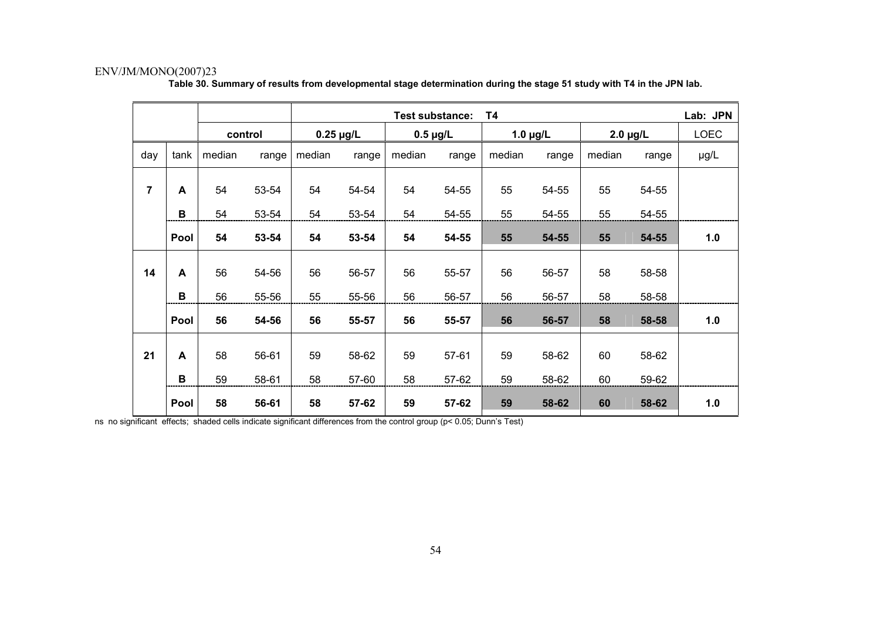|                |              |         |       |                |       | Test substance: |           | T4            |       |               |       | Lab: JPN    |
|----------------|--------------|---------|-------|----------------|-------|-----------------|-----------|---------------|-------|---------------|-------|-------------|
|                |              | control |       | $0.25 \mu g/L$ |       | $0.5 \mu g/L$   |           | $1.0 \mu g/L$ |       | $2.0 \mu g/L$ |       | <b>LOEC</b> |
| day            | tank         | median  | range | median         | range | median          | range     | median        | range | median        | range | µg/L        |
| $\overline{7}$ | A            | 54      | 53-54 | 54             | 54-54 | 54              | 54-55     | 55            | 54-55 | 55            | 54-55 |             |
|                | B            | 54      | 53-54 | 54             | 53-54 | 54              | 54-55     | 55            | 54-55 | 55            | 54-55 |             |
|                | Pool         | 54      | 53-54 | 54             | 53-54 | 54              | 54-55     | 55            | 54-55 | 55            | 54-55 | 1.0         |
| 14             | $\mathbf{A}$ | 56      | 54-56 | 56             | 56-57 | 56              | 55-57     | 56            | 56-57 | 58            | 58-58 |             |
|                | В            | 56      | 55-56 | 55             | 55-56 | 56              | 56-57     | 56            | 56-57 | 58            | 58-58 |             |
|                | Pool         | 56      | 54-56 | 56             | 55-57 | 56              | 55-57     | 56            | 56-57 | 58            | 58-58 | 1.0         |
| 21             | A            | 58      | 56-61 | 59             | 58-62 | 59              | $57 - 61$ | 59            | 58-62 | 60            | 58-62 |             |
|                | B            | 59      | 58-61 | 58             | 57-60 | 58              | 57-62     | 59            | 58-62 | 60            | 59-62 |             |
|                | Pool         | 58      | 56-61 | 58             | 57-62 | 59              | 57-62     | 59            | 58-62 | 60            | 58-62 | 1.0         |

**Table 30. Summary of results from developmental stage determination during the stage 51 study with T4 in the JPN lab.** 

ns no significant effects; shaded cells indicate significant differences from the control group (p< 0.05; Dunn's Test)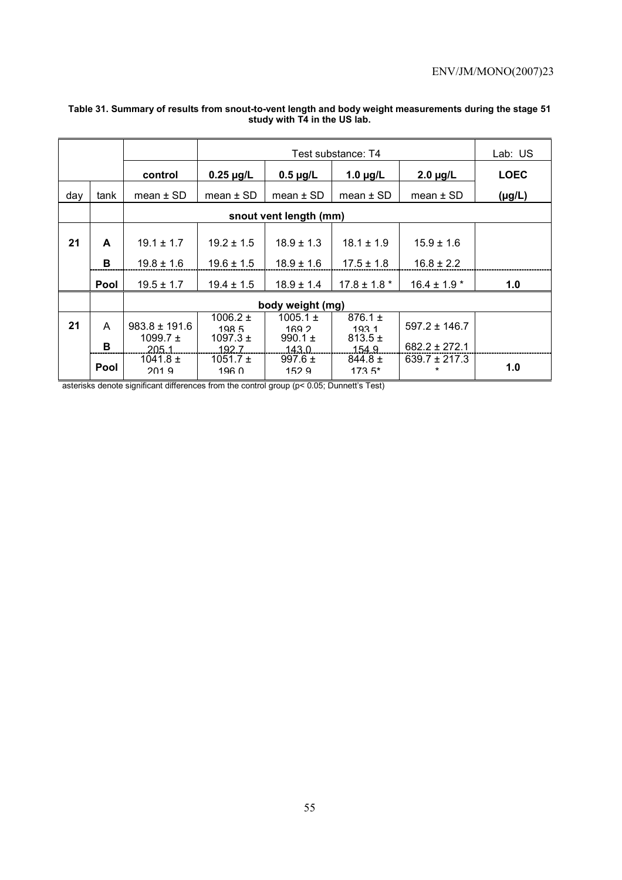|     |             |                                   |                                       |                                      | Test substance: T4                 |                              | Lab: US     |
|-----|-------------|-----------------------------------|---------------------------------------|--------------------------------------|------------------------------------|------------------------------|-------------|
|     |             | control                           | $0.25 \mu g/L$                        | $0.5 \mu g/L$                        | 1.0 $\mu$ g/L                      | $2.0 \mu g/L$                | <b>LOEC</b> |
| day | tank        | mean $\pm$ SD                     | $mean \pm SD$                         | $mean \pm SD$                        | mean $\pm$ SD                      | mean $\pm$ SD                | $(\mu g/L)$ |
|     |             |                                   |                                       | snout vent length (mm)               |                                    |                              |             |
| 21  | A           | $19.1 \pm 1.7$                    | $19.2 \pm 1.5$                        | $18.9 \pm 1.3$                       | $18.1 \pm 1.9$                     | $15.9 \pm 1.6$               |             |
|     | в           | $19.8 \pm 1.6$                    | $19.6 \pm 1.5$                        | $18.9 \pm 1.6$                       | $17.5 \pm 1.8$                     | $16.8 \pm 2.2$               |             |
|     | <b>Pool</b> | $19.5 \pm 1.7$                    | $19.4 \pm 1.5$                        | $18.9 \pm 1.4$                       | $17.8 \pm 1.8$ *                   | $16.4 \pm 1.9$ *             | 1.0         |
|     |             |                                   |                                       | body weight (mg)                     |                                    |                              |             |
| 21  | A           | $983.8 \pm 191.6$<br>1099.7 $\pm$ | 1006.2 $\pm$<br>198.5<br>1097.3 $\pm$ | 1005.1 $\pm$<br>169 2<br>990.1 $\pm$ | $876.1 \pm$<br>1931<br>$813.5 \pm$ | $597.2 \pm 146.7$            |             |
|     | в           | 205 <sub>1</sub>                  | 192.7                                 | 1430                                 | 154 9                              | $682.2 \pm 272.1$            |             |
|     | Pool        | $1041.8 \pm$<br>2019              | 1051.7 $\pm$<br>196 <sub>0</sub>      | 997.6 $\pm$<br>152.9                 | $844.8 \pm$<br>$173.5*$            | $639.7 \pm 217.3$<br>$\star$ | 1.0         |

#### **Table 31. Summary of results from snout-to-vent length and body weight measurements during the stage 51 study with T4 in the US lab.**

asterisks denote significant differences from the control group (p< 0.05; Dunnett's Test)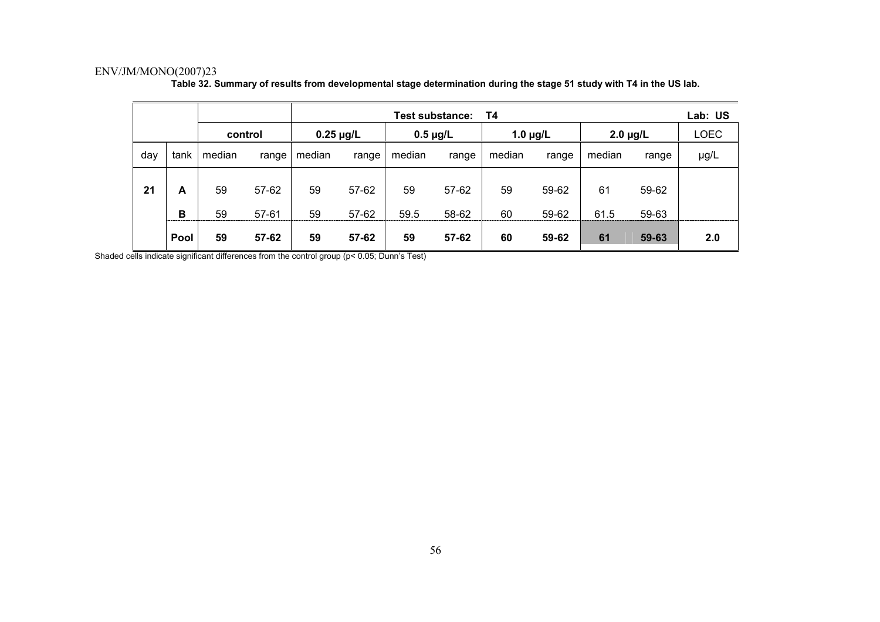|     |        |          |                           |          |                | <b>Test substance:</b> |                | T4            |                |               |                | Lab: US     |
|-----|--------|----------|---------------------------|----------|----------------|------------------------|----------------|---------------|----------------|---------------|----------------|-------------|
|     |        |          | $0.25 \mu g/L$<br>control |          |                | $0.5 \mu g/L$          |                | 1.0 $\mu$ g/L |                | $2.0 \mu g/L$ |                | <b>LOEC</b> |
| day | tank   | median   | range                     | median   | range          | median                 | range          | median        | range          | median        | range          | µg/L        |
| 21  | A<br>B | 59<br>59 | 57-62<br>$57 - 61$        | 59<br>59 | 57-62<br>57-62 | 59<br>59.5             | 57-62<br>58-62 | 59<br>60      | 59-62<br>59-62 | 61<br>61.5    | 59-62<br>59-63 |             |
|     | Pool   | 59       | 57-62                     | 59       | 57-62          | 59                     | 57-62          | 60            | 59-62          | 61            | 59-63          | 2.0         |

**Table 32. Summary of results from developmental stage determination during the stage 51 study with T4 in the US lab.** 

Shaded cells indicate significant differences from the control group (p< 0.05; Dunn's Test)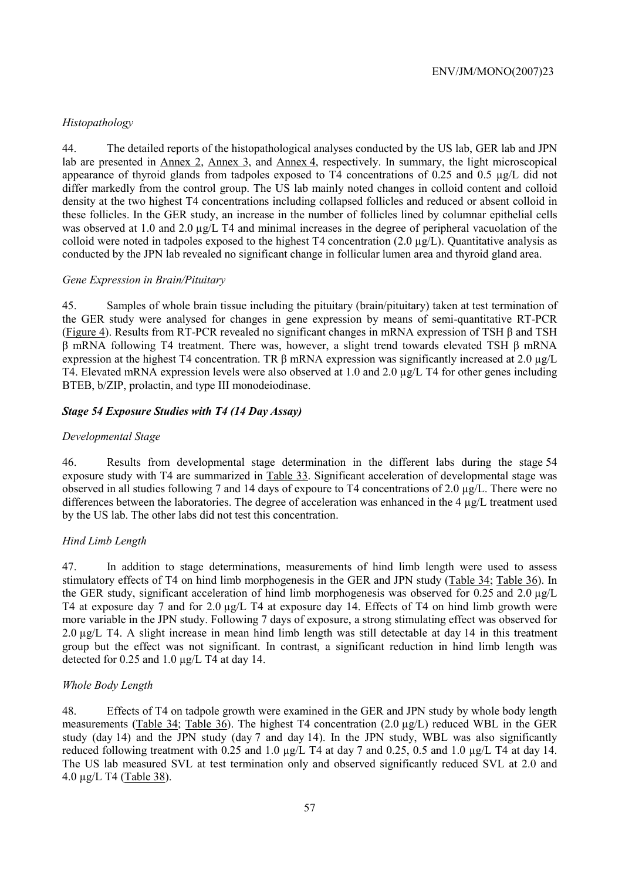# *Histopathology*

44. The detailed reports of the histopathological analyses conducted by the US lab, GER lab and JPN lab are presented in Annex 2, Annex 3, and Annex 4, respectively. In summary, the light microscopical appearance of thyroid glands from tadpoles exposed to T4 concentrations of 0.25 and 0.5 µg/L did not differ markedly from the control group. The US lab mainly noted changes in colloid content and colloid density at the two highest T4 concentrations including collapsed follicles and reduced or absent colloid in these follicles. In the GER study, an increase in the number of follicles lined by columnar epithelial cells was observed at 1.0 and 2.0  $\mu$ g/L T4 and minimal increases in the degree of peripheral vacuolation of the colloid were noted in tadpoles exposed to the highest T4 concentration  $(2.0 \mu g/L)$ . Quantitative analysis as conducted by the JPN lab revealed no significant change in follicular lumen area and thyroid gland area.

## *Gene Expression in Brain/Pituitary*

45. Samples of whole brain tissue including the pituitary (brain/pituitary) taken at test termination of the GER study were analysed for changes in gene expression by means of semi-quantitative RT-PCR (Figure 4). Results from RT-PCR revealed no significant changes in mRNA expression of TSH β and TSH β mRNA following T4 treatment. There was, however, a slight trend towards elevated TSH β mRNA expression at the highest T4 concentration. TR β mRNA expression was significantly increased at 2.0 µg/L T4. Elevated mRNA expression levels were also observed at 1.0 and 2.0 µg/L T4 for other genes including BTEB, b/ZIP, prolactin, and type III monodeiodinase.

# *Stage 54 Exposure Studies with T4 (14 Day Assay)*

## *Developmental Stage*

46. Results from developmental stage determination in the different labs during the stage 54 exposure study with T4 are summarized in Table 33. Significant acceleration of developmental stage was observed in all studies following 7 and 14 days of expoure to T4 concentrations of 2.0 µg/L. There were no differences between the laboratories. The degree of acceleration was enhanced in the 4 µg/L treatment used by the US lab. The other labs did not test this concentration.

## *Hind Limb Length*

47. In addition to stage determinations, measurements of hind limb length were used to assess stimulatory effects of T4 on hind limb morphogenesis in the GER and JPN study (Table 34; Table 36). In the GER study, significant acceleration of hind limb morphogenesis was observed for 0.25 and 2.0 µg/L T4 at exposure day 7 and for 2.0  $\mu$ g/L T4 at exposure day 14. Effects of T4 on hind limb growth were more variable in the JPN study. Following 7 days of exposure, a strong stimulating effect was observed for 2.0 µg/L T4. A slight increase in mean hind limb length was still detectable at day 14 in this treatment group but the effect was not significant. In contrast, a significant reduction in hind limb length was detected for 0.25 and 1.0 µg/L T4 at day 14.

## *Whole Body Length*

48. Effects of T4 on tadpole growth were examined in the GER and JPN study by whole body length measurements (Table 34; Table 36). The highest T4 concentration (2.0 µg/L) reduced WBL in the GER study (day 14) and the JPN study (day 7 and day 14). In the JPN study, WBL was also significantly reduced following treatment with 0.25 and 1.0 µg/L T4 at day 7 and 0.25, 0.5 and 1.0 µg/L T4 at day 14. The US lab measured SVL at test termination only and observed significantly reduced SVL at 2.0 and 4.0 µg/L T4 (Table 38).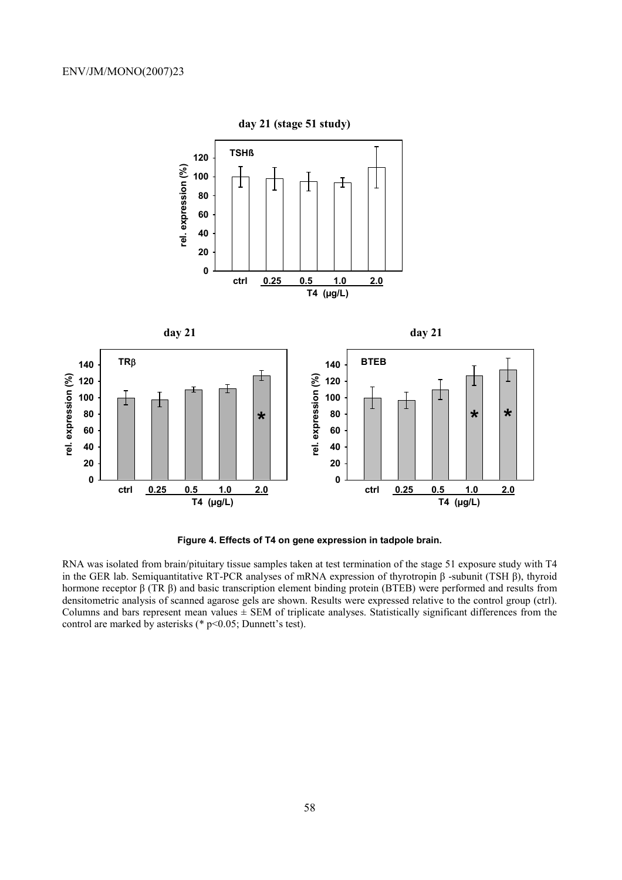

**Figure 4. Effects of T4 on gene expression in tadpole brain.** 

RNA was isolated from brain/pituitary tissue samples taken at test termination of the stage 51 exposure study with T4 in the GER lab. Semiquantitative RT-PCR analyses of mRNA expression of thyrotropin β -subunit (TSH β), thyroid hormone receptor β (TR β) and basic transcription element binding protein (BTEB) were performed and results from densitometric analysis of scanned agarose gels are shown. Results were expressed relative to the control group (ctrl). Columns and bars represent mean values  $\pm$  SEM of triplicate analyses. Statistically significant differences from the control are marked by asterisks (\* p<0.05; Dunnett's test).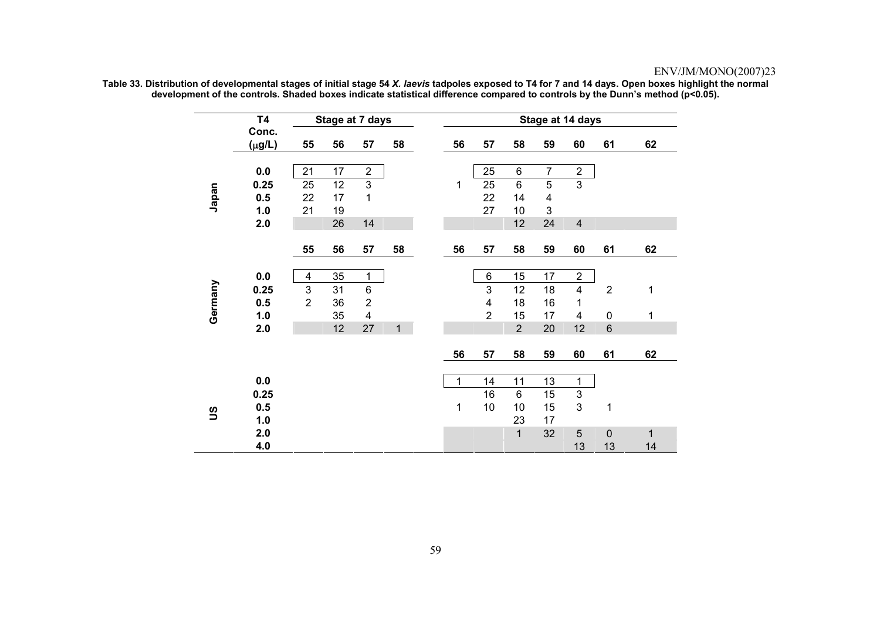|              | <b>T4</b>            |                | Stage at 7 days |                         |    |    |                         |                |                         | Stage at 14 days        |                |    |
|--------------|----------------------|----------------|-----------------|-------------------------|----|----|-------------------------|----------------|-------------------------|-------------------------|----------------|----|
|              | Conc.<br>$(\mu g/L)$ | 55             | 56              | 57                      | 58 | 56 | 57                      | 58             | 59                      | 60                      | 61             | 62 |
|              | 0.0                  | 21             | 17              | $\overline{2}$          |    |    | 25                      | 6              | $\overline{7}$          | $\overline{c}$          |                |    |
|              | 0.25                 | 25             | 12              | 3                       |    | 1  | 25                      | 6              | 5                       | $\mathfrak{S}$          |                |    |
| Japan        | 0.5                  | 22             | 17              | $\mathbf{1}$            |    |    | 22                      | 14             | $\overline{\mathbf{4}}$ |                         |                |    |
|              | 1.0                  | 21             | 19              |                         |    |    | 27                      | 10             | 3                       |                         |                |    |
|              | 2.0                  |                | 26              | 14                      |    |    |                         | 12             | 24                      | $\overline{4}$          |                |    |
|              |                      |                |                 |                         |    |    |                         |                |                         |                         |                |    |
|              |                      | 55             | 56              | 57                      | 58 | 56 | 57                      | 58             | 59                      | 60                      | 61             | 62 |
|              | 0.0                  | 4              | 35              | 1                       |    |    | $\,6$                   | 15             | 17                      | $\overline{2}$          |                |    |
|              | 0.25                 | 3              | 31              | $\,6$                   |    |    | 3                       | 12             | 18                      | $\overline{\mathbf{4}}$ | $\overline{2}$ | 1  |
|              | 0.5                  | $\overline{2}$ | 36              | $\overline{2}$          |    |    | $\overline{\mathbf{4}}$ | 18             | 16                      | 1                       |                |    |
| Germany      | 1.0                  |                | 35              | $\overline{\mathbf{4}}$ |    |    | $\overline{2}$          | 15             | 17                      | $\overline{4}$          | $\pmb{0}$      | 1  |
|              | 2.0                  |                | 12              | 27                      | 1  |    |                         | $\overline{2}$ | 20                      | 12                      | $\,6$          |    |
|              |                      |                |                 |                         |    |    |                         |                |                         |                         |                |    |
|              |                      |                |                 |                         |    | 56 | 57                      | 58             | 59                      | 60                      | 61             | 62 |
|              |                      |                |                 |                         |    |    |                         |                |                         |                         |                |    |
|              | 0.0                  |                |                 |                         |    | 1  | 14                      | 11             | 13                      | 1                       |                |    |
|              | 0.25                 |                |                 |                         |    |    | 16                      | 6              | 15                      | $\sqrt{3}$              |                |    |
| $\mathbf{S}$ | 0.5                  |                |                 |                         |    | 1  | 10                      | 10             | 15                      | 3                       | 1              |    |
|              | 1.0                  |                |                 |                         |    |    |                         | 23             | 17                      |                         |                |    |
|              | 2.0                  |                |                 |                         |    |    |                         | $\overline{1}$ | 32                      | 5                       | $\pmb{0}$      | 1  |
|              | 4.0                  |                |                 |                         |    |    |                         |                |                         | 13                      | 13             | 14 |

**Table 33. Distribution of developmental stages of initial stage 54** *X. laevis* **tadpoles exposed to T4 for 7 and 14 days. Open boxes highlight the normal development of the controls. Shaded boxes indicate statistical difference compared to controls by the Dunn's method (p<0.05).**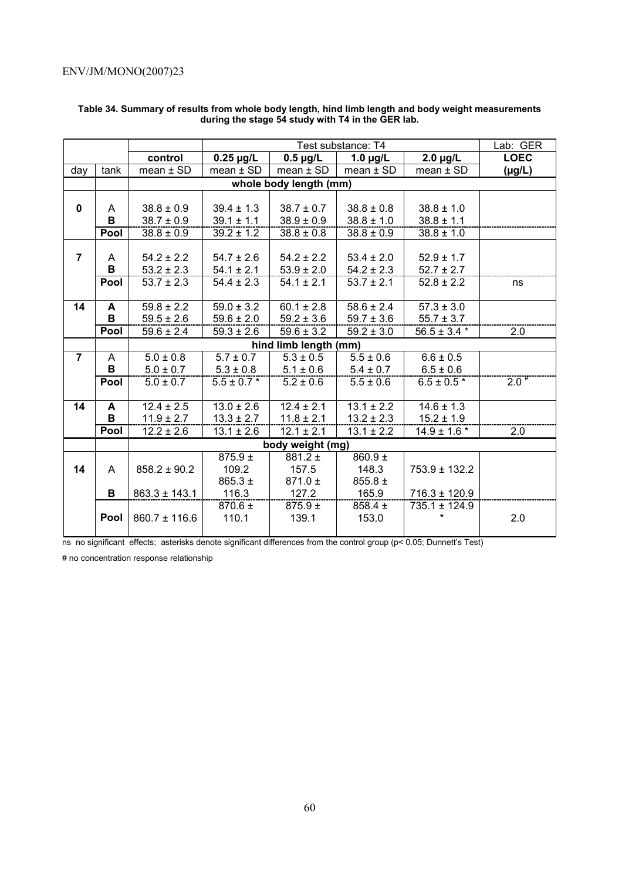|                |      |                   |                 | Lab: GER                |                          |                   |             |
|----------------|------|-------------------|-----------------|-------------------------|--------------------------|-------------------|-------------|
|                |      | control           | $0.25 \mu g/L$  | $0.5 \mu g/L$           | 1.0 $\mu$ g/L            | $2.0 \mu g/L$     | <b>LOEC</b> |
| day            | tank | $mean \pm SD$     | $mean \pm SD$   | $mean \pm SD$           | $mean \pm SD$            | $mean \pm SD$     | $(\mu g/L)$ |
|                |      |                   |                 | whole body length (mm)  |                          |                   |             |
|                |      |                   |                 |                         |                          |                   |             |
| $\mathbf{0}$   | A    | $38.8 \pm 0.9$    | $39.4 \pm 1.3$  | $38.7 \pm 0.7$          | $38.8 \pm 0.8$           | $38.8 \pm 1.0$    |             |
|                | B    | $38.7 \pm 0.9$    | $39.1 \pm 1.1$  | $38.9 \pm 0.9$          | $38.8 \pm 1.0$           | $38.8 \pm 1.1$    |             |
|                | Pool | $38.8 \pm 0.9$    | $39.2 \pm 1.2$  | $38.8 \pm 0.8$          | $38.8 \pm 0.9$           | $38.8 \pm 1.0$    |             |
|                |      |                   |                 |                         |                          |                   |             |
| $\overline{7}$ | A    | $54.2 \pm 2.2$    | $54.7 \pm 2.6$  | $54.2 \pm 2.2$          | $53.4 \pm 2.0$           | $52.9 \pm 1.7$    |             |
|                | B    | $53.2 \pm 2.3$    | $54.1 \pm 2.1$  | $53.9 \pm 2.0$          | $54.2 \pm 2.3$           | $52.7 \pm 2.7$    |             |
|                | Pool | $53.7 \pm 2.3$    | $54.4 \pm 2.3$  | $54.1 \pm 2.1$          | $53.7 \pm 2.1$           | $52.8 \pm 2.2$    | ns          |
|                |      |                   |                 |                         |                          |                   |             |
| 14             | A    | $59.8 \pm 2.2$    | $59.0 \pm 3.2$  | $60.1 \pm 2.8$          | $58.6 \pm 2.4$           | $57.3 \pm 3.0$    |             |
|                | B    | $59.5 \pm 2.6$    | $59.6 \pm 2.0$  | $59.2 \pm 3.6$          | $59.7 \pm 3.6$           | $55.7 \pm 3.7$    |             |
|                | Pool | $59.6 \pm 2.4$    | $59.3 \pm 2.6$  | $59.6 \pm 3.2$          | $59.2 \pm 3.0$           | $56.5 \pm 3.4$ *  | 2.0         |
|                |      |                   |                 | hind limb length (mm)   |                          |                   |             |
| $\overline{7}$ | A    | $5.0 \pm 0.8$     | $5.7 \pm 0.7$   | $\frac{1}{5.3 \pm 0.5}$ | $\overline{5.5} \pm 0.6$ | $6.6 \pm 0.5$     |             |
|                | B    | $5.0 \pm 0.7$     | $5.3 \pm 0.8$   | $5.1 \pm 0.6$           | $5.4 \pm 0.7$            | $6.5 \pm 0.6$     |             |
|                | Pool | $5.0 \pm 0.7$     | $5.5 \pm 0.7$ * | $5.2 \pm 0.6$           | $5.5 \pm 0.6$            | $6.5 \pm 0.5*$    | $2.0^{*}$   |
|                |      |                   |                 |                         |                          |                   |             |
| 14             | A    | $12.4 \pm 2.5$    | $13.0 \pm 2.6$  | $12.4 \pm 2.1$          | $13.1 \pm 2.2$           | $14.6 \pm 1.3$    |             |
|                | B    | $11.9 \pm 2.7$    | $13.3 \pm 2.7$  | $11.8 \pm 2.1$          | $13.2 \pm 2.3$           | $15.2 \pm 1.9$    |             |
|                | Pool | $12.2 \pm 2.6$    | $13.1 \pm 2.6$  | $12.1 \pm 2.1$          | $13.1 \pm 2.2$           | $14.9 \pm 1.6$ *  | 2.0         |
|                |      |                   |                 | body weight (mg)        |                          |                   |             |
|                |      |                   | $875.9 \pm$     | $881.2 \pm$             | $860.9 +$                |                   |             |
| 14             | A    | $858.2 \pm 90.2$  | 109.2           | 157.5                   | 148.3                    | 753.9 ± 132.2     |             |
|                |      |                   | $865.3 \pm$     | $871.0 \pm$             | $855.8 \pm$              |                   |             |
|                | В    | $863.3 \pm 143.1$ | 116.3           | 127.2                   | 165.9                    | $716.3 \pm 120.9$ |             |
|                |      |                   | 870.6 ±         | $875.9 \pm$             | $858.4 \pm$              | $735.1 \pm 124.9$ |             |
|                | Pool | $860.7 \pm 116.6$ | 110.1           | 139.1                   | 153.0                    |                   | 2.0         |
|                |      |                   |                 |                         |                          |                   |             |

#### **Table 34. Summary of results from whole body length, hind limb length and body weight measurements during the stage 54 study with T4 in the GER lab.**

ns no significant effects; asterisks denote significant differences from the control group (p< 0.05; Dunnett's Test)

# no concentration response relationship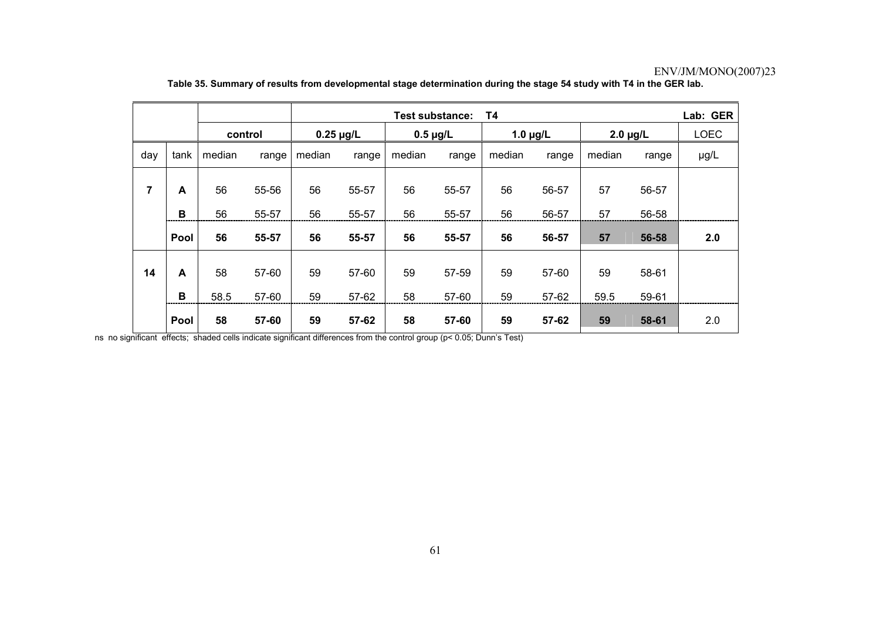|     |        |            |                |                | Lab: GER<br>Τ4<br><b>Test substance:</b> |               |                |               |                |               |                |             |  |
|-----|--------|------------|----------------|----------------|------------------------------------------|---------------|----------------|---------------|----------------|---------------|----------------|-------------|--|
|     |        | control    |                | $0.25 \mu g/L$ |                                          | $0.5 \mu g/L$ |                | 1.0 $\mu$ g/L |                | $2.0 \mu g/L$ |                | <b>LOEC</b> |  |
| day | tank   | median     | range          | median         | range                                    | median        | range          | median        | range          | median        | range          | µg/L        |  |
| 7   | A      | 56         | 55-56          | 56             | 55-57                                    | 56            | 55-57          | 56            | 56-57          | 57            | 56-57          |             |  |
|     | в      | 56         | 55-57          | 56             | 55-57                                    | 56            | 55-57          | 56            | 56-57          | 57            | 56-58          |             |  |
|     | Pool   | 56         | 55-57          | 56             | 55-57                                    | 56            | 55-57          | 56            | 56-57          | 57            | 56-58          | 2.0         |  |
| 14  | A<br>B | 58<br>58.5 | 57-60<br>57-60 | 59<br>59       | 57-60<br>57-62                           | 59<br>58      | 57-59<br>57-60 | 59<br>59      | 57-60<br>57-62 | 59<br>59.5    | 58-61<br>59-61 |             |  |
|     | Pool   | 58         | 57-60          | 59             | 57-62                                    | 58            | 57-60          | 59            | 57-62          | 59            | 58-61          | 2.0         |  |

#### **Table 35. Summary of results from developmental stage determination during the stage 54 study with T4 in the GER lab.**

ns no significant effects; shaded cells indicate significant differences from the control group (p< 0.05; Dunn's Test)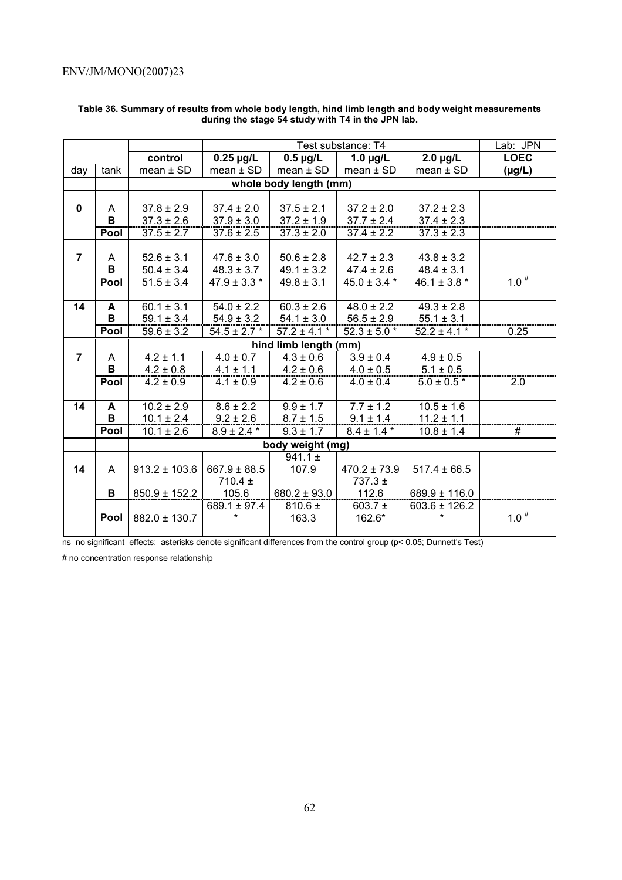|                |      |                   |                  | Lab: JPN                          |                  |                   |             |
|----------------|------|-------------------|------------------|-----------------------------------|------------------|-------------------|-------------|
|                |      | control           | $0.25 \mu g/L$   | $0.5 \mu g/L$                     | 1.0 $\mu$ g/L    | $2.0 \mu g/L$     | <b>LOEC</b> |
| day            | tank | $mean \pm SD$     | $mean \pm SD$    | $mean \pm SD$                     | $mean \pm SD$    | mean $\pm$ SD     | $(\mu g/L)$ |
|                |      |                   |                  | whole body length (mm)            |                  |                   |             |
|                |      |                   |                  |                                   |                  |                   |             |
| $\mathbf{0}$   | A    | $37.8 \pm 2.9$    | $37.4 \pm 2.0$   | $37.5 \pm 2.1$                    | $37.2 \pm 2.0$   | $37.2 \pm 2.3$    |             |
|                | B    | $37.3 \pm 2.6$    | $37.9 \pm 3.0$   | $37.2 \pm 1.9$                    | $37.7 \pm 2.4$   | $37.4 \pm 2.3$    |             |
|                | Pool | $37.5 \pm 2.7$    | $37.6 \pm 2.5$   | $37.3 \pm 2.0$                    | $37.4 \pm 2.2$   | $37.3 \pm 2.3$    |             |
|                |      |                   |                  |                                   |                  |                   |             |
| $\overline{7}$ | A    | $52.6 \pm 3.1$    | $47.6 \pm 3.0$   | $50.6 \pm 2.8$                    | $42.7 \pm 2.3$   | $43.8 \pm 3.2$    |             |
|                | B    | $50.4 \pm 3.4$    | $48.3 \pm 3.7$   | $49.1 \pm 3.2$                    | $47.4 \pm 2.6$   | $48.4 \pm 3.1$    |             |
|                | Pool | $51.5 \pm 3.4$    | $47.9 \pm 3.3$ * | $49.8 \pm 3.1$                    | $45.0 \pm 3.4$ * | $46.1 \pm 3.8$ *  | $1.0^{*}$   |
|                |      |                   |                  |                                   |                  |                   |             |
| 14             | A    | $60.1 \pm 3.1$    | $54.0 \pm 2.2$   | $60.3 \pm 2.6$                    | $48.0 \pm 2.2$   | $49.3 \pm 2.8$    |             |
|                | В    | $59.1 \pm 3.4$    | $54.9 \pm 3.2$   | $54.1 \pm 3.0$                    | $56.5 \pm 2.9$   | $55.1 \pm 3.1$    |             |
|                | Pool | $59.6 \pm 3.2$    | $54.5 \pm 2.7$ * | $57.2 \pm 4.1$ *                  | $52.3 \pm 5.0$ * | $52.2 \pm 4.1$ *  | 0.25        |
|                |      |                   |                  | hind limb length (mm)             | $3.9 \pm 0.4$    |                   |             |
| $\overline{7}$ | A    | $4.2 \pm 1.1$     | $4.0 \pm 0.7$    | $\frac{4.3 \pm 0.6}{4.3 \pm 0.6}$ | $4.9 \pm 0.5$    |                   |             |
|                | В    | $4.2 \pm 0.8$     | $4.1 \pm 1.1$    | $4.2 \pm 0.6$                     | $4.0 \pm 0.5$    | $5.1 \pm 0.5$     |             |
|                | Pool | $4.2 \pm 0.9$     | $4.1 \pm 0.9$    | $4.2 \pm 0.6$                     | $4.0 \pm 0.4$    | $5.0 \pm 0.5$ *   | 2.0         |
|                |      |                   |                  |                                   |                  |                   |             |
| 14             | A    | $10.2 \pm 2.9$    | $8.6 \pm 2.2$    | $9.9 \pm 1.7$                     | $7.7 \pm 1.2$    | $10.5 \pm 1.6$    |             |
|                | B    | $10.1 \pm 2.4$    | $9.2 \pm 2.6$    | $8.7 \pm 1.5$                     | $9.1 \pm 1.4$    | $11.2 \pm 1.1$    |             |
|                | Pool | $10.1 \pm 2.6$    | $8.9 \pm 2.4$ *  | $9.3 \pm 1.7$                     | $8.4 \pm 1.4$ *  | $10.8 \pm 1.4$    | #           |
|                |      |                   |                  | body weight (mg)                  |                  |                   |             |
|                |      |                   |                  | $941.1 \pm$                       |                  |                   |             |
| 14             | A    | $913.2 \pm 103.6$ | $667.9 \pm 88.5$ | 107.9                             | $470.2 \pm 73.9$ | $517.4 \pm 66.5$  |             |
|                |      |                   | $710.4 \pm$      |                                   | $737.3 \pm$      |                   |             |
|                | В    | $850.9 \pm 152.2$ | 105.6            | $680.2 \pm 93.0$                  | 112.6            | $689.9 \pm 116.0$ |             |
|                |      |                   | $689.1 \pm 97.4$ | $810.6 \pm$                       | 603.7 $\pm$      | $603.6 \pm 126.2$ |             |
|                | Pool | $882.0 \pm 130.7$ | *                | 163.3                             | 162.6*           | $\star$           | $1.0^{\#}$  |
|                |      |                   |                  |                                   |                  |                   |             |

#### **Table 36. Summary of results from whole body length, hind limb length and body weight measurements during the stage 54 study with T4 in the JPN lab.**

ns no significant effects; asterisks denote significant differences from the control group (p< 0.05; Dunnett's Test)

# no concentration response relationship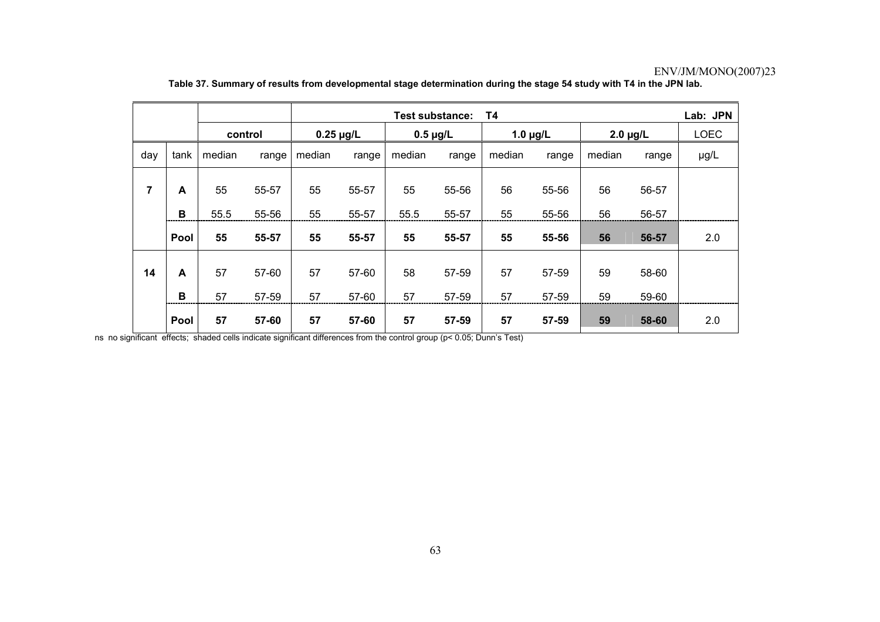|     |        |          |                |                | Lab: JPN<br>Τ4<br><b>Test substance:</b> |               |                |               |                |               |                |             |  |
|-----|--------|----------|----------------|----------------|------------------------------------------|---------------|----------------|---------------|----------------|---------------|----------------|-------------|--|
|     |        | control  |                | $0.25 \mu g/L$ |                                          | $0.5 \mu g/L$ |                | 1.0 $\mu$ g/L |                | $2.0 \mu g/L$ |                | <b>LOEC</b> |  |
| day | tank   | median   | range          | median         | range                                    | median        | range          | median        | range          | median        | range          | µg/L        |  |
| 7   | A      | 55       | 55-57          | 55             | 55-57                                    | 55            | 55-56          | 56            | 55-56          | 56            | 56-57          |             |  |
|     | в      | 55.5     | 55-56          | 55             | 55-57                                    | 55.5          | 55-57          | 55            | 55-56          | 56            | 56-57          |             |  |
|     | Pool   | 55       | 55-57          | 55             | 55-57                                    | 55            | 55-57          | 55            | 55-56          | 56            | 56-57          | 2.0         |  |
| 14  | A<br>B | 57<br>57 | 57-60<br>57-59 | 57<br>57       | 57-60<br>57-60                           | 58<br>57      | 57-59<br>57-59 | 57<br>57      | 57-59<br>57-59 | 59<br>59      | 58-60<br>59-60 |             |  |
|     | Pool   | 57       | 57-60          | 57             | 57-60                                    | 57            | 57-59          | 57            | 57-59          | 59            | 58-60          | 2.0         |  |

**Table 37. Summary of results from developmental stage determination during the stage 54 study with T4 in the JPN lab.** 

ns no significant effects; shaded cells indicate significant differences from the control group (p< 0.05; Dunn's Test)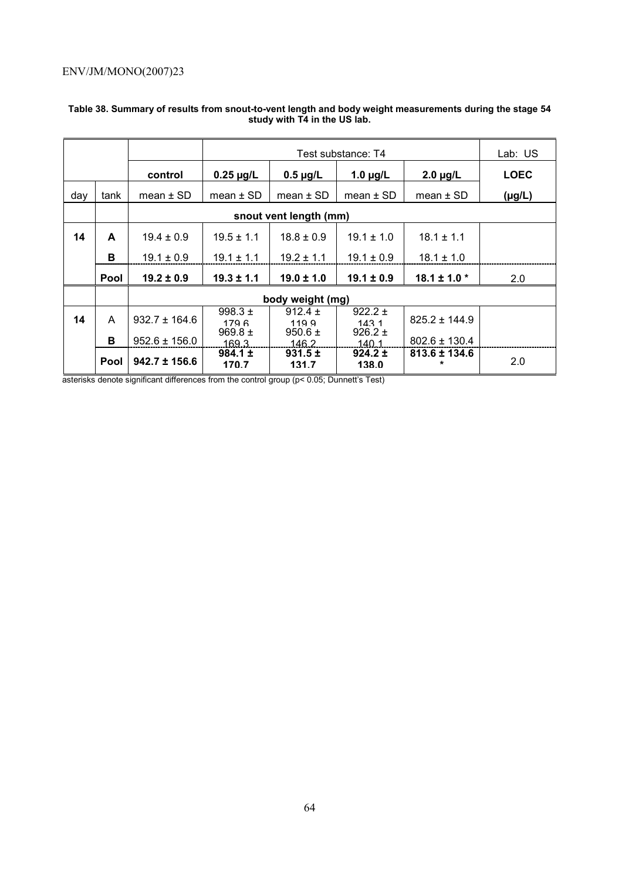|     |      |                   |                      |                      | Lab: US              |                          |             |
|-----|------|-------------------|----------------------|----------------------|----------------------|--------------------------|-------------|
|     |      | control           | $0.25 \mu g/L$       | $0.5 \mu g/L$        | 1.0 $\mu$ g/L        | $2.0 \mu g/L$            | <b>LOEC</b> |
| day | tank | mean $\pm$ SD     | mean $\pm$ SD        | mean $\pm$ SD        | mean $\pm$ SD        | mean $\pm$ SD            | $(\mu g/L)$ |
|     |      |                   |                      |                      |                      |                          |             |
| 14  | A    | $19.4 \pm 0.9$    | $18.1 \pm 1.1$       |                      |                      |                          |             |
|     | B    | $19.1 \pm 0.9$    | $19.1 \pm 1.1$       | $19.2 \pm 1.1$       | $19.1 \pm 0.9$       | $18.1 \pm 1.0$           |             |
|     | Pool | $19.2 \pm 0.9$    | $19.3 \pm 1.1$       | $19.0 \pm 1.0$       | $19.1 \pm 0.9$       | $18.1 \pm 1.0$ *         | 2.0         |
|     |      |                   |                      | body weight (mg)     |                      |                          |             |
| 14  | A    | $932.7 \pm 164.6$ | 998.3 $\pm$<br>179 R | 912.4 $\pm$<br>1199  | $922.2 \pm$<br>1431  | $825.2 \pm 144.9$        |             |
|     | B    | $952.6 \pm 156.0$ | 969.8 $\pm$<br>169.3 | $950.6 \pm$<br>146.2 | $926.2 \pm$<br>140.1 | $802.6 \pm 130.4$        |             |
|     | Pool | $942.7 \pm 156.6$ | $984.1 \pm$<br>170.7 | $931.5 \pm$<br>131.7 | $924.2 \pm$<br>138.0 | 813.6 ± 134.6<br>$\star$ | 2.0         |

### **Table 38. Summary of results from snout-to-vent length and body weight measurements during the stage 54 study with T4 in the US lab.**

asterisks denote significant differences from the control group (p< 0.05; Dunnett's Test)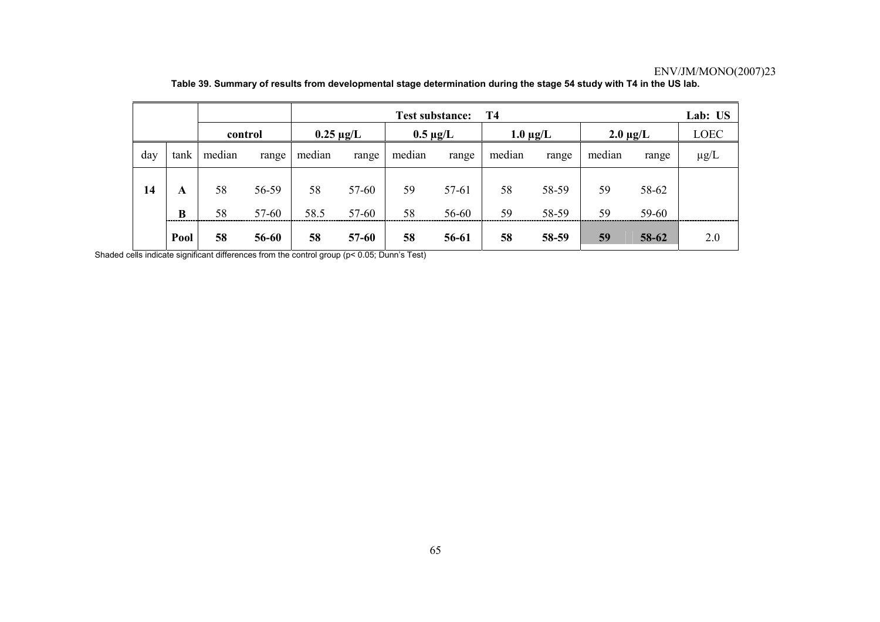|     |        |          |                |            |                |          | <b>Test substance:</b> | T4       |                |          |                | Lab: US     |
|-----|--------|----------|----------------|------------|----------------|----------|------------------------|----------|----------------|----------|----------------|-------------|
|     |        |          | control        |            | $0.25 \mu$ g/L |          | $0.5 \mu g/L$          |          | $1.0 \mu g/L$  |          | $2.0 \mu g/L$  | <b>LOEC</b> |
| day | tank   | median   | range          | median     | range          | median   | range                  | median   | range          | median   | range          | $\mu$ g/L   |
| 14  | A<br>B | 58<br>58 | 56-59<br>57-60 | 58<br>58.5 | 57-60<br>57-60 | 59<br>58 | 57-61<br>56-60         | 58<br>59 | 58-59<br>58-59 | 59<br>59 | 58-62<br>59-60 |             |
|     | Pool   | 58       | 56-60          | 58         | $57 - 60$      | 58       | 56-61                  | 58       | 58-59          | 59       | 58-62          | 2.0         |

**Table 39. Summary of results from developmental stage determination during the stage 54 study with T4 in the US lab.** 

Shaded cells indicate significant differences from the control group (p< 0.05; Dunn's Test)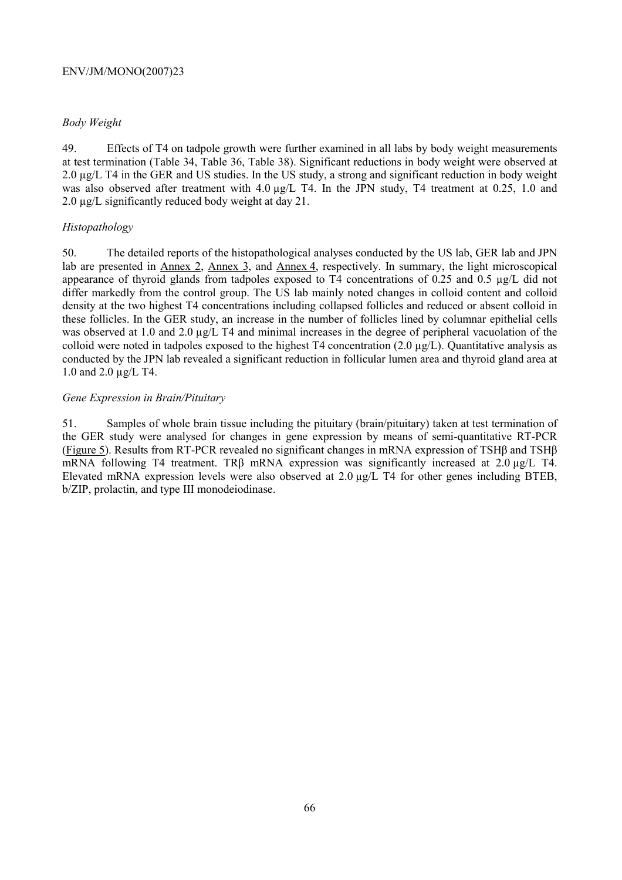# *Body Weight*

49. Effects of T4 on tadpole growth were further examined in all labs by body weight measurements at test termination (Table 34, Table 36, Table 38). Significant reductions in body weight were observed at 2.0  $\mu$ g/L T4 in the GER and US studies. In the US study, a strong and significant reduction in body weight was also observed after treatment with 4.0  $\mu$ g/L T4. In the JPN study, T4 treatment at 0.25, 1.0 and 2.0  $\mu$ g/L significantly reduced body weight at day 21.

# *Histopathology*

50. The detailed reports of the histopathological analyses conducted by the US lab, GER lab and JPN lab are presented in Annex 2, Annex 3, and Annex 4, respectively. In summary, the light microscopical appearance of thyroid glands from tadpoles exposed to T4 concentrations of 0.25 and 0.5 µg/L did not differ markedly from the control group. The US lab mainly noted changes in colloid content and colloid density at the two highest T4 concentrations including collapsed follicles and reduced or absent colloid in these follicles. In the GER study, an increase in the number of follicles lined by columnar epithelial cells was observed at 1.0 and 2.0  $\mu$ g/L T4 and minimal increases in the degree of peripheral vacuolation of the colloid were noted in tadpoles exposed to the highest T4 concentration  $(2.0 \mu g/L)$ . Quantitative analysis as conducted by the JPN lab revealed a significant reduction in follicular lumen area and thyroid gland area at 1.0 and 2.0 µg/L T4.

# *Gene Expression in Brain/Pituitary*

51. Samples of whole brain tissue including the pituitary (brain/pituitary) taken at test termination of the GER study were analysed for changes in gene expression by means of semi-quantitative RT-PCR (Figure 5). Results from RT-PCR revealed no significant changes in mRNA expression of TSHβ and TSHβ mRNA following T4 treatment. TRβ mRNA expression was significantly increased at 2.0 µg/L T4. Elevated mRNA expression levels were also observed at 2.0 µg/L T4 for other genes including BTEB, b/ZIP, prolactin, and type III monodeiodinase.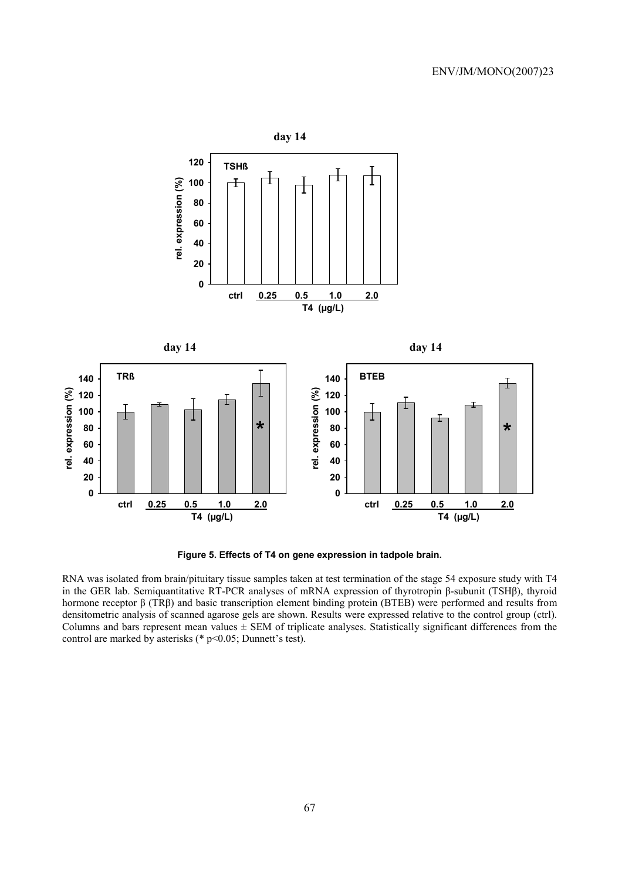

**Figure 5. Effects of T4 on gene expression in tadpole brain.** 

RNA was isolated from brain/pituitary tissue samples taken at test termination of the stage 54 exposure study with T4 in the GER lab. Semiquantitative RT-PCR analyses of mRNA expression of thyrotropin β-subunit (TSHβ), thyroid hormone receptor β (TRβ) and basic transcription element binding protein (BTEB) were performed and results from densitometric analysis of scanned agarose gels are shown. Results were expressed relative to the control group (ctrl). Columns and bars represent mean values  $\pm$  SEM of triplicate analyses. Statistically significant differences from the control are marked by asterisks (\* p<0.05; Dunnett's test).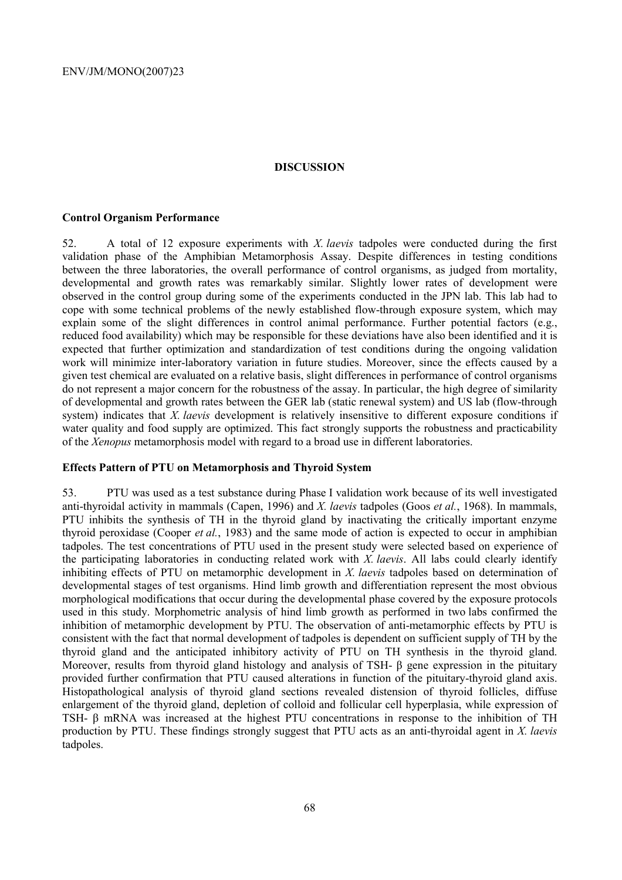### **DISCUSSION**

### **Control Organism Performance**

52. A total of 12 exposure experiments with *X. laevis* tadpoles were conducted during the first validation phase of the Amphibian Metamorphosis Assay. Despite differences in testing conditions between the three laboratories, the overall performance of control organisms, as judged from mortality, developmental and growth rates was remarkably similar. Slightly lower rates of development were observed in the control group during some of the experiments conducted in the JPN lab. This lab had to cope with some technical problems of the newly established flow-through exposure system, which may explain some of the slight differences in control animal performance. Further potential factors (e.g., reduced food availability) which may be responsible for these deviations have also been identified and it is expected that further optimization and standardization of test conditions during the ongoing validation work will minimize inter-laboratory variation in future studies. Moreover, since the effects caused by a given test chemical are evaluated on a relative basis, slight differences in performance of control organisms do not represent a major concern for the robustness of the assay. In particular, the high degree of similarity of developmental and growth rates between the GER lab (static renewal system) and US lab (flow-through system) indicates that *X. laevis* development is relatively insensitive to different exposure conditions if water quality and food supply are optimized. This fact strongly supports the robustness and practicability of the *Xenopus* metamorphosis model with regard to a broad use in different laboratories.

# **Effects Pattern of PTU on Metamorphosis and Thyroid System**

53. PTU was used as a test substance during Phase I validation work because of its well investigated anti-thyroidal activity in mammals (Capen, 1996) and *X. laevis* tadpoles (Goos *et al.*, 1968). In mammals, PTU inhibits the synthesis of TH in the thyroid gland by inactivating the critically important enzyme thyroid peroxidase (Cooper *et al.*, 1983) and the same mode of action is expected to occur in amphibian tadpoles. The test concentrations of PTU used in the present study were selected based on experience of the participating laboratories in conducting related work with *X. laevis*. All labs could clearly identify inhibiting effects of PTU on metamorphic development in *X. laevis* tadpoles based on determination of developmental stages of test organisms. Hind limb growth and differentiation represent the most obvious morphological modifications that occur during the developmental phase covered by the exposure protocols used in this study. Morphometric analysis of hind limb growth as performed in two labs confirmed the inhibition of metamorphic development by PTU. The observation of anti-metamorphic effects by PTU is consistent with the fact that normal development of tadpoles is dependent on sufficient supply of TH by the thyroid gland and the anticipated inhibitory activity of PTU on TH synthesis in the thyroid gland. Moreover, results from thyroid gland histology and analysis of TSH- β gene expression in the pituitary provided further confirmation that PTU caused alterations in function of the pituitary-thyroid gland axis. Histopathological analysis of thyroid gland sections revealed distension of thyroid follicles, diffuse enlargement of the thyroid gland, depletion of colloid and follicular cell hyperplasia, while expression of TSH- β mRNA was increased at the highest PTU concentrations in response to the inhibition of TH production by PTU. These findings strongly suggest that PTU acts as an anti-thyroidal agent in *X. laevis*  tadpoles.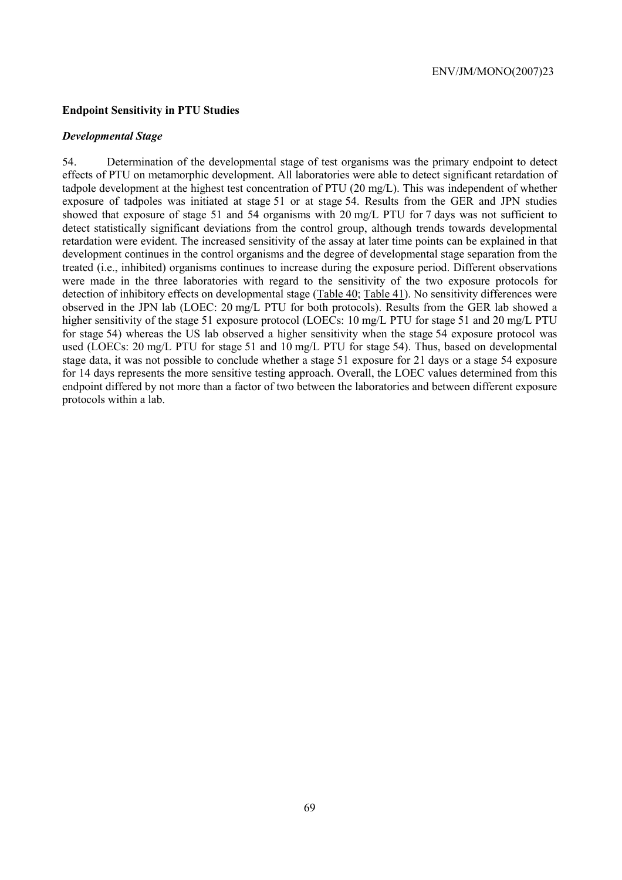### **Endpoint Sensitivity in PTU Studies**

#### *Developmental Stage*

54. Determination of the developmental stage of test organisms was the primary endpoint to detect effects of PTU on metamorphic development. All laboratories were able to detect significant retardation of tadpole development at the highest test concentration of PTU (20 mg/L). This was independent of whether exposure of tadpoles was initiated at stage 51 or at stage 54. Results from the GER and JPN studies showed that exposure of stage 51 and 54 organisms with 20 mg/L PTU for 7 days was not sufficient to detect statistically significant deviations from the control group, although trends towards developmental retardation were evident. The increased sensitivity of the assay at later time points can be explained in that development continues in the control organisms and the degree of developmental stage separation from the treated (i.e., inhibited) organisms continues to increase during the exposure period. Different observations were made in the three laboratories with regard to the sensitivity of the two exposure protocols for detection of inhibitory effects on developmental stage (Table 40; Table 41). No sensitivity differences were observed in the JPN lab (LOEC: 20 mg/L PTU for both protocols). Results from the GER lab showed a higher sensitivity of the stage 51 exposure protocol (LOECs: 10 mg/L PTU for stage 51 and 20 mg/L PTU for stage 54) whereas the US lab observed a higher sensitivity when the stage 54 exposure protocol was used (LOECs: 20 mg/L PTU for stage 51 and 10 mg/L PTU for stage 54). Thus, based on developmental stage data, it was not possible to conclude whether a stage 51 exposure for 21 days or a stage 54 exposure for 14 days represents the more sensitive testing approach. Overall, the LOEC values determined from this endpoint differed by not more than a factor of two between the laboratories and between different exposure protocols within a lab.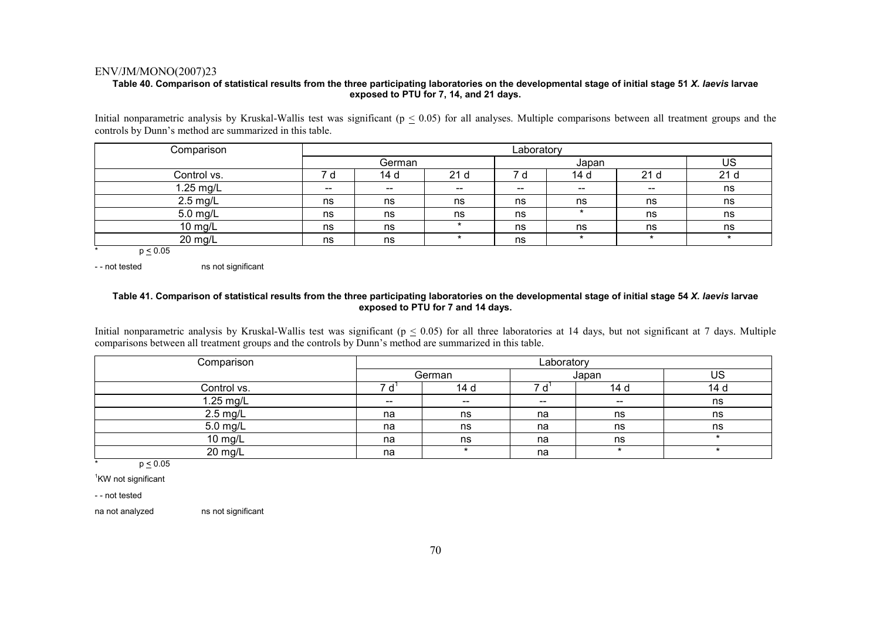### **Table 40. Comparison of statistical results from the three participating laboratories on the developmental stage of initial stage 51** *X. laevis* **larvae exposed to PTU for 7, 14, and 21 days.**

Initial nonparametric analysis by Kruskal-Wallis test was significant ( $p \leq 0.05$ ) for all analyses. Multiple comparisons between all treatment groups and the controls by Dunn's method are summarized in this table.

| Comparison  |       | Laboratory |                   |       |                          |                                       |     |  |  |
|-------------|-------|------------|-------------------|-------|--------------------------|---------------------------------------|-----|--|--|
|             |       | German     |                   |       | Japan                    |                                       | US  |  |  |
| Control vs. |       | 14 d       | 21 <sub>d</sub>   | d     | 14 d                     | 21 <sub>d</sub>                       | 21d |  |  |
| 1.25 mg/L   | $- -$ | $\sim$     | $\hspace{0.05cm}$ | $- -$ | $\overline{\phantom{a}}$ | $\hspace{0.05cm}$ – $\hspace{0.05cm}$ | ns  |  |  |
| 2.5 mg/L    | ns    | ns         | ns                | ns    | ns                       | ns                                    | ns  |  |  |
| 5.0 mg/L    | ns    | ns         | ns                | ns    |                          | ns                                    | ns  |  |  |
| 10 mg/L     | ns    | ns         |                   | ns    | ns                       | ns                                    | ns  |  |  |
| 20 mg/L     | ns    | ns         |                   | ns    | $\star$                  |                                       |     |  |  |

 $p \leq 0.05$ 

- - not tested ns not significant

#### **Table 41. Comparison of statistical results from the three participating laboratories on the developmental stage of initial stage 54** *X. laevis* **larvae exposed to PTU for 7 and 14 days.**

Initial nonparametric analysis by Kruskal-Wallis test was significant ( $p \le 0.05$ ) for all three laboratories at 14 days, but not significant at 7 days. Multiple comparisons between all treatment groups and the controls by Dunn's method are summarized in this table.

| Comparison  | Laboratory               |       |       |         |                 |  |  |  |
|-------------|--------------------------|-------|-------|---------|-----------------|--|--|--|
|             | German                   |       |       | Japan   | US              |  |  |  |
| Control vs. |                          | 14 d  |       | 14 d    | 14 <sub>d</sub> |  |  |  |
| 1.25 mg/L   | $\overline{\phantom{a}}$ | $- -$ | $- -$ | $- -$   | ns              |  |  |  |
| $2.5$ mg/L  | na                       | ns    | na    | ns      | ns              |  |  |  |
| 5.0 mg/L    | na                       | ns    | na    | ns      | ns              |  |  |  |
| $10$ mg/L   | na                       | ns    | na    | ns      |                 |  |  |  |
| 20 mg/L     | na                       |       | na    | $\star$ |                 |  |  |  |

\*  $p \leq 0.05$ 

<sup>1</sup>KW not significant

- - not tested

na not analyzed ns not significant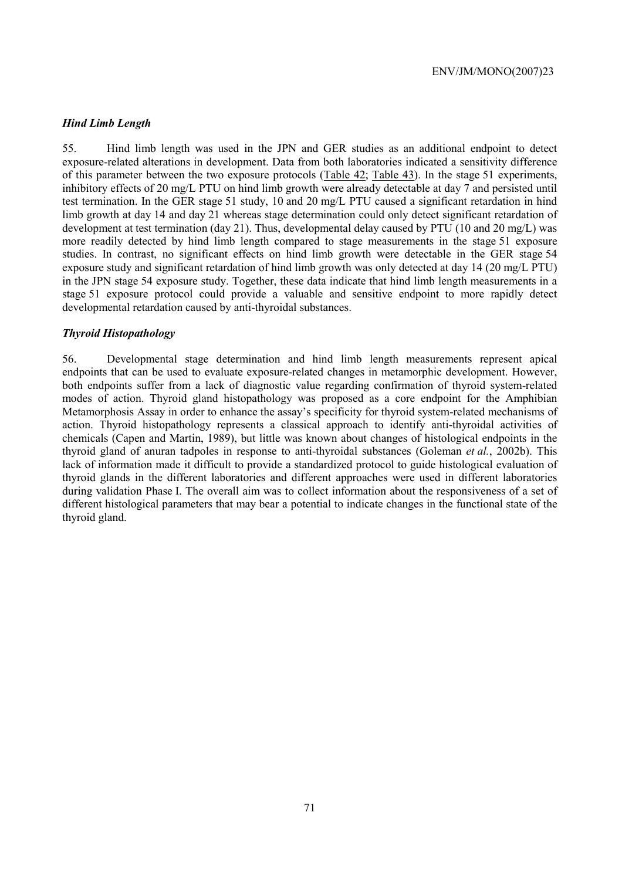### *Hind Limb Length*

55. Hind limb length was used in the JPN and GER studies as an additional endpoint to detect exposure-related alterations in development. Data from both laboratories indicated a sensitivity difference of this parameter between the two exposure protocols (Table 42; Table 43). In the stage 51 experiments, inhibitory effects of 20 mg/L PTU on hind limb growth were already detectable at day 7 and persisted until test termination. In the GER stage 51 study, 10 and 20 mg/L PTU caused a significant retardation in hind limb growth at day 14 and day 21 whereas stage determination could only detect significant retardation of development at test termination (day 21). Thus, developmental delay caused by PTU (10 and 20 mg/L) was more readily detected by hind limb length compared to stage measurements in the stage 51 exposure studies. In contrast, no significant effects on hind limb growth were detectable in the GER stage 54 exposure study and significant retardation of hind limb growth was only detected at day 14 (20 mg/L PTU) in the JPN stage 54 exposure study. Together, these data indicate that hind limb length measurements in a stage 51 exposure protocol could provide a valuable and sensitive endpoint to more rapidly detect developmental retardation caused by anti-thyroidal substances.

### *Thyroid Histopathology*

56. Developmental stage determination and hind limb length measurements represent apical endpoints that can be used to evaluate exposure-related changes in metamorphic development. However, both endpoints suffer from a lack of diagnostic value regarding confirmation of thyroid system-related modes of action. Thyroid gland histopathology was proposed as a core endpoint for the Amphibian Metamorphosis Assay in order to enhance the assay's specificity for thyroid system-related mechanisms of action. Thyroid histopathology represents a classical approach to identify anti-thyroidal activities of chemicals (Capen and Martin, 1989), but little was known about changes of histological endpoints in the thyroid gland of anuran tadpoles in response to anti-thyroidal substances (Goleman *et al.*, 2002b). This lack of information made it difficult to provide a standardized protocol to guide histological evaluation of thyroid glands in the different laboratories and different approaches were used in different laboratories during validation Phase I. The overall aim was to collect information about the responsiveness of a set of different histological parameters that may bear a potential to indicate changes in the functional state of the thyroid gland.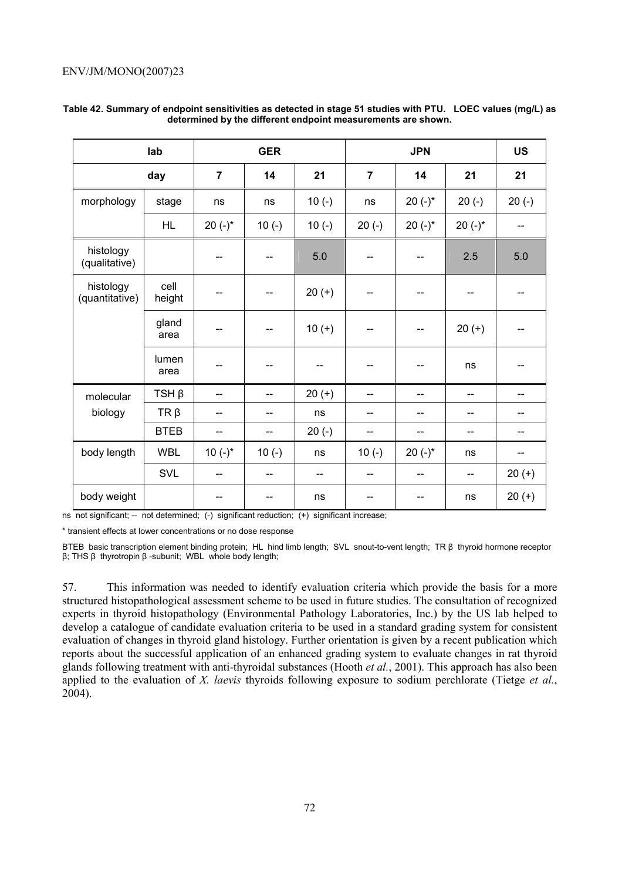|                             | lab            |                | <b>GER</b> |          |                |            | <b>US</b>  |                          |
|-----------------------------|----------------|----------------|------------|----------|----------------|------------|------------|--------------------------|
|                             | day            | $\overline{7}$ | 14         | 21       | $\overline{7}$ | 14         | 21         | 21                       |
| morphology                  | stage          | ns             | ns         | $10(-)$  | ns             | $20 (-)^*$ | $20(-)$    | $20(-)$                  |
|                             | <b>HL</b>      | $20 (-)^*$     | $10(-)$    | $10(-)$  | $20(-)$        | 20 $(-)^*$ | 20 $(-)^*$ | $-$                      |
| histology<br>(qualitative)  |                | --             |            | 5.0      |                |            | 2.5        | 5.0                      |
| histology<br>(quantitative) | cell<br>height | --             | --         | $20 (+)$ | --             | --         | $-$        | $-$                      |
|                             | gland<br>area  | --             | --         | $10 (+)$ | --             | --         | $20 (+)$   |                          |
|                             | lumen<br>area  |                |            |          | --             |            | ns         |                          |
| molecular                   | $TSH \beta$    | --             | $-$        | $20 (+)$ | --             | --         | $-$        | $-$                      |
| biology                     | $TR \beta$     | --             | --         | ns       | $-$            | --         | $-$        |                          |
|                             | <b>BTEB</b>    | --             | $-$        | $20(-)$  | --             | --         | --         | $\overline{\phantom{a}}$ |
| body length                 | <b>WBL</b>     | 10 $(-)^*$     | $10(-)$    | ns       | $10(-)$        | 20 $(-)^*$ | ns         | --                       |
|                             | SVL            | --             | $-$        | --       | --             | $-$        | $-$        | $20 (+)$                 |
| body weight                 |                | --             |            | ns       |                |            | ns         | $20 (+)$                 |

### **Table 42. Summary of endpoint sensitivities as detected in stage 51 studies with PTU. LOEC values (mg/L) as determined by the different endpoint measurements are shown.**

ns not significant; -- not determined; (-) significant reduction; (+) significant increase;

\* transient effects at lower concentrations or no dose response

BTEB basic transcription element binding protein; HL hind limb length; SVL snout-to-vent length; TR β thyroid hormone receptor β; THS β thyrotropin β -subunit; WBL whole body length;

57. This information was needed to identify evaluation criteria which provide the basis for a more structured histopathological assessment scheme to be used in future studies. The consultation of recognized experts in thyroid histopathology (Environmental Pathology Laboratories, Inc.) by the US lab helped to develop a catalogue of candidate evaluation criteria to be used in a standard grading system for consistent evaluation of changes in thyroid gland histology. Further orientation is given by a recent publication which reports about the successful application of an enhanced grading system to evaluate changes in rat thyroid glands following treatment with anti-thyroidal substances (Hooth *et al.*, 2001). This approach has also been applied to the evaluation of *X. laevis* thyroids following exposure to sodium perchlorate (Tietge *et al.*, 2004).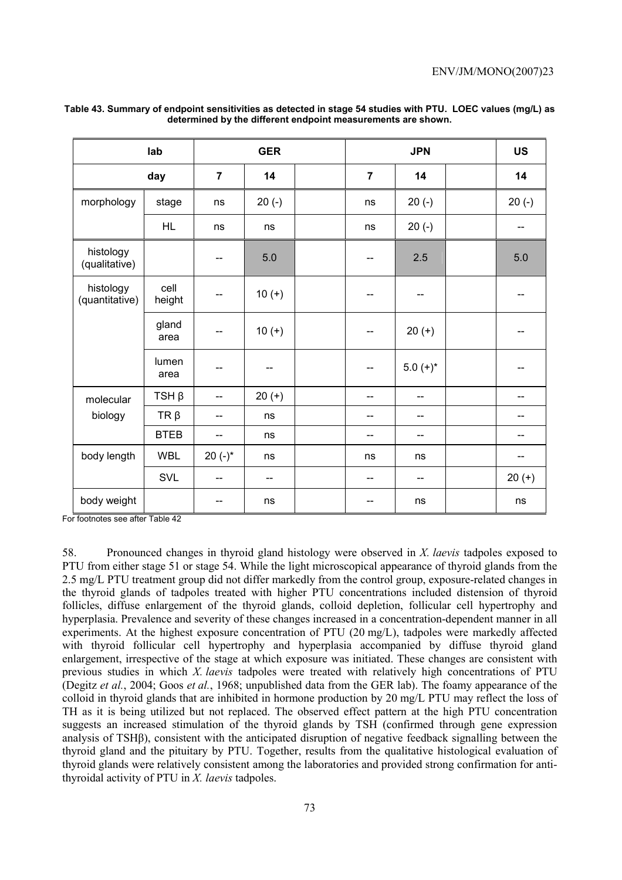|                             | lab            |                | <b>GER</b>               |                | <b>JPN</b>  |  | <b>US</b> |
|-----------------------------|----------------|----------------|--------------------------|----------------|-------------|--|-----------|
|                             | day            | $\overline{7}$ | 14                       | $\overline{7}$ | 14          |  | 14        |
| morphology                  | stage          | ns             | $20(-)$                  | ns             | $20(-)$     |  | $20(-)$   |
|                             | <b>HL</b>      | ns             | ns                       | ns             | $20(-)$     |  | --        |
| histology<br>(qualitative)  |                | --             | 5.0                      |                | 2.5         |  | 5.0       |
| histology<br>(quantitative) | cell<br>height | --             | $10 (+)$                 | --             | --          |  | --        |
|                             | gland<br>area  | --             | $10 (+)$                 | --             | $20 (+)$    |  |           |
|                             | lumen<br>area  | --             | --                       |                | $5.0 (+)^*$ |  |           |
| molecular                   | $TSH \beta$    | --             | $20 (+)$                 | $-$            | --          |  | --        |
| biology                     | $TR \beta$     | --             | ns                       | --             | --          |  | --        |
|                             | <b>BTEB</b>    | --             | ns                       | --             | $-$         |  | --        |
| body length                 | <b>WBL</b>     | 20 $(-)^*$     | ns                       | ns             | ns          |  | --        |
|                             | SVL            | --             | $\overline{\phantom{m}}$ | --             | --          |  | $20 (+)$  |
| body weight                 |                | --             | ns                       |                | ns          |  | ns        |

## **Table 43. Summary of endpoint sensitivities as detected in stage 54 studies with PTU. LOEC values (mg/L) as determined by the different endpoint measurements are shown.**

For footnotes see after Table 42

58. Pronounced changes in thyroid gland histology were observed in *X. laevis* tadpoles exposed to PTU from either stage 51 or stage 54. While the light microscopical appearance of thyroid glands from the 2.5 mg/L PTU treatment group did not differ markedly from the control group, exposure-related changes in the thyroid glands of tadpoles treated with higher PTU concentrations included distension of thyroid follicles, diffuse enlargement of the thyroid glands, colloid depletion, follicular cell hypertrophy and hyperplasia. Prevalence and severity of these changes increased in a concentration-dependent manner in all experiments. At the highest exposure concentration of PTU (20 mg/L), tadpoles were markedly affected with thyroid follicular cell hypertrophy and hyperplasia accompanied by diffuse thyroid gland enlargement, irrespective of the stage at which exposure was initiated. These changes are consistent with previous studies in which *X. laevis* tadpoles were treated with relatively high concentrations of PTU (Degitz *et al.*, 2004; Goos *et al.*, 1968; unpublished data from the GER lab). The foamy appearance of the colloid in thyroid glands that are inhibited in hormone production by 20 mg/L PTU may reflect the loss of TH as it is being utilized but not replaced. The observed effect pattern at the high PTU concentration suggests an increased stimulation of the thyroid glands by TSH (confirmed through gene expression analysis of TSHβ), consistent with the anticipated disruption of negative feedback signalling between the thyroid gland and the pituitary by PTU. Together, results from the qualitative histological evaluation of thyroid glands were relatively consistent among the laboratories and provided strong confirmation for antithyroidal activity of PTU in *X. laevis* tadpoles.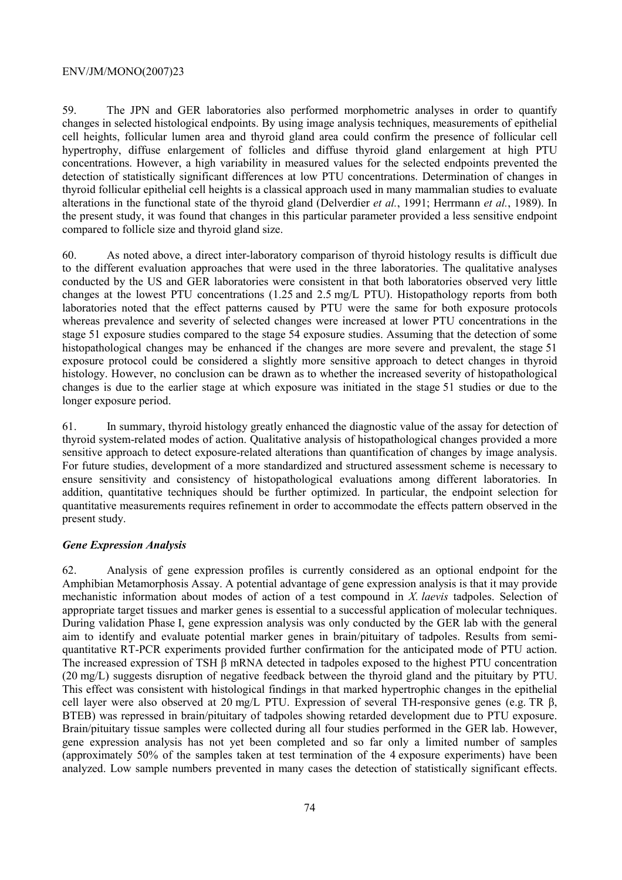59. The JPN and GER laboratories also performed morphometric analyses in order to quantify changes in selected histological endpoints. By using image analysis techniques, measurements of epithelial cell heights, follicular lumen area and thyroid gland area could confirm the presence of follicular cell hypertrophy, diffuse enlargement of follicles and diffuse thyroid gland enlargement at high PTU concentrations. However, a high variability in measured values for the selected endpoints prevented the detection of statistically significant differences at low PTU concentrations. Determination of changes in thyroid follicular epithelial cell heights is a classical approach used in many mammalian studies to evaluate alterations in the functional state of the thyroid gland (Delverdier *et al.*, 1991; Herrmann *et al.*, 1989). In the present study, it was found that changes in this particular parameter provided a less sensitive endpoint compared to follicle size and thyroid gland size.

60. As noted above, a direct inter-laboratory comparison of thyroid histology results is difficult due to the different evaluation approaches that were used in the three laboratories. The qualitative analyses conducted by the US and GER laboratories were consistent in that both laboratories observed very little changes at the lowest PTU concentrations (1.25 and 2.5 mg/L PTU). Histopathology reports from both laboratories noted that the effect patterns caused by PTU were the same for both exposure protocols whereas prevalence and severity of selected changes were increased at lower PTU concentrations in the stage 51 exposure studies compared to the stage 54 exposure studies. Assuming that the detection of some histopathological changes may be enhanced if the changes are more severe and prevalent, the stage 51 exposure protocol could be considered a slightly more sensitive approach to detect changes in thyroid histology. However, no conclusion can be drawn as to whether the increased severity of histopathological changes is due to the earlier stage at which exposure was initiated in the stage 51 studies or due to the longer exposure period.

61. In summary, thyroid histology greatly enhanced the diagnostic value of the assay for detection of thyroid system-related modes of action. Qualitative analysis of histopathological changes provided a more sensitive approach to detect exposure-related alterations than quantification of changes by image analysis. For future studies, development of a more standardized and structured assessment scheme is necessary to ensure sensitivity and consistency of histopathological evaluations among different laboratories. In addition, quantitative techniques should be further optimized. In particular, the endpoint selection for quantitative measurements requires refinement in order to accommodate the effects pattern observed in the present study.

# *Gene Expression Analysis*

62. Analysis of gene expression profiles is currently considered as an optional endpoint for the Amphibian Metamorphosis Assay. A potential advantage of gene expression analysis is that it may provide mechanistic information about modes of action of a test compound in *X. laevis* tadpoles. Selection of appropriate target tissues and marker genes is essential to a successful application of molecular techniques. During validation Phase I, gene expression analysis was only conducted by the GER lab with the general aim to identify and evaluate potential marker genes in brain/pituitary of tadpoles. Results from semiquantitative RT-PCR experiments provided further confirmation for the anticipated mode of PTU action. The increased expression of TSH β mRNA detected in tadpoles exposed to the highest PTU concentration (20 mg/L) suggests disruption of negative feedback between the thyroid gland and the pituitary by PTU. This effect was consistent with histological findings in that marked hypertrophic changes in the epithelial cell layer were also observed at 20 mg/L PTU. Expression of several TH-responsive genes (e.g. TR β, BTEB) was repressed in brain/pituitary of tadpoles showing retarded development due to PTU exposure. Brain/pituitary tissue samples were collected during all four studies performed in the GER lab. However, gene expression analysis has not yet been completed and so far only a limited number of samples (approximately 50% of the samples taken at test termination of the 4 exposure experiments) have been analyzed. Low sample numbers prevented in many cases the detection of statistically significant effects.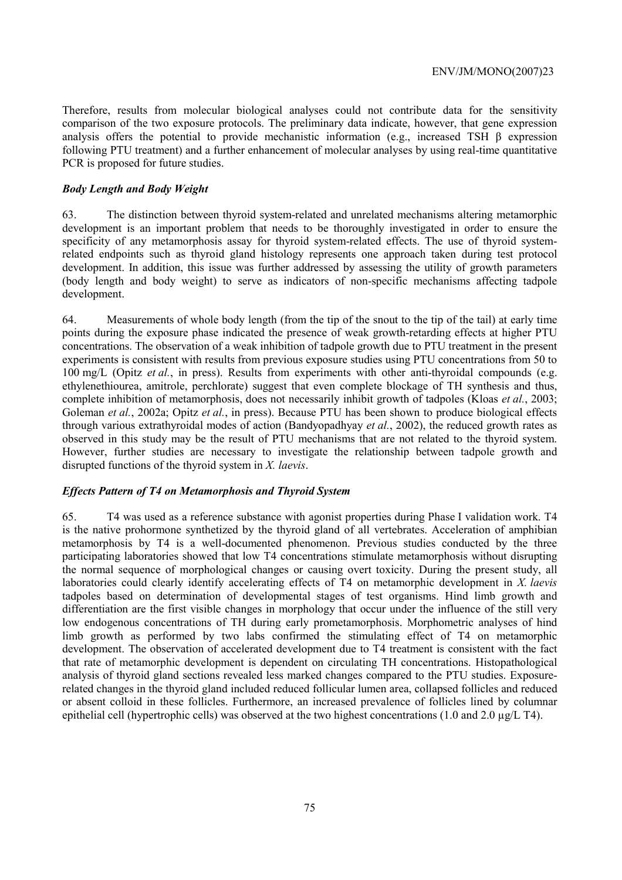Therefore, results from molecular biological analyses could not contribute data for the sensitivity comparison of the two exposure protocols. The preliminary data indicate, however, that gene expression analysis offers the potential to provide mechanistic information (e.g., increased TSH β expression following PTU treatment) and a further enhancement of molecular analyses by using real-time quantitative PCR is proposed for future studies.

## *Body Length and Body Weight*

63. The distinction between thyroid system-related and unrelated mechanisms altering metamorphic development is an important problem that needs to be thoroughly investigated in order to ensure the specificity of any metamorphosis assay for thyroid system-related effects. The use of thyroid systemrelated endpoints such as thyroid gland histology represents one approach taken during test protocol development. In addition, this issue was further addressed by assessing the utility of growth parameters (body length and body weight) to serve as indicators of non-specific mechanisms affecting tadpole development.

64. Measurements of whole body length (from the tip of the snout to the tip of the tail) at early time points during the exposure phase indicated the presence of weak growth-retarding effects at higher PTU concentrations. The observation of a weak inhibition of tadpole growth due to PTU treatment in the present experiments is consistent with results from previous exposure studies using PTU concentrations from 50 to 100 mg/L (Opitz *et al.*, in press). Results from experiments with other anti-thyroidal compounds (e.g. ethylenethiourea, amitrole, perchlorate) suggest that even complete blockage of TH synthesis and thus, complete inhibition of metamorphosis, does not necessarily inhibit growth of tadpoles (Kloas *et al.*, 2003; Goleman *et al.*, 2002a; Opitz *et al.*, in press). Because PTU has been shown to produce biological effects through various extrathyroidal modes of action (Bandyopadhyay *et al.*, 2002), the reduced growth rates as observed in this study may be the result of PTU mechanisms that are not related to the thyroid system. However, further studies are necessary to investigate the relationship between tadpole growth and disrupted functions of the thyroid system in *X. laevis*.

## *Effects Pattern of T4 on Metamorphosis and Thyroid System*

65. T4 was used as a reference substance with agonist properties during Phase I validation work. T4 is the native prohormone synthetized by the thyroid gland of all vertebrates. Acceleration of amphibian metamorphosis by T4 is a well-documented phenomenon. Previous studies conducted by the three participating laboratories showed that low T4 concentrations stimulate metamorphosis without disrupting the normal sequence of morphological changes or causing overt toxicity. During the present study, all laboratories could clearly identify accelerating effects of T4 on metamorphic development in *X. laevis* tadpoles based on determination of developmental stages of test organisms. Hind limb growth and differentiation are the first visible changes in morphology that occur under the influence of the still very low endogenous concentrations of TH during early prometamorphosis. Morphometric analyses of hind limb growth as performed by two labs confirmed the stimulating effect of T4 on metamorphic development. The observation of accelerated development due to T4 treatment is consistent with the fact that rate of metamorphic development is dependent on circulating TH concentrations. Histopathological analysis of thyroid gland sections revealed less marked changes compared to the PTU studies. Exposurerelated changes in the thyroid gland included reduced follicular lumen area, collapsed follicles and reduced or absent colloid in these follicles. Furthermore, an increased prevalence of follicles lined by columnar epithelial cell (hypertrophic cells) was observed at the two highest concentrations (1.0 and 2.0 µg/L T4).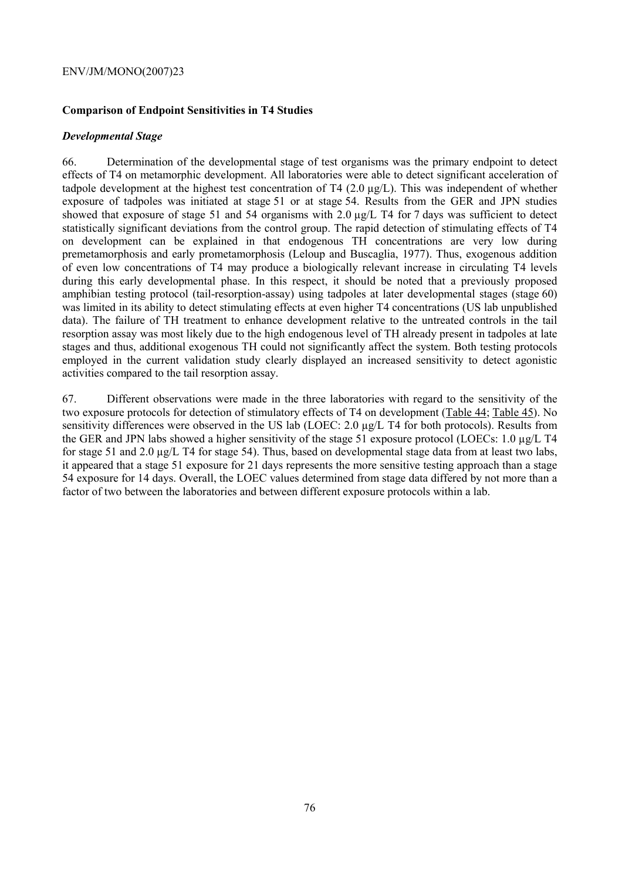# **Comparison of Endpoint Sensitivities in T4 Studies**

# *Developmental Stage*

66. Determination of the developmental stage of test organisms was the primary endpoint to detect effects of T4 on metamorphic development. All laboratories were able to detect significant acceleration of tadpole development at the highest test concentration of T4 (2.0 µg/L). This was independent of whether exposure of tadpoles was initiated at stage 51 or at stage 54. Results from the GER and JPN studies showed that exposure of stage 51 and 54 organisms with 2.0  $\mu$ g/L T4 for 7 days was sufficient to detect statistically significant deviations from the control group. The rapid detection of stimulating effects of T4 on development can be explained in that endogenous TH concentrations are very low during premetamorphosis and early prometamorphosis (Leloup and Buscaglia, 1977). Thus, exogenous addition of even low concentrations of T4 may produce a biologically relevant increase in circulating T4 levels during this early developmental phase. In this respect, it should be noted that a previously proposed amphibian testing protocol (tail-resorption-assay) using tadpoles at later developmental stages (stage 60) was limited in its ability to detect stimulating effects at even higher T4 concentrations (US lab unpublished data). The failure of TH treatment to enhance development relative to the untreated controls in the tail resorption assay was most likely due to the high endogenous level of TH already present in tadpoles at late stages and thus, additional exogenous TH could not significantly affect the system. Both testing protocols employed in the current validation study clearly displayed an increased sensitivity to detect agonistic activities compared to the tail resorption assay.

67. Different observations were made in the three laboratories with regard to the sensitivity of the two exposure protocols for detection of stimulatory effects of T4 on development (Table 44; Table 45). No sensitivity differences were observed in the US lab (LOEC: 2.0 µg/L T4 for both protocols). Results from the GER and JPN labs showed a higher sensitivity of the stage 51 exposure protocol (LOECs: 1.0 µg/L T4 for stage 51 and 2.0 µg/L T4 for stage 54). Thus, based on developmental stage data from at least two labs, it appeared that a stage 51 exposure for 21 days represents the more sensitive testing approach than a stage 54 exposure for 14 days. Overall, the LOEC values determined from stage data differed by not more than a factor of two between the laboratories and between different exposure protocols within a lab.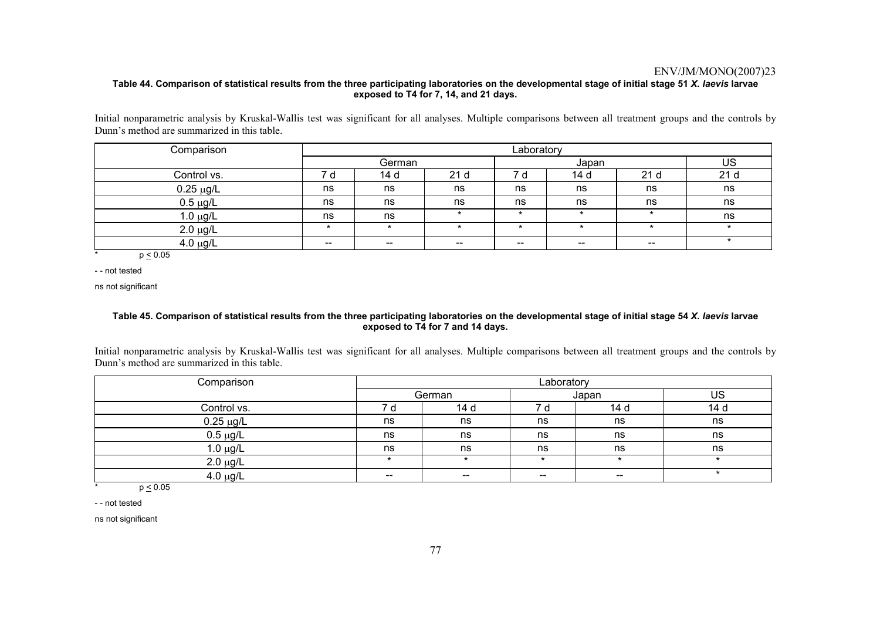### **Table 44. Comparison of statistical results from the three participating laboratories on the developmental stage of initial stage 51** *X. laevis* **larvae exposed to T4 for 7, 14, and 21 days.**

Initial nonparametric analysis by Kruskal-Wallis test was significant for all analyses. Multiple comparisons between all treatment groups and the controls by Dunn's method are summarized in this table.

| Comparison     | Laboratory |                          |                   |       |         |                          |     |
|----------------|------------|--------------------------|-------------------|-------|---------|--------------------------|-----|
|                |            | German                   |                   |       | Japan   |                          | US  |
| Control vs.    | d          | 14 d                     | 21 <sub>d</sub>   | d     | 14 d    | 21 <sub>d</sub>          | 21d |
| $0.25 \mu g/L$ | ns         | ns                       | ns                | ns    | ns      | ns                       | ns  |
| $0.5 \mu g/L$  | ns         | ns                       | ns                | ns    | ns      | ns                       | ns  |
| $1.0 \mu g/L$  | ns         | ns                       | $\star$           | *     | $\star$ | $\star$                  | ns  |
| $2.0 \mu g/L$  | $\star$    | $\star$                  | $\star$           |       | $\star$ | $\star$                  |     |
| $4.0 \mu g/L$  | $- -$      | $\overline{\phantom{a}}$ | $\hspace{0.05cm}$ | $- -$ | $- -$   | $\overline{\phantom{a}}$ |     |

 $\frac{1}{2}$  p < 0.05

- - not tested

ns not significant

### **Table 45. Comparison of statistical results from the three participating laboratories on the developmental stage of initial stage 54** *X. laevis* **larvae exposed to T4 for 7 and 14 days.**

Initial nonparametric analysis by Kruskal-Wallis test was significant for all analyses. Multiple comparisons between all treatment groups and the controls by Dunn's method are summarized in this table.

| Comparison            | Laboratory               |        |       |         |      |
|-----------------------|--------------------------|--------|-------|---------|------|
|                       |                          | German |       | Japan   | US   |
| Control vs.           | 7 a                      | 14 d   |       | 14 d    | 14 d |
| $0.25 \mu g/L$        | ns                       | ns     | ns    | ns      | ns   |
| $0.5 \mu g/L$         | ns                       | ns     | ns    | ns      | ns   |
| $1.0 \mu g/L$         | ns                       | ns     | ns    | ns      | ns   |
| $2.0 \mu g/L$         |                          |        |       | $\star$ |      |
| $4.0 \mu g/L$<br>---- | $\overline{\phantom{m}}$ | $- -$  | $- -$ | $- -$   |      |

\*  $p \le 0.05$ 

- - not tested

ns not significant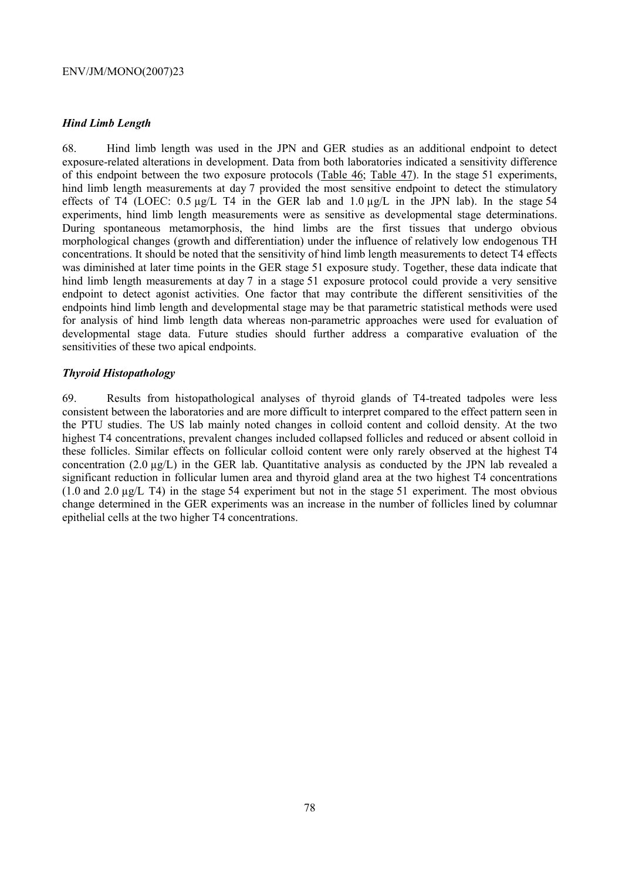# *Hind Limb Length*

68. Hind limb length was used in the JPN and GER studies as an additional endpoint to detect exposure-related alterations in development. Data from both laboratories indicated a sensitivity difference of this endpoint between the two exposure protocols (Table 46; Table 47). In the stage 51 experiments, hind limb length measurements at day 7 provided the most sensitive endpoint to detect the stimulatory effects of T4 (LOEC:  $0.5 \mu g/L$  T4 in the GER lab and  $1.0 \mu g/L$  in the JPN lab). In the stage 54 experiments, hind limb length measurements were as sensitive as developmental stage determinations. During spontaneous metamorphosis, the hind limbs are the first tissues that undergo obvious morphological changes (growth and differentiation) under the influence of relatively low endogenous TH concentrations. It should be noted that the sensitivity of hind limb length measurements to detect T4 effects was diminished at later time points in the GER stage 51 exposure study. Together, these data indicate that hind limb length measurements at day 7 in a stage 51 exposure protocol could provide a very sensitive endpoint to detect agonist activities. One factor that may contribute the different sensitivities of the endpoints hind limb length and developmental stage may be that parametric statistical methods were used for analysis of hind limb length data whereas non-parametric approaches were used for evaluation of developmental stage data. Future studies should further address a comparative evaluation of the sensitivities of these two apical endpoints.

# *Thyroid Histopathology*

69. Results from histopathological analyses of thyroid glands of T4-treated tadpoles were less consistent between the laboratories and are more difficult to interpret compared to the effect pattern seen in the PTU studies. The US lab mainly noted changes in colloid content and colloid density. At the two highest T4 concentrations, prevalent changes included collapsed follicles and reduced or absent colloid in these follicles. Similar effects on follicular colloid content were only rarely observed at the highest T4 concentration (2.0 µg/L) in the GER lab. Quantitative analysis as conducted by the JPN lab revealed a significant reduction in follicular lumen area and thyroid gland area at the two highest T4 concentrations (1.0 and 2.0 µg/L T4) in the stage 54 experiment but not in the stage 51 experiment. The most obvious change determined in the GER experiments was an increase in the number of follicles lined by columnar epithelial cells at the two higher T4 concentrations.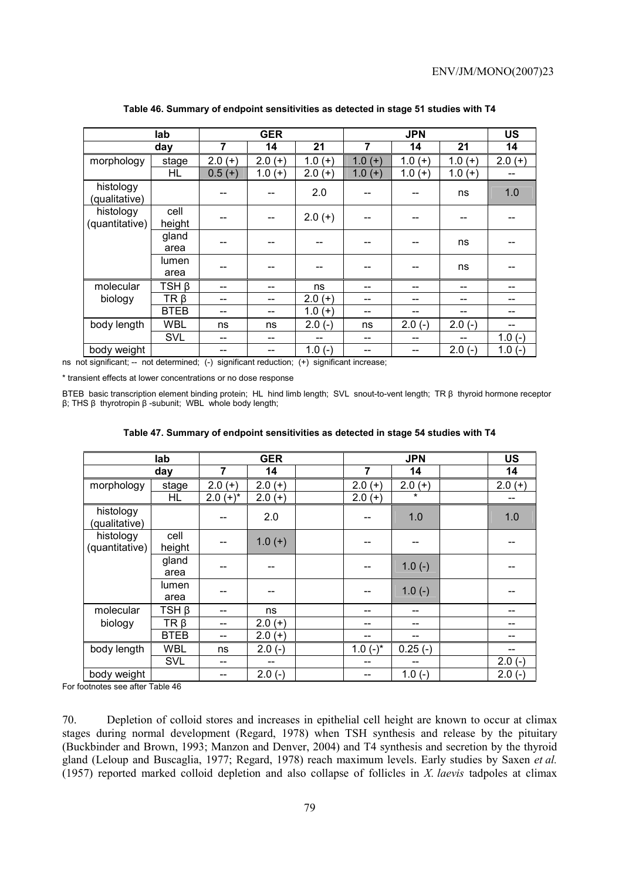|                             | lab            |          | <b>GER</b> |              |              | <b>JPN</b> |          | <b>US</b> |
|-----------------------------|----------------|----------|------------|--------------|--------------|------------|----------|-----------|
|                             | day            | 7        | 14         | 21           | 7            | 14         | 21       | 14        |
| morphology                  | stage          | $2.0(+)$ | $2.0(+)$   | $1.0(+)$     | $1.0(+)$     | $1.0(+)$   | $1.0(+)$ | $2.0(+)$  |
|                             | HL             | $0.5(+)$ | $1.0(+)$   | $2.0(+)$     | 1.0<br>$(+)$ | $1.0(+)$   | $1.0(+)$ | $- -$     |
| histology<br>(qualitative)  |                |          |            | 2.0          |              |            | ns       | 1.0       |
| histology<br>(quantitative) | cell<br>height |          |            | $2.0 (+)$    |              |            |          |           |
|                             | gland<br>area  |          |            |              |              |            | ns       |           |
|                             | lumen<br>area  |          |            |              |              |            | ns       |           |
| molecular                   | TSH β          | --       | --         | ns           |              |            |          |           |
| biology                     | $TR \beta$     | --       | --         | $2.0(+)$     |              |            |          |           |
|                             | <b>BTEB</b>    | --       | --         | 1.0<br>$(+)$ | --           |            |          |           |
| body length                 | <b>WBL</b>     | ns       | ns         | $2.0(-)$     | ns           | $2.0(-)$   | $2.0(-)$ |           |
|                             | <b>SVL</b>     | --       |            |              | --           |            |          | $1.0(-)$  |
| body weight                 |                |          |            | $1.0(-)$     |              |            | $2.0(-)$ | $1.0(-)$  |

**Table 46. Summary of endpoint sensitivities as detected in stage 51 studies with T4** 

ns not significant; -- not determined; (-) significant reduction; (+) significant increase;

\* transient effects at lower concentrations or no dose response

BTEB basic transcription element binding protein; HL hind limb length; SVL snout-to-vent length; TR β thyroid hormone receptor β; THS β thyrotropin β -subunit; WBL whole body length;

|                             |                |                |            | Table 47. Summary of endpoint sensitivities as detected in stage 54 studies with T4 |                |            |          |
|-----------------------------|----------------|----------------|------------|-------------------------------------------------------------------------------------|----------------|------------|----------|
|                             | lab            |                | <b>GER</b> |                                                                                     |                | <b>JPN</b> | US       |
|                             | day            | $\overline{7}$ | 14         |                                                                                     | $\overline{7}$ | 14         | 14       |
| morphology                  | stage          | $2.0(+)$       | $2.0(+)$   |                                                                                     | $2.0(+)$       | $2.0(+)$   | $2.0(+)$ |
|                             | HL             | $2.0 (+)^*$    | $2.0 (+)$  |                                                                                     | $2.0 (+)$      | $\star$    |          |
| histology<br>(qualitative)  |                |                | 2.0        |                                                                                     |                | 1.0        | 1.0      |
| histology<br>(quantitative) | cell<br>height |                | $1.0(+)$   |                                                                                     |                |            |          |
|                             | gland<br>area  |                |            |                                                                                     | --             | $1.0(-)$   |          |
|                             | lumen<br>area  |                |            |                                                                                     |                | $1.0(-)$   |          |
| molecular                   | TSH β          |                | ns         |                                                                                     |                |            |          |
| biology                     | TR β           |                | $2.0(+)$   |                                                                                     |                |            |          |
|                             | <b>BTEB</b>    |                | $2.0(+)$   |                                                                                     |                |            |          |
| body length                 | <b>WBL</b>     | ns             | $2.0(-)$   |                                                                                     | $1.0(-)^{*}$   | $0.25(-)$  |          |
|                             | <b>SVL</b>     |                |            |                                                                                     |                |            | $2.0(-)$ |
| body weight                 |                |                | $2.0(-)$   |                                                                                     |                | $1.0(-)$   | $2.0(-)$ |

For footnotes see after Table 46

70. Depletion of colloid stores and increases in epithelial cell height are known to occur at climax stages during normal development (Regard, 1978) when TSH synthesis and release by the pituitary (Buckbinder and Brown, 1993; Manzon and Denver, 2004) and T4 synthesis and secretion by the thyroid gland (Leloup and Buscaglia, 1977; Regard, 1978) reach maximum levels. Early studies by Saxen *et al.* (1957) reported marked colloid depletion and also collapse of follicles in *X. laevis* tadpoles at climax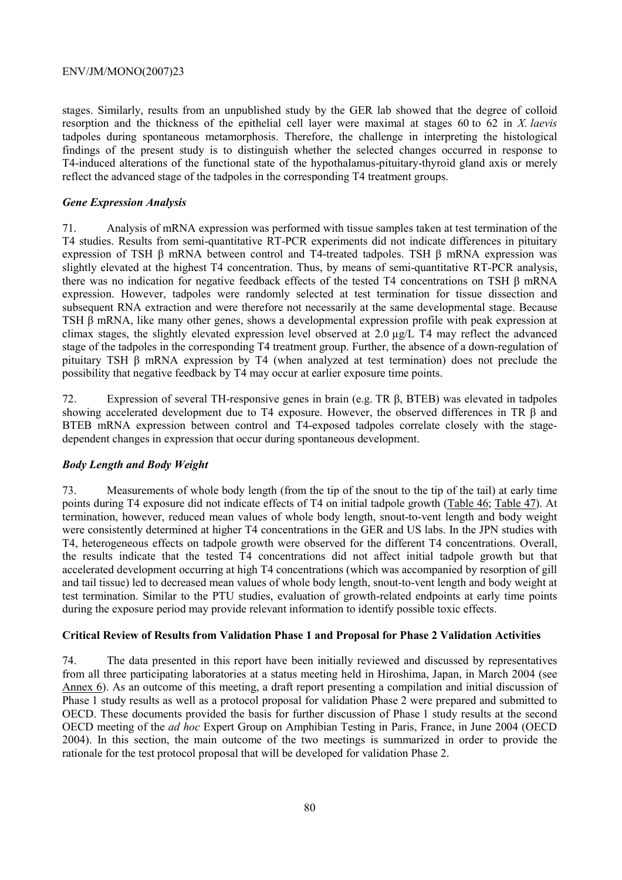stages. Similarly, results from an unpublished study by the GER lab showed that the degree of colloid resorption and the thickness of the epithelial cell layer were maximal at stages 60 to 62 in *X. laevis*  tadpoles during spontaneous metamorphosis. Therefore, the challenge in interpreting the histological findings of the present study is to distinguish whether the selected changes occurred in response to T4-induced alterations of the functional state of the hypothalamus-pituitary-thyroid gland axis or merely reflect the advanced stage of the tadpoles in the corresponding T4 treatment groups.

# *Gene Expression Analysis*

71. Analysis of mRNA expression was performed with tissue samples taken at test termination of the T4 studies. Results from semi-quantitative RT-PCR experiments did not indicate differences in pituitary expression of TSH β mRNA between control and T4-treated tadpoles. TSH β mRNA expression was slightly elevated at the highest T4 concentration. Thus, by means of semi-quantitative RT-PCR analysis, there was no indication for negative feedback effects of the tested T4 concentrations on TSH β mRNA expression. However, tadpoles were randomly selected at test termination for tissue dissection and subsequent RNA extraction and were therefore not necessarily at the same developmental stage. Because TSH β mRNA, like many other genes, shows a developmental expression profile with peak expression at climax stages, the slightly elevated expression level observed at 2.0 µg/L T4 may reflect the advanced stage of the tadpoles in the corresponding T4 treatment group. Further, the absence of a down-regulation of pituitary TSH β mRNA expression by T4 (when analyzed at test termination) does not preclude the possibility that negative feedback by T4 may occur at earlier exposure time points.

72. Expression of several TH-responsive genes in brain (e.g. TR β, BTEB) was elevated in tadpoles showing accelerated development due to T4 exposure. However, the observed differences in TR β and BTEB mRNA expression between control and T4-exposed tadpoles correlate closely with the stagedependent changes in expression that occur during spontaneous development.

# *Body Length and Body Weight*

73. Measurements of whole body length (from the tip of the snout to the tip of the tail) at early time points during T4 exposure did not indicate effects of T4 on initial tadpole growth (Table 46; Table 47). At termination, however, reduced mean values of whole body length, snout-to-vent length and body weight were consistently determined at higher T4 concentrations in the GER and US labs. In the JPN studies with T4, heterogeneous effects on tadpole growth were observed for the different T4 concentrations. Overall, the results indicate that the tested T4 concentrations did not affect initial tadpole growth but that accelerated development occurring at high T4 concentrations (which was accompanied by resorption of gill and tail tissue) led to decreased mean values of whole body length, snout-to-vent length and body weight at test termination. Similar to the PTU studies, evaluation of growth-related endpoints at early time points during the exposure period may provide relevant information to identify possible toxic effects.

# **Critical Review of Results from Validation Phase 1 and Proposal for Phase 2 Validation Activities**

74. The data presented in this report have been initially reviewed and discussed by representatives from all three participating laboratories at a status meeting held in Hiroshima, Japan, in March 2004 (see Annex 6). As an outcome of this meeting, a draft report presenting a compilation and initial discussion of Phase 1 study results as well as a protocol proposal for validation Phase 2 were prepared and submitted to OECD. These documents provided the basis for further discussion of Phase 1 study results at the second OECD meeting of the *ad hoc* Expert Group on Amphibian Testing in Paris, France, in June 2004 (OECD 2004). In this section, the main outcome of the two meetings is summarized in order to provide the rationale for the test protocol proposal that will be developed for validation Phase 2.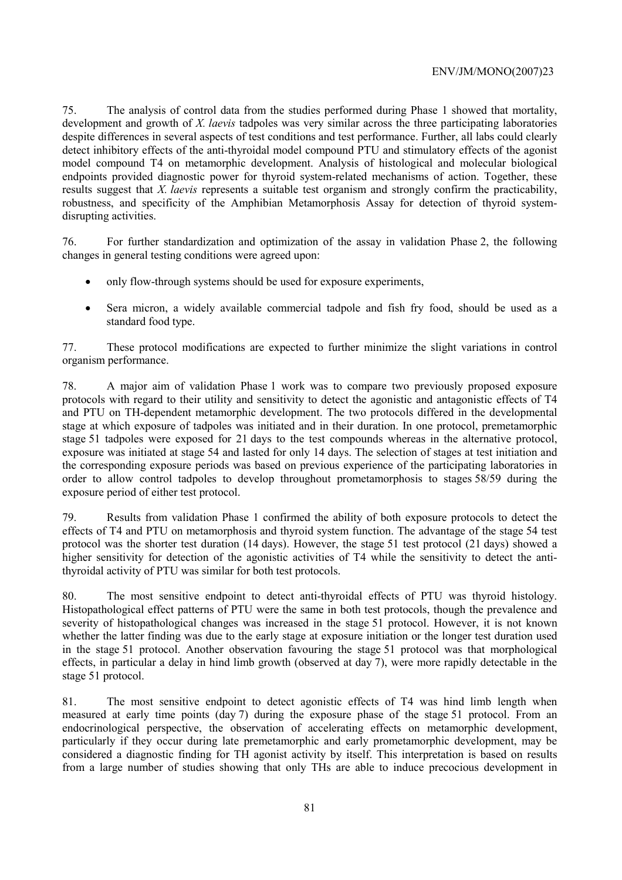75. The analysis of control data from the studies performed during Phase 1 showed that mortality, development and growth of *X. laevis* tadpoles was very similar across the three participating laboratories despite differences in several aspects of test conditions and test performance. Further, all labs could clearly detect inhibitory effects of the anti-thyroidal model compound PTU and stimulatory effects of the agonist model compound T4 on metamorphic development. Analysis of histological and molecular biological endpoints provided diagnostic power for thyroid system-related mechanisms of action. Together, these results suggest that *X. laevis* represents a suitable test organism and strongly confirm the practicability, robustness, and specificity of the Amphibian Metamorphosis Assay for detection of thyroid systemdisrupting activities.

76. For further standardization and optimization of the assay in validation Phase 2, the following changes in general testing conditions were agreed upon:

- only flow-through systems should be used for exposure experiments,
- Sera micron, a widely available commercial tadpole and fish fry food, should be used as a standard food type.

77. These protocol modifications are expected to further minimize the slight variations in control organism performance.

78. A major aim of validation Phase 1 work was to compare two previously proposed exposure protocols with regard to their utility and sensitivity to detect the agonistic and antagonistic effects of T4 and PTU on TH-dependent metamorphic development. The two protocols differed in the developmental stage at which exposure of tadpoles was initiated and in their duration. In one protocol, premetamorphic stage 51 tadpoles were exposed for 21 days to the test compounds whereas in the alternative protocol, exposure was initiated at stage 54 and lasted for only 14 days. The selection of stages at test initiation and the corresponding exposure periods was based on previous experience of the participating laboratories in order to allow control tadpoles to develop throughout prometamorphosis to stages 58/59 during the exposure period of either test protocol.

79. Results from validation Phase 1 confirmed the ability of both exposure protocols to detect the effects of T4 and PTU on metamorphosis and thyroid system function. The advantage of the stage 54 test protocol was the shorter test duration (14 days). However, the stage 51 test protocol (21 days) showed a higher sensitivity for detection of the agonistic activities of T4 while the sensitivity to detect the antithyroidal activity of PTU was similar for both test protocols.

80. The most sensitive endpoint to detect anti-thyroidal effects of PTU was thyroid histology. Histopathological effect patterns of PTU were the same in both test protocols, though the prevalence and severity of histopathological changes was increased in the stage 51 protocol. However, it is not known whether the latter finding was due to the early stage at exposure initiation or the longer test duration used in the stage 51 protocol. Another observation favouring the stage 51 protocol was that morphological effects, in particular a delay in hind limb growth (observed at day 7), were more rapidly detectable in the stage 51 protocol.

81. The most sensitive endpoint to detect agonistic effects of T4 was hind limb length when measured at early time points (day 7) during the exposure phase of the stage 51 protocol. From an endocrinological perspective, the observation of accelerating effects on metamorphic development, particularly if they occur during late premetamorphic and early prometamorphic development, may be considered a diagnostic finding for TH agonist activity by itself. This interpretation is based on results from a large number of studies showing that only THs are able to induce precocious development in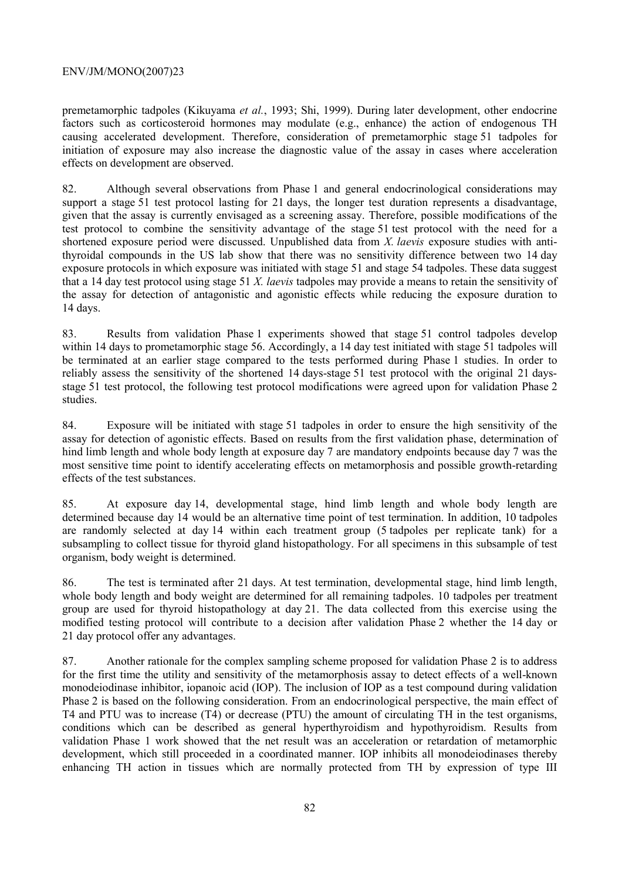premetamorphic tadpoles (Kikuyama *et al.*, 1993; Shi, 1999). During later development, other endocrine factors such as corticosteroid hormones may modulate (e.g., enhance) the action of endogenous TH causing accelerated development. Therefore, consideration of premetamorphic stage 51 tadpoles for initiation of exposure may also increase the diagnostic value of the assay in cases where acceleration effects on development are observed.

82. Although several observations from Phase 1 and general endocrinological considerations may support a stage 51 test protocol lasting for 21 days, the longer test duration represents a disadvantage, given that the assay is currently envisaged as a screening assay. Therefore, possible modifications of the test protocol to combine the sensitivity advantage of the stage 51 test protocol with the need for a shortened exposure period were discussed. Unpublished data from *X. laevis* exposure studies with antithyroidal compounds in the US lab show that there was no sensitivity difference between two 14 day exposure protocols in which exposure was initiated with stage 51 and stage 54 tadpoles. These data suggest that a 14 day test protocol using stage 51 *X. laevis* tadpoles may provide a means to retain the sensitivity of the assay for detection of antagonistic and agonistic effects while reducing the exposure duration to 14 days.

83. Results from validation Phase 1 experiments showed that stage 51 control tadpoles develop within 14 days to prometamorphic stage 56. Accordingly, a 14 day test initiated with stage 51 tadpoles will be terminated at an earlier stage compared to the tests performed during Phase 1 studies. In order to reliably assess the sensitivity of the shortened 14 days-stage 51 test protocol with the original 21 daysstage 51 test protocol, the following test protocol modifications were agreed upon for validation Phase 2 studies.

84. Exposure will be initiated with stage 51 tadpoles in order to ensure the high sensitivity of the assay for detection of agonistic effects. Based on results from the first validation phase, determination of hind limb length and whole body length at exposure day 7 are mandatory endpoints because day 7 was the most sensitive time point to identify accelerating effects on metamorphosis and possible growth-retarding effects of the test substances.

85. At exposure day 14, developmental stage, hind limb length and whole body length are determined because day 14 would be an alternative time point of test termination. In addition, 10 tadpoles are randomly selected at day 14 within each treatment group (5 tadpoles per replicate tank) for a subsampling to collect tissue for thyroid gland histopathology. For all specimens in this subsample of test organism, body weight is determined.

86. The test is terminated after 21 days. At test termination, developmental stage, hind limb length, whole body length and body weight are determined for all remaining tadpoles. 10 tadpoles per treatment group are used for thyroid histopathology at day 21. The data collected from this exercise using the modified testing protocol will contribute to a decision after validation Phase 2 whether the 14 day or 21 day protocol offer any advantages.

87. Another rationale for the complex sampling scheme proposed for validation Phase 2 is to address for the first time the utility and sensitivity of the metamorphosis assay to detect effects of a well-known monodeiodinase inhibitor, iopanoic acid (IOP). The inclusion of IOP as a test compound during validation Phase 2 is based on the following consideration. From an endocrinological perspective, the main effect of T4 and PTU was to increase (T4) or decrease (PTU) the amount of circulating TH in the test organisms, conditions which can be described as general hyperthyroidism and hypothyroidism. Results from validation Phase 1 work showed that the net result was an acceleration or retardation of metamorphic development, which still proceeded in a coordinated manner. IOP inhibits all monodeiodinases thereby enhancing TH action in tissues which are normally protected from TH by expression of type III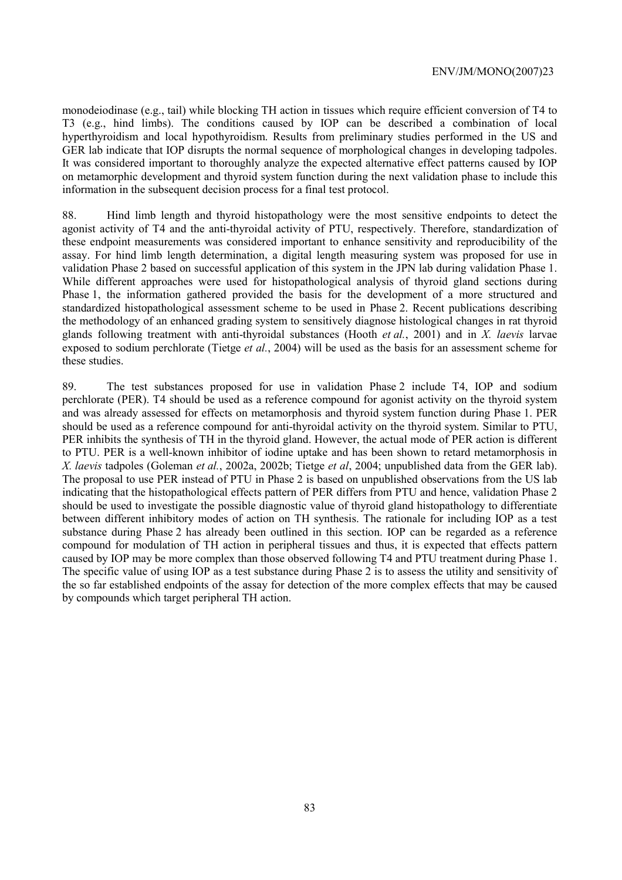monodeiodinase (e.g., tail) while blocking TH action in tissues which require efficient conversion of T4 to T3 (e.g., hind limbs). The conditions caused by IOP can be described a combination of local hyperthyroidism and local hypothyroidism. Results from preliminary studies performed in the US and GER lab indicate that IOP disrupts the normal sequence of morphological changes in developing tadpoles. It was considered important to thoroughly analyze the expected alternative effect patterns caused by IOP on metamorphic development and thyroid system function during the next validation phase to include this information in the subsequent decision process for a final test protocol.

88. Hind limb length and thyroid histopathology were the most sensitive endpoints to detect the agonist activity of T4 and the anti-thyroidal activity of PTU, respectively. Therefore, standardization of these endpoint measurements was considered important to enhance sensitivity and reproducibility of the assay. For hind limb length determination, a digital length measuring system was proposed for use in validation Phase 2 based on successful application of this system in the JPN lab during validation Phase 1. While different approaches were used for histopathological analysis of thyroid gland sections during Phase 1, the information gathered provided the basis for the development of a more structured and standardized histopathological assessment scheme to be used in Phase 2. Recent publications describing the methodology of an enhanced grading system to sensitively diagnose histological changes in rat thyroid glands following treatment with anti-thyroidal substances (Hooth *et al.*, 2001) and in *X. laevis* larvae exposed to sodium perchlorate (Tietge *et al.*, 2004) will be used as the basis for an assessment scheme for these studies.

89. The test substances proposed for use in validation Phase 2 include T4, IOP and sodium perchlorate (PER). T4 should be used as a reference compound for agonist activity on the thyroid system and was already assessed for effects on metamorphosis and thyroid system function during Phase 1. PER should be used as a reference compound for anti-thyroidal activity on the thyroid system. Similar to PTU, PER inhibits the synthesis of TH in the thyroid gland. However, the actual mode of PER action is different to PTU. PER is a well-known inhibitor of iodine uptake and has been shown to retard metamorphosis in *X. laevis* tadpoles (Goleman *et al.*, 2002a, 2002b; Tietge *et al*, 2004; unpublished data from the GER lab). The proposal to use PER instead of PTU in Phase 2 is based on unpublished observations from the US lab indicating that the histopathological effects pattern of PER differs from PTU and hence, validation Phase 2 should be used to investigate the possible diagnostic value of thyroid gland histopathology to differentiate between different inhibitory modes of action on TH synthesis. The rationale for including IOP as a test substance during Phase 2 has already been outlined in this section. IOP can be regarded as a reference compound for modulation of TH action in peripheral tissues and thus, it is expected that effects pattern caused by IOP may be more complex than those observed following T4 and PTU treatment during Phase 1. The specific value of using IOP as a test substance during Phase 2 is to assess the utility and sensitivity of the so far established endpoints of the assay for detection of the more complex effects that may be caused by compounds which target peripheral TH action.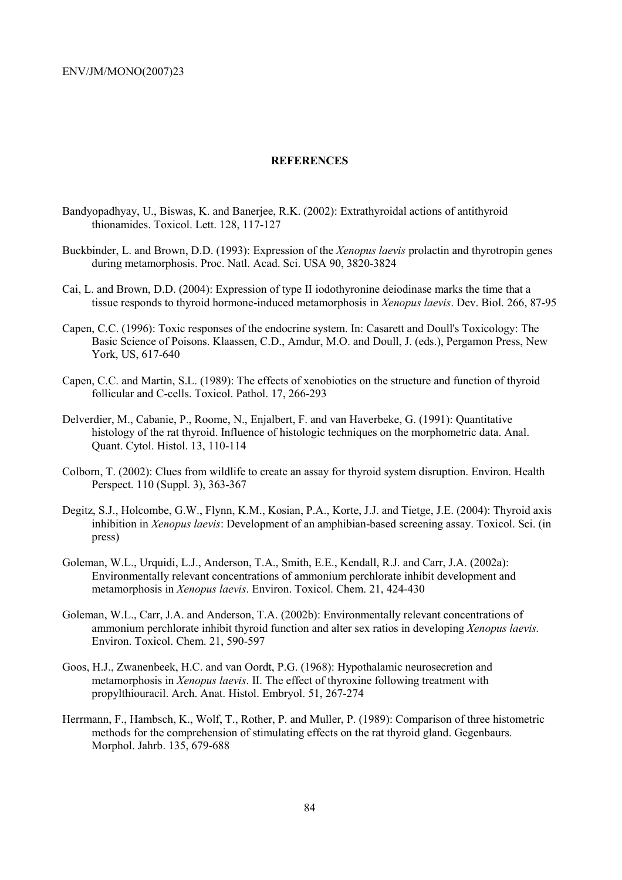### **REFERENCES**

- Bandyopadhyay, U., Biswas, K. and Banerjee, R.K. (2002): Extrathyroidal actions of antithyroid thionamides. Toxicol. Lett. 128, 117-127
- Buckbinder, L. and Brown, D.D. (1993): Expression of the *Xenopus laevis* prolactin and thyrotropin genes during metamorphosis. Proc. Natl. Acad. Sci. USA 90, 3820-3824
- Cai, L. and Brown, D.D. (2004): Expression of type II iodothyronine deiodinase marks the time that a tissue responds to thyroid hormone-induced metamorphosis in *Xenopus laevis*. Dev. Biol. 266, 87-95
- Capen, C.C. (1996): Toxic responses of the endocrine system. In: Casarett and Doull's Toxicology: The Basic Science of Poisons. Klaassen, C.D., Amdur, M.O. and Doull, J. (eds.), Pergamon Press, New York, US, 617-640
- Capen, C.C. and Martin, S.L. (1989): The effects of xenobiotics on the structure and function of thyroid follicular and C-cells. Toxicol. Pathol. 17, 266-293
- Delverdier, M., Cabanie, P., Roome, N., Enjalbert, F. and van Haverbeke, G. (1991): Quantitative histology of the rat thyroid. Influence of histologic techniques on the morphometric data. Anal. Quant. Cytol. Histol. 13, 110-114
- Colborn, T. (2002): Clues from wildlife to create an assay for thyroid system disruption. Environ. Health Perspect. 110 (Suppl. 3), 363-367
- Degitz, S.J., Holcombe, G.W., Flynn, K.M., Kosian, P.A., Korte, J.J. and Tietge, J.E. (2004): Thyroid axis inhibition in *Xenopus laevis*: Development of an amphibian-based screening assay. Toxicol. Sci. (in press)
- Goleman, W.L., Urquidi, L.J., Anderson, T.A., Smith, E.E., Kendall, R.J. and Carr, J.A. (2002a): Environmentally relevant concentrations of ammonium perchlorate inhibit development and metamorphosis in *Xenopus laevis*. Environ. Toxicol. Chem. 21, 424-430
- Goleman, W.L., Carr, J.A. and Anderson, T.A. (2002b): Environmentally relevant concentrations of ammonium perchlorate inhibit thyroid function and alter sex ratios in developing *Xenopus laevis.* Environ. Toxicol. Chem. 21, 590-597
- Goos, H.J., Zwanenbeek, H.C. and van Oordt, P.G. (1968): Hypothalamic neurosecretion and metamorphosis in *Xenopus laevis*. II. The effect of thyroxine following treatment with propylthiouracil. Arch. Anat. Histol. Embryol. 51, 267-274
- Herrmann, F., Hambsch, K., Wolf, T., Rother, P. and Muller, P. (1989): Comparison of three histometric methods for the comprehension of stimulating effects on the rat thyroid gland. Gegenbaurs. Morphol. Jahrb. 135, 679-688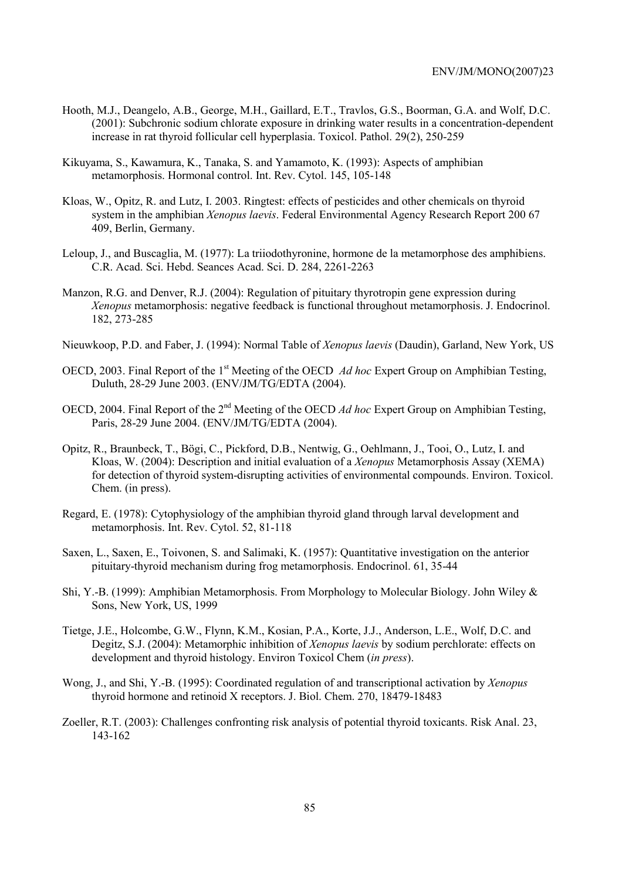- Hooth, M.J., Deangelo, A.B., George, M.H., Gaillard, E.T., Travlos, G.S., Boorman, G.A. and Wolf, D.C. (2001): Subchronic sodium chlorate exposure in drinking water results in a concentration-dependent increase in rat thyroid follicular cell hyperplasia. Toxicol. Pathol. 29(2), 250-259
- Kikuyama, S., Kawamura, K., Tanaka, S. and Yamamoto, K. (1993): Aspects of amphibian metamorphosis. Hormonal control. Int. Rev. Cytol. 145, 105-148
- Kloas, W., Opitz, R. and Lutz, I. 2003. Ringtest: effects of pesticides and other chemicals on thyroid system in the amphibian *Xenopus laevis*. Federal Environmental Agency Research Report 200 67 409, Berlin, Germany.
- Leloup, J., and Buscaglia, M. (1977): La triiodothyronine, hormone de la metamorphose des amphibiens. C.R. Acad. Sci. Hebd. Seances Acad. Sci. D. 284, 2261-2263
- Manzon, R.G. and Denver, R.J. (2004): Regulation of pituitary thyrotropin gene expression during *Xenopus* metamorphosis: negative feedback is functional throughout metamorphosis. J. Endocrinol. 182, 273-285
- Nieuwkoop, P.D. and Faber, J. (1994): Normal Table of *Xenopus laevis* (Daudin), Garland, New York, US
- OECD, 2003. Final Report of the 1<sup>st</sup> Meeting of the OECD *Ad hoc* Expert Group on Amphibian Testing, Duluth, 28-29 June 2003. (ENV/JM/TG/EDTA (2004).
- OECD, 2004. Final Report of the 2<sup>nd</sup> Meeting of the OECD *Ad hoc* Expert Group on Amphibian Testing, Paris, 28-29 June 2004. (ENV/JM/TG/EDTA (2004).
- Opitz, R., Braunbeck, T., Bögi, C., Pickford, D.B., Nentwig, G., Oehlmann, J., Tooi, O., Lutz, I. and Kloas, W. (2004): Description and initial evaluation of a *Xenopus* Metamorphosis Assay (XEMA) for detection of thyroid system-disrupting activities of environmental compounds. Environ. Toxicol. Chem. (in press).
- Regard, E. (1978): Cytophysiology of the amphibian thyroid gland through larval development and metamorphosis. Int. Rev. Cytol. 52, 81-118
- Saxen, L., Saxen, E., Toivonen, S. and Salimaki, K. (1957): Quantitative investigation on the anterior pituitary-thyroid mechanism during frog metamorphosis. Endocrinol. 61, 35-44
- Shi, Y.-B. (1999): Amphibian Metamorphosis. From Morphology to Molecular Biology. John Wiley & Sons, New York, US, 1999
- Tietge, J.E., Holcombe, G.W., Flynn, K.M., Kosian, P.A., Korte, J.J., Anderson, L.E., Wolf, D.C. and Degitz, S.J. (2004): Metamorphic inhibition of *Xenopus laevis* by sodium perchlorate: effects on development and thyroid histology. Environ Toxicol Chem (*in press*).
- Wong, J., and Shi, Y.-B. (1995): Coordinated regulation of and transcriptional activation by *Xenopus*  thyroid hormone and retinoid X receptors. J. Biol. Chem. 270, 18479-18483
- Zoeller, R.T. (2003): Challenges confronting risk analysis of potential thyroid toxicants. Risk Anal. 23, 143-162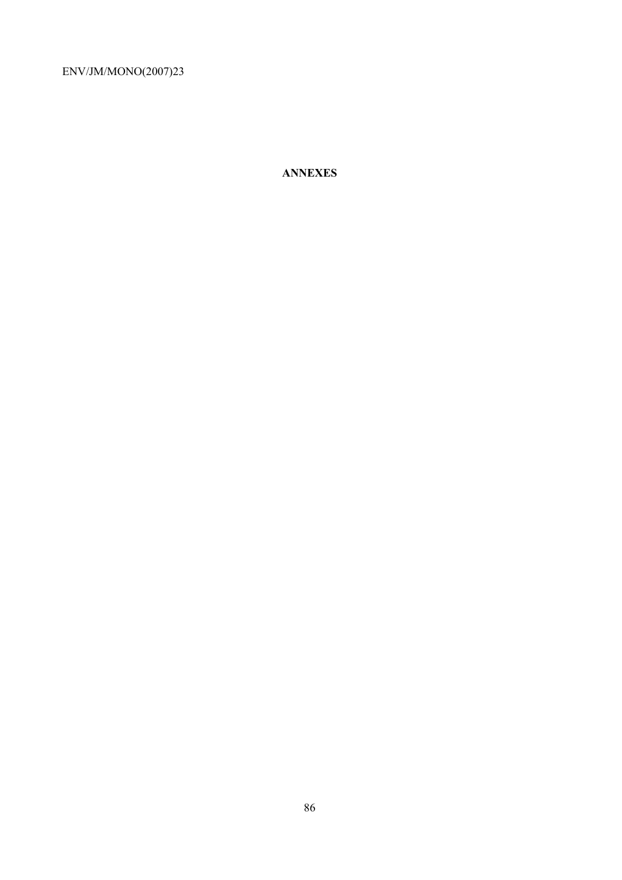**ANNEXES**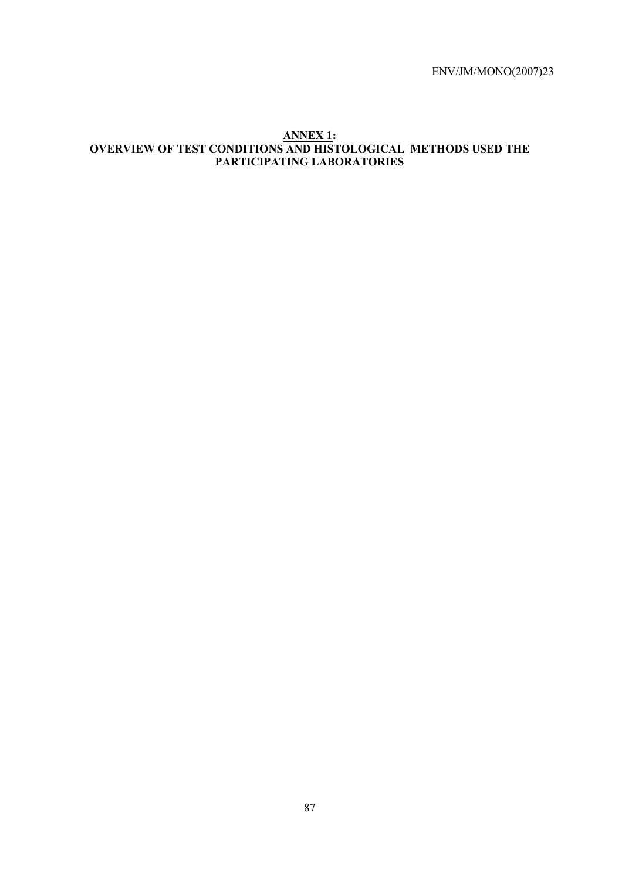## **ANNEX 1: OVERVIEW OF TEST CONDITIONS AND HISTOLOGICAL METHODS USED THE PARTICIPATING LABORATORIES**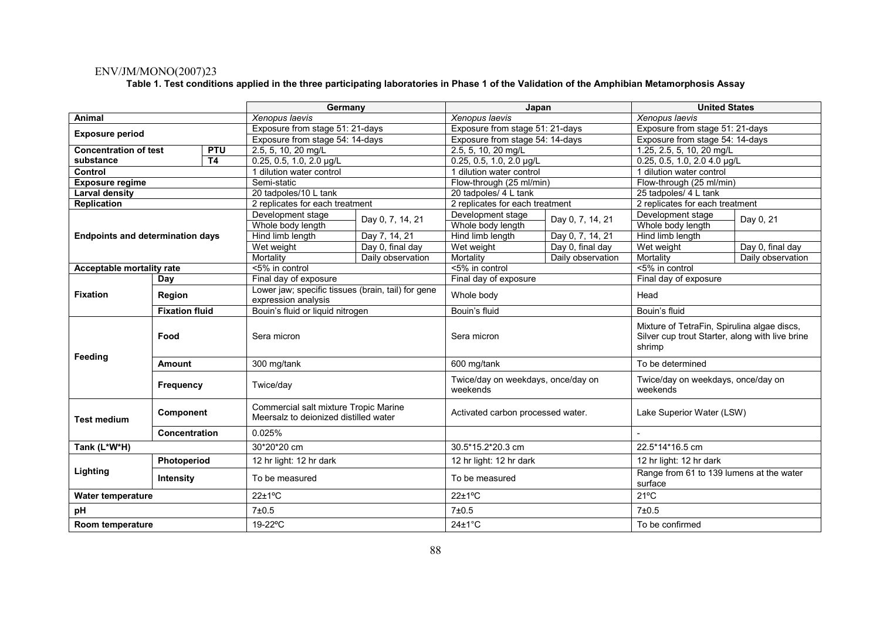#### **Table 1. Test conditions applied in the three participating laboratories in Phase 1 of the Validation of the Amphibian Metamorphosis Assay**

|                              |                                         |                |                                                                           | Germany<br>Japan                                                                                                    |                                                |                           | <b>United States</b>                                                                                     |                  |  |
|------------------------------|-----------------------------------------|----------------|---------------------------------------------------------------------------|---------------------------------------------------------------------------------------------------------------------|------------------------------------------------|---------------------------|----------------------------------------------------------------------------------------------------------|------------------|--|
| Animal                       |                                         |                | Xenopus laevis                                                            |                                                                                                                     | Xenopus laevis                                 |                           | Xenopus laevis                                                                                           |                  |  |
|                              |                                         |                | Exposure from stage 51: 21-days                                           |                                                                                                                     | Exposure from stage 51: 21-days                |                           | Exposure from stage 51: 21-days                                                                          |                  |  |
| <b>Exposure period</b>       |                                         |                | Exposure from stage 54: 14-days                                           |                                                                                                                     | Exposure from stage 54: 14-days                |                           | Exposure from stage 54: 14-days                                                                          |                  |  |
| <b>Concentration of test</b> |                                         | <b>PTU</b>     | 2.5, 5, 10, 20 mg/L                                                       |                                                                                                                     | 2.5, 5, 10, 20 mg/L                            |                           | 1.25, 2.5, 5, 10, 20 mg/L                                                                                |                  |  |
| substance                    |                                         | T <sub>4</sub> | 0.25, 0.5, 1.0, 2.0 µg/L                                                  |                                                                                                                     | 0.25, 0.5, 1.0, 2.0 µg/L                       |                           | 0.25, 0.5, 1.0, 2.0 4.0 µg/L                                                                             |                  |  |
| Control                      |                                         |                | 1 dilution water control                                                  |                                                                                                                     | 1 dilution water control                       |                           | 1 dilution water control                                                                                 |                  |  |
| <b>Exposure regime</b>       |                                         |                | Semi-static                                                               |                                                                                                                     | Flow-through (25 ml/min)                       |                           | Flow-through (25 ml/min)                                                                                 |                  |  |
| <b>Larval density</b>        |                                         |                | 20 tadpoles/10 L tank                                                     |                                                                                                                     | 20 tadpoles/ 4 L tank                          |                           | 25 tadpoles/ 4 L tank                                                                                    |                  |  |
| <b>Replication</b>           |                                         |                | 2 replicates for each treatment                                           |                                                                                                                     | 2 replicates for each treatment                |                           | 2 replicates for each treatment                                                                          |                  |  |
|                              | Development stage                       |                | Day 0, 7, 14, 21                                                          | Development stage                                                                                                   | Day 0, 7, 14, 21                               | Development stage         | Day 0, 21                                                                                                |                  |  |
|                              |                                         |                | Whole body length                                                         |                                                                                                                     | Whole body length                              |                           | Whole body length                                                                                        |                  |  |
|                              | <b>Endpoints and determination days</b> |                | Hind limb length                                                          | Day 7, 14, 21                                                                                                       | Hind limb length                               | Day 0, 7, 14, 21          | Hind limb length                                                                                         |                  |  |
|                              |                                         |                | Wet weight                                                                | Day 0, final day                                                                                                    | Wet weight                                     | Day 0, final day          | Wet weight                                                                                               | Day 0, final day |  |
|                              |                                         |                | Mortality                                                                 | Daily observation                                                                                                   | Mortality                                      | Daily observation         | Daily observation<br>Mortality                                                                           |                  |  |
| Acceptable mortality rate    |                                         |                | <5% in control                                                            |                                                                                                                     | <5% in control                                 |                           | <5% in control                                                                                           |                  |  |
|                              | Day                                     |                | Final day of exposure                                                     |                                                                                                                     | Final day of exposure                          |                           | Final day of exposure                                                                                    |                  |  |
| <b>Fixation</b>              | <b>Region</b>                           |                | Lower jaw; specific tissues (brain, tail) for gene<br>expression analysis |                                                                                                                     | Whole body                                     |                           | Head                                                                                                     |                  |  |
|                              | <b>Fixation fluid</b>                   |                | Bouin's fluid or liquid nitrogen                                          |                                                                                                                     | Bouin's fluid                                  |                           | Bouin's fluid                                                                                            |                  |  |
|                              | Food                                    |                | Sera micron                                                               |                                                                                                                     | Sera micron                                    |                           | Mixture of TetraFin, Spirulina algae discs,<br>Silver cup trout Starter, along with live brine<br>shrimp |                  |  |
| Feeding                      | Amount                                  |                | 300 mg/tank                                                               |                                                                                                                     |                                                | 600 mg/tank               |                                                                                                          |                  |  |
|                              | Frequency                               |                | Twice/day                                                                 |                                                                                                                     | Twice/day on weekdays, once/day on<br>weekends |                           | Twice/day on weekdays, once/day on<br>weekends                                                           |                  |  |
| <b>Test medium</b>           | Component                               |                |                                                                           | Commercial salt mixture Tropic Marine<br>Activated carbon processed water.<br>Meersalz to deionized distilled water |                                                | Lake Superior Water (LSW) |                                                                                                          |                  |  |
|                              | <b>Concentration</b>                    |                | 0.025%                                                                    |                                                                                                                     |                                                |                           |                                                                                                          |                  |  |
| Tank (L*W*H)                 |                                         |                | 30*20*20 cm                                                               |                                                                                                                     | 30.5*15.2*20.3 cm                              |                           | 22.5*14*16.5 cm                                                                                          |                  |  |
|                              | Photoperiod                             |                | 12 hr light: 12 hr dark                                                   |                                                                                                                     | 12 hr light: 12 hr dark                        |                           | 12 hr light: 12 hr dark                                                                                  |                  |  |
| Lighting                     | Intensity                               |                | To be measured                                                            |                                                                                                                     | To be measured                                 |                           | Range from 61 to 139 lumens at the water<br>surface                                                      |                  |  |
| <b>Water temperature</b>     |                                         |                | $22 \pm 1$ °C                                                             |                                                                                                                     | $22 \pm 1$ °C                                  |                           | $21^{\circ}$ C                                                                                           |                  |  |
| pH                           |                                         |                | 7±0.5                                                                     |                                                                                                                     | 7±0.5                                          |                           | 7±0.5                                                                                                    |                  |  |
| Room temperature             |                                         | 19-22°C        |                                                                           | $24 \pm 1^{\circ}$ C                                                                                                |                                                | To be confirmed           |                                                                                                          |                  |  |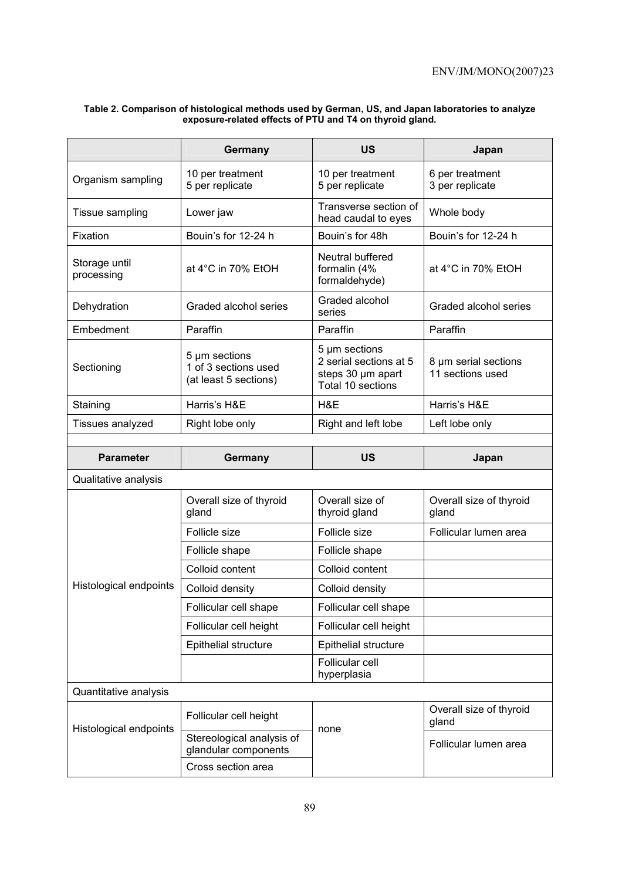|                                                                              | Germany                             | <b>US</b>                                                                         | Japan                                    |  |
|------------------------------------------------------------------------------|-------------------------------------|-----------------------------------------------------------------------------------|------------------------------------------|--|
| Organism sampling                                                            | 10 per treatment<br>5 per replicate | 10 per treatment<br>5 per replicate                                               | 6 per treatment<br>3 per replicate       |  |
| Tissue sampling                                                              | Lower jaw                           | Transverse section of<br>head caudal to eyes                                      | Whole body                               |  |
| Fixation                                                                     | Bouin's for 12-24 h                 | Bouin's for 48h                                                                   | Bouin's for 12-24 h                      |  |
| Storage until<br>processing                                                  | at $4^{\circ}$ C in 70% EtOH        | Neutral buffered<br>formalin (4%<br>formaldehyde)                                 | at 4°C in 70% EtOH                       |  |
| Dehydration                                                                  | Graded alcohol series               | Graded alcohol<br>series                                                          | Graded alcohol series                    |  |
| Embedment                                                                    | Paraffin                            | Paraffin                                                                          | Paraffin                                 |  |
| 5 µm sections<br>1 of 3 sections used<br>Sectioning<br>(at least 5 sections) |                                     | 5 µm sections<br>2 serial sections at 5<br>steps 30 µm apart<br>Total 10 sections | 8 µm serial sections<br>11 sections used |  |
| Staining                                                                     | Harris's H&E                        | H&E                                                                               | Harris's H&E                             |  |
| Tissues analyzed                                                             | Right lobe only                     | Right and left lobe                                                               | Left lobe only                           |  |
|                                                                              |                                     |                                                                                   |                                          |  |
|                                                                              |                                     |                                                                                   |                                          |  |
| <b>Parameter</b>                                                             | Germany                             | US                                                                                | Japan                                    |  |
| Qualitative analysis                                                         |                                     |                                                                                   |                                          |  |
|                                                                              | Overall size of thyroid<br>gland    | Overall size of<br>thyroid gland                                                  | Overall size of thyroid<br>gland         |  |
|                                                                              | Follicle size                       | Follicle size                                                                     | Follicular lumen area                    |  |
|                                                                              | Follicle shape                      | Follicle shape                                                                    |                                          |  |
|                                                                              | Colloid content                     | Colloid content                                                                   |                                          |  |
| Histological endpoints                                                       | Colloid density                     | Colloid density                                                                   |                                          |  |
|                                                                              | Follicular cell shape               | Follicular cell shape                                                             |                                          |  |
|                                                                              | Follicular cell height              | Follicular cell height                                                            |                                          |  |
|                                                                              | Epithelial structure                | Epithelial structure                                                              |                                          |  |
|                                                                              |                                     | Follicular cell<br>hyperplasia                                                    |                                          |  |
| Quantitative analysis                                                        |                                     |                                                                                   |                                          |  |
| Histological endpoints                                                       | Follicular cell height              | none                                                                              | Overall size of thyroid<br>gland         |  |

### **Table 2. Comparison of histological methods used by German, US, and Japan laboratories to analyze exposure-related effects of PTU and T4 on thyroid gland.**

Cross section area